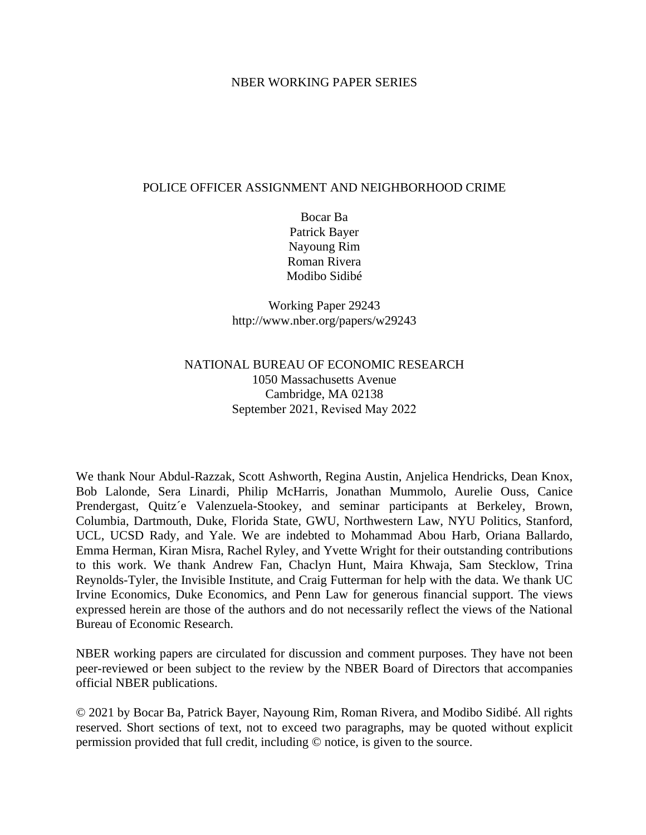#### NBER WORKING PAPER SERIES

#### POLICE OFFICER ASSIGNMENT AND NEIGHBORHOOD CRIME

Bocar Ba Patrick Bayer Nayoung Rim Roman Rivera Modibo Sidibé

Working Paper 29243 http://www.nber.org/papers/w29243

## NATIONAL BUREAU OF ECONOMIC RESEARCH 1050 Massachusetts Avenue Cambridge, MA 02138 September 2021, Revised May 2022

We thank Nour Abdul-Razzak, Scott Ashworth, Regina Austin, Anjelica Hendricks, Dean Knox, Bob Lalonde, Sera Linardi, Philip McHarris, Jonathan Mummolo, Aurelie Ouss, Canice Prendergast, Quitz´e Valenzuela-Stookey, and seminar participants at Berkeley, Brown, Columbia, Dartmouth, Duke, Florida State, GWU, Northwestern Law, NYU Politics, Stanford, UCL, UCSD Rady, and Yale. We are indebted to Mohammad Abou Harb, Oriana Ballardo, Emma Herman, Kiran Misra, Rachel Ryley, and Yvette Wright for their outstanding contributions to this work. We thank Andrew Fan, Chaclyn Hunt, Maira Khwaja, Sam Stecklow, Trina Reynolds-Tyler, the Invisible Institute, and Craig Futterman for help with the data. We thank UC Irvine Economics, Duke Economics, and Penn Law for generous financial support. The views expressed herein are those of the authors and do not necessarily reflect the views of the National Bureau of Economic Research.

NBER working papers are circulated for discussion and comment purposes. They have not been peer-reviewed or been subject to the review by the NBER Board of Directors that accompanies official NBER publications.

© 2021 by Bocar Ba, Patrick Bayer, Nayoung Rim, Roman Rivera, and Modibo Sidibé. All rights reserved. Short sections of text, not to exceed two paragraphs, may be quoted without explicit permission provided that full credit, including © notice, is given to the source.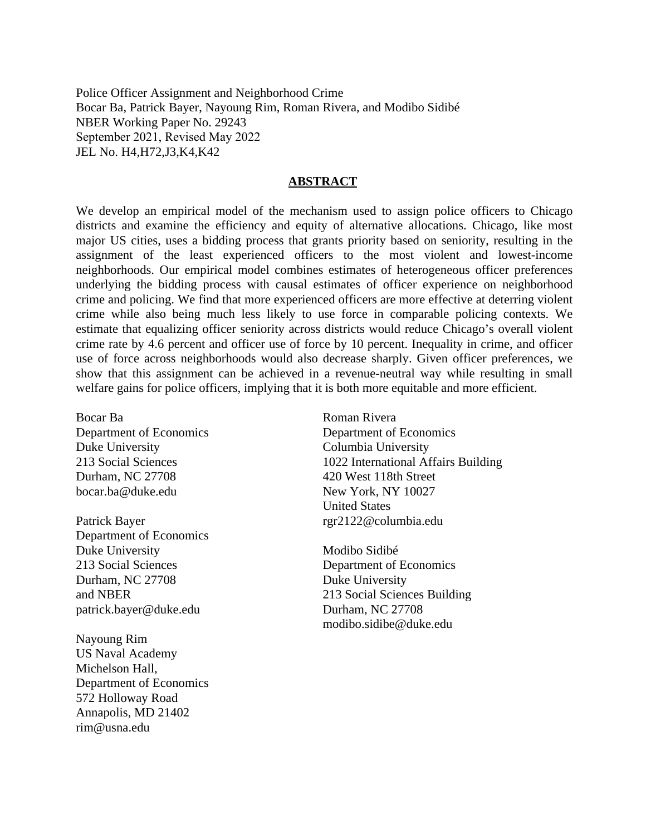Police Officer Assignment and Neighborhood Crime Bocar Ba, Patrick Bayer, Nayoung Rim, Roman Rivera, and Modibo Sidibé NBER Working Paper No. 29243 September 2021, Revised May 2022 JEL No. H4,H72,J3,K4,K42

#### **ABSTRACT**

We develop an empirical model of the mechanism used to assign police officers to Chicago districts and examine the efficiency and equity of alternative allocations. Chicago, like most major US cities, uses a bidding process that grants priority based on seniority, resulting in the assignment of the least experienced officers to the most violent and lowest-income neighborhoods. Our empirical model combines estimates of heterogeneous officer preferences underlying the bidding process with causal estimates of officer experience on neighborhood crime and policing. We find that more experienced officers are more effective at deterring violent crime while also being much less likely to use force in comparable policing contexts. We estimate that equalizing officer seniority across districts would reduce Chicago's overall violent crime rate by 4.6 percent and officer use of force by 10 percent. Inequality in crime, and officer use of force across neighborhoods would also decrease sharply. Given officer preferences, we show that this assignment can be achieved in a revenue-neutral way while resulting in small welfare gains for police officers, implying that it is both more equitable and more efficient.

Bocar Ba Department of Economics Duke University 213 Social Sciences Durham, NC 27708 bocar.ba@duke.edu

Patrick Bayer Department of Economics Duke University 213 Social Sciences Durham, NC 27708 and NBER patrick.bayer@duke.edu

Nayoung Rim US Naval Academy Michelson Hall, Department of Economics 572 Holloway Road Annapolis, MD 21402 rim@usna.edu

Roman Rivera Department of Economics Columbia University 1022 International Affairs Building 420 West 118th Street New York, NY 10027 United States rgr2122@columbia.edu

Modibo Sidibé Department of Economics Duke University 213 Social Sciences Building Durham, NC 27708 modibo.sidibe@duke.edu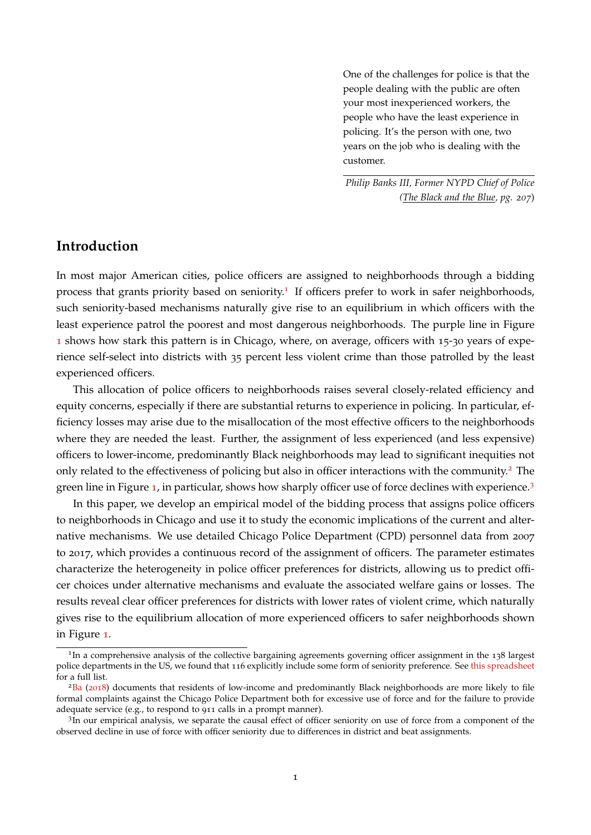One of the challenges for police is that the people dealing with the public are often your most inexperienced workers, the people who have the least experience in policing. It's the person with one, two years on the job who is dealing with the customer.

*Philip Banks III, Former NYPD Chief of Police (The Black and the Blue, pg. 207*)

## **Introduction**

In most major American cities, police officers are assigned to neighborhoods through a bidding process that grants priority based on seniority.<sup>[1](#page--1-0)</sup> If officers prefer to work in safer neighborhoods, such seniority-based mechanisms naturally give rise to an equilibrium in which officers with the least experience patrol the poorest and most dangerous neighborhoods. The purple line in Figure [1](#page-3-0) shows how stark this pattern is in Chicago, where, on average, officers with 15-30 years of experience self-select into districts with 35 percent less violent crime than those patrolled by the least experienced officers.

This allocation of police officers to neighborhoods raises several closely-related efficiency and equity concerns, especially if there are substantial returns to experience in policing. In particular, efficiency losses may arise due to the misallocation of the most effective officers to the neighborhoods where they are needed the least. Further, the assignment of less experienced (and less expensive) officers to lower-income, predominantly Black neighborhoods may lead to significant inequities not only related to the effectiveness of policing but also in officer interactions with the community.<sup>[2](#page--1-0)</sup> The green line in Figure [1](#page-3-0), in particular, shows how sharply officer use of force declines with experience.[3](#page--1-0)

In this paper, we develop an empirical model of the bidding process that assigns police officers to neighborhoods in Chicago and use it to study the economic implications of the current and alternative mechanisms. We use detailed Chicago Police Department (CPD) personnel data from 2007 to 2017, which provides a continuous record of the assignment of officers. The parameter estimates characterize the heterogeneity in police officer preferences for districts, allowing us to predict officer choices under alternative mechanisms and evaluate the associated welfare gains or losses. The results reveal clear officer preferences for districts with lower rates of violent crime, which naturally gives rise to the equilibrium allocation of more experienced officers to safer neighborhoods shown in Figure [1](#page-3-0).

<sup>&</sup>lt;sup>1</sup>In a comprehensive analysis of the collective bargaining agreements governing officer assignment in the 138 largest police departments in the US, we found that 116 explicitly include some form of seniority preference. See [this spreadsheet](https://docs.google.com/spreadsheets/d/1r3lAm3f-4bEZVQ3kEB1VNwFOq0EBtF4USMZZwZg7y6Y/edit?usp=sharing) for a full list.

 ${}^{2}$ [Ba](#page-35-0) ([2018](#page-35-0)) documents that residents of low-income and predominantly Black neighborhoods are more likely to file formal complaints against the Chicago Police Department both for excessive use of force and for the failure to provide adequate service (e.g., to respond to 911 calls in a prompt manner).

<sup>&</sup>lt;sup>1</sup>In our empirical analysis, we separate the causal effect of officer seniority on use of force from a component of the observed decline in use of force with officer seniority due to differences in district and beat assignments.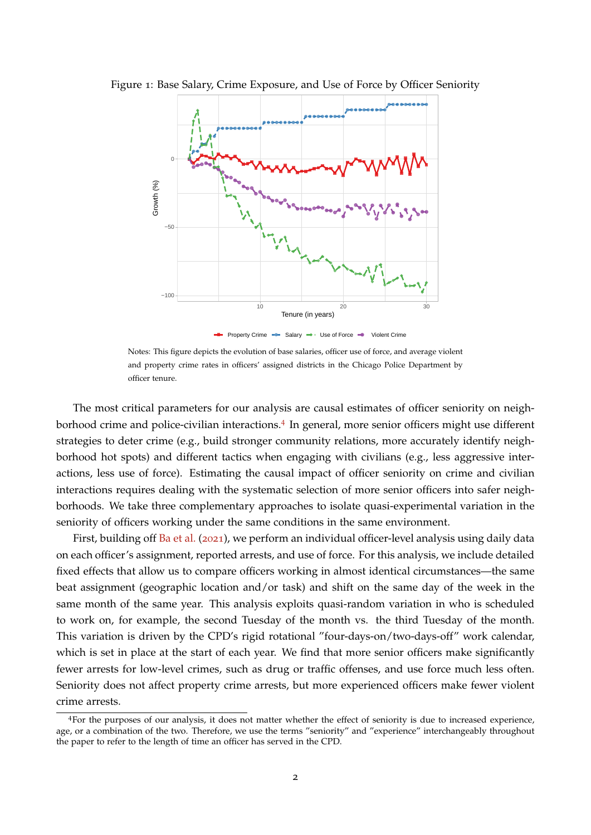<span id="page-3-0"></span>

Figure 1: Base Salary, Crime Exposure, and Use of Force by Officer Seniority

**-B** Property Crime  $\rightarrow$  Salary  $\rightarrow$  Use of Force  $\rightarrow$  Violent Crime

Notes: This figure depicts the evolution of base salaries, officer use of force, and average violent and property crime rates in officers' assigned districts in the Chicago Police Department by officer tenure.

The most critical parameters for our analysis are causal estimates of officer seniority on neigh-borhood crime and police-civilian interactions.<sup>[4](#page--1-0)</sup> In general, more senior officers might use different strategies to deter crime (e.g., build stronger community relations, more accurately identify neighborhood hot spots) and different tactics when engaging with civilians (e.g., less aggressive interactions, less use of force). Estimating the causal impact of officer seniority on crime and civilian interactions requires dealing with the systematic selection of more senior officers into safer neighborhoods. We take three complementary approaches to isolate quasi-experimental variation in the seniority of officers working under the same conditions in the same environment.

First, building off [Ba et al.](#page-35-1) ([2021](#page-35-1)), we perform an individual officer-level analysis using daily data on each officer's assignment, reported arrests, and use of force. For this analysis, we include detailed fixed effects that allow us to compare officers working in almost identical circumstances—the same beat assignment (geographic location and/or task) and shift on the same day of the week in the same month of the same year. This analysis exploits quasi-random variation in who is scheduled to work on, for example, the second Tuesday of the month vs. the third Tuesday of the month. This variation is driven by the CPD's rigid rotational "four-days-on/two-days-off" work calendar, which is set in place at the start of each year. We find that more senior officers make significantly fewer arrests for low-level crimes, such as drug or traffic offenses, and use force much less often. Seniority does not affect property crime arrests, but more experienced officers make fewer violent crime arrests.

<sup>4</sup>For the purposes of our analysis, it does not matter whether the effect of seniority is due to increased experience, age, or a combination of the two. Therefore, we use the terms "seniority" and "experience" interchangeably throughout the paper to refer to the length of time an officer has served in the CPD.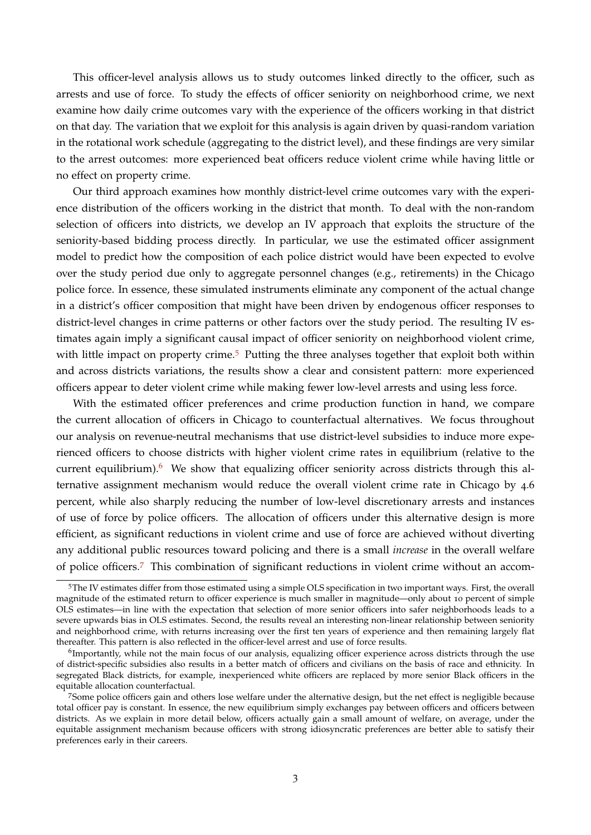This officer-level analysis allows us to study outcomes linked directly to the officer, such as arrests and use of force. To study the effects of officer seniority on neighborhood crime, we next examine how daily crime outcomes vary with the experience of the officers working in that district on that day. The variation that we exploit for this analysis is again driven by quasi-random variation in the rotational work schedule (aggregating to the district level), and these findings are very similar to the arrest outcomes: more experienced beat officers reduce violent crime while having little or no effect on property crime.

Our third approach examines how monthly district-level crime outcomes vary with the experience distribution of the officers working in the district that month. To deal with the non-random selection of officers into districts, we develop an IV approach that exploits the structure of the seniority-based bidding process directly. In particular, we use the estimated officer assignment model to predict how the composition of each police district would have been expected to evolve over the study period due only to aggregate personnel changes (e.g., retirements) in the Chicago police force. In essence, these simulated instruments eliminate any component of the actual change in a district's officer composition that might have been driven by endogenous officer responses to district-level changes in crime patterns or other factors over the study period. The resulting IV estimates again imply a significant causal impact of officer seniority on neighborhood violent crime, with little impact on property crime.<sup>[5](#page--1-0)</sup> Putting the three analyses together that exploit both within and across districts variations, the results show a clear and consistent pattern: more experienced officers appear to deter violent crime while making fewer low-level arrests and using less force.

With the estimated officer preferences and crime production function in hand, we compare the current allocation of officers in Chicago to counterfactual alternatives. We focus throughout our analysis on revenue-neutral mechanisms that use district-level subsidies to induce more experienced officers to choose districts with higher violent crime rates in equilibrium (relative to the current equilibrium).<sup>[6](#page--1-0)</sup> We show that equalizing officer seniority across districts through this alternative assignment mechanism would reduce the overall violent crime rate in Chicago by 4.6 percent, while also sharply reducing the number of low-level discretionary arrests and instances of use of force by police officers. The allocation of officers under this alternative design is more efficient, as significant reductions in violent crime and use of force are achieved without diverting any additional public resources toward policing and there is a small *increase* in the overall welfare of police officers.[7](#page--1-0) This combination of significant reductions in violent crime without an accom-

<sup>5</sup>The IV estimates differ from those estimated using a simple OLS specification in two important ways. First, the overall magnitude of the estimated return to officer experience is much smaller in magnitude—only about 10 percent of simple OLS estimates—in line with the expectation that selection of more senior officers into safer neighborhoods leads to a severe upwards bias in OLS estimates. Second, the results reveal an interesting non-linear relationship between seniority and neighborhood crime, with returns increasing over the first ten years of experience and then remaining largely flat thereafter. This pattern is also reflected in the officer-level arrest and use of force results.

 $^6$ Importantly, while not the main focus of our analysis, equalizing officer experience across districts through the use of district-specific subsidies also results in a better match of officers and civilians on the basis of race and ethnicity. In segregated Black districts, for example, inexperienced white officers are replaced by more senior Black officers in the equitable allocation counterfactual.

<sup>7</sup>Some police officers gain and others lose welfare under the alternative design, but the net effect is negligible because total officer pay is constant. In essence, the new equilibrium simply exchanges pay between officers and officers between districts. As we explain in more detail below, officers actually gain a small amount of welfare, on average, under the equitable assignment mechanism because officers with strong idiosyncratic preferences are better able to satisfy their preferences early in their careers.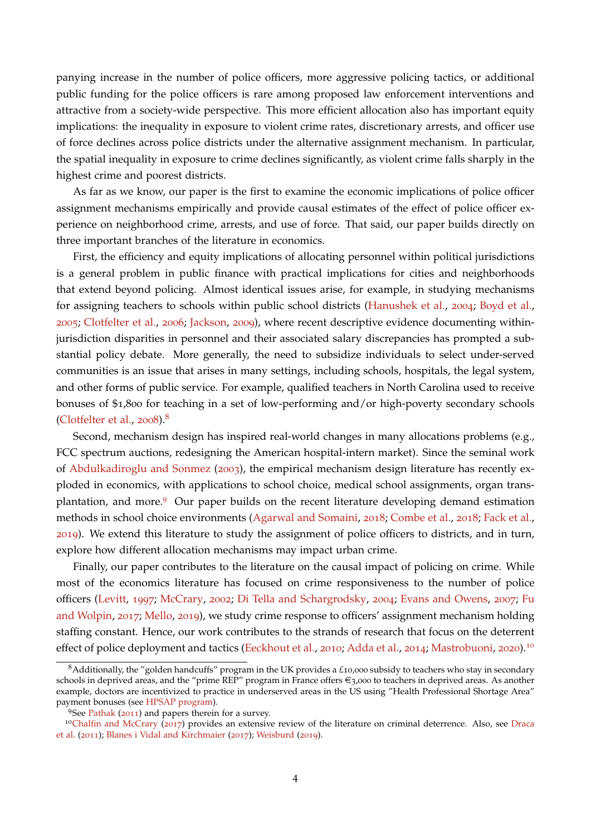panying increase in the number of police officers, more aggressive policing tactics, or additional public funding for the police officers is rare among proposed law enforcement interventions and attractive from a society-wide perspective. This more efficient allocation also has important equity implications: the inequality in exposure to violent crime rates, discretionary arrests, and officer use of force declines across police districts under the alternative assignment mechanism. In particular, the spatial inequality in exposure to crime declines significantly, as violent crime falls sharply in the highest crime and poorest districts.

As far as we know, our paper is the first to examine the economic implications of police officer assignment mechanisms empirically and provide causal estimates of the effect of police officer experience on neighborhood crime, arrests, and use of force. That said, our paper builds directly on three important branches of the literature in economics.

First, the efficiency and equity implications of allocating personnel within political jurisdictions is a general problem in public finance with practical implications for cities and neighborhoods that extend beyond policing. Almost identical issues arise, for example, in studying mechanisms for assigning teachers to schools within public school districts [\(Hanushek et al.,](#page-36-0) [2004](#page-36-0); [Boyd et al.,](#page-35-2) [2005](#page-35-2); [Clotfelter et al.,](#page-35-3) [2006](#page-35-3); [Jackson,](#page-36-1) [2009](#page-36-1)), where recent descriptive evidence documenting withinjurisdiction disparities in personnel and their associated salary discrepancies has prompted a substantial policy debate. More generally, the need to subsidize individuals to select under-served communities is an issue that arises in many settings, including schools, hospitals, the legal system, and other forms of public service. For example, qualified teachers in North Carolina used to receive bonuses of \$1,800 for teaching in a set of low-performing and/or high-poverty secondary schools [\(Clotfelter et al.,](#page-35-4) [2008](#page-35-4)). $8$ 

Second, mechanism design has inspired real-world changes in many allocations problems (e.g., FCC spectrum auctions, redesigning the American hospital-intern market). Since the seminal work of [Abdulkadiroglu and Sonmez](#page-35-5) ([2003](#page-35-5)), the empirical mechanism design literature has recently exploded in economics, with applications to school choice, medical school assignments, organ transplantation, and more.[9](#page--1-0) Our paper builds on the recent literature developing demand estimation methods in school choice environments [\(Agarwal and Somaini,](#page-35-6) [2018](#page-35-6); [Combe et al.,](#page-36-2) [2018](#page-36-2); [Fack et al.,](#page-36-3) [2019](#page-36-3)). We extend this literature to study the assignment of police officers to districts, and in turn, explore how different allocation mechanisms may impact urban crime.

Finally, our paper contributes to the literature on the causal impact of policing on crime. While most of the economics literature has focused on crime responsiveness to the number of police officers [\(Levitt,](#page-36-4) [1997](#page-36-4); [McCrary,](#page-37-0) [2002](#page-37-0); [Di Tella and Schargrodsky,](#page-36-5) [2004](#page-36-5); [Evans and Owens,](#page-36-6) [2007](#page-36-6); [Fu](#page-36-7) [and Wolpin,](#page-36-7) [2017](#page-36-7); [Mello,](#page-37-1) [2019](#page-37-1)), we study crime response to officers' assignment mechanism holding staffing constant. Hence, our work contributes to the strands of research that focus on the deterrent effect of police deployment and tactics [\(Eeckhout et al.,](#page-36-8) [2010](#page-36-8); [Adda et al.,](#page-35-7) [2014](#page-35-7); [Mastrobuoni,](#page-36-9) [2020](#page-36-9)).<sup>[10](#page--1-0)</sup>

<sup>8</sup>Additionally, the "golden handcuffs" program in the UK provides a *£*10,000 subsidy to teachers who stay in secondary schools in deprived areas, and the "prime REP" program in France offers €3,000 to teachers in deprived areas. As another example, doctors are incentivized to practice in underserved areas in the US using "Health Professional Shortage Area" payment bonuses (see [HPSAP program\)](https://www.cms.gov/Medicare/Medicare-Fee-for-Service-Payment/HPSAPSAPhysicianBonuses).

<sup>&</sup>lt;sup>9</sup>See [Pathak](#page-37-2) ([2011](#page-37-2)) and papers therein for a survey.

<sup>&</sup>lt;sup>10</sup>[Chalfin and McCrary](#page-35-8) ([2017](#page-35-8)) provides an extensive review of the literature on criminal deterrence. Also, see [Draca](#page-36-10) [et al.](#page-36-10) ([2011](#page-36-10)); [Blanes i Vidal and Kirchmaier](#page-35-9) ([2017](#page-35-9)); [Weisburd](#page-37-3) ([2019](#page-37-3)).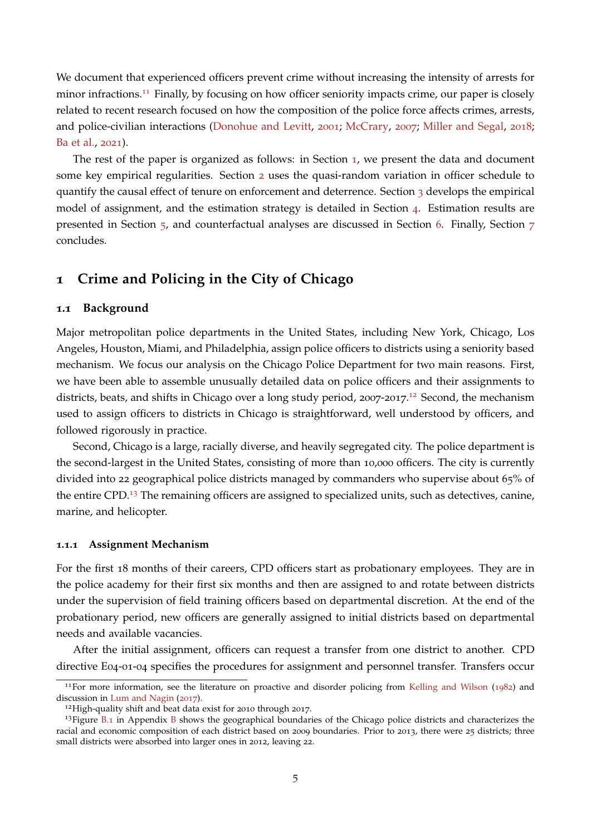We document that experienced officers prevent crime without increasing the intensity of arrests for minor infractions.<sup>[11](#page--1-0)</sup> Finally, by focusing on how officer seniority impacts crime, our paper is closely related to recent research focused on how the composition of the police force affects crimes, arrests, and police-civilian interactions [\(Donohue and Levitt,](#page-36-11) [2001](#page-36-11); [McCrary,](#page-37-4) [2007](#page-37-4); [Miller and Segal,](#page-37-5) [2018](#page-37-5); [Ba et al.,](#page-35-1) [2021](#page-35-1)).

The rest of the paper is organized as follows: in Section [1](#page-6-0), we present the data and document some key empirical regularities. Section [2](#page-10-0) uses the quasi-random variation in officer schedule to quantify the causal effect of tenure on enforcement and deterrence. Section [3](#page-16-0) develops the empirical model of assignment, and the estimation strategy is detailed in Section [4](#page-21-0). Estimation results are presented in Section [5](#page-24-0), and counterfactual analyses are discussed in Section [6](#page-27-0). Finally, Section [7](#page-33-0) concludes.

## <span id="page-6-0"></span>**1 Crime and Policing in the City of Chicago**

#### **1.1 Background**

Major metropolitan police departments in the United States, including New York, Chicago, Los Angeles, Houston, Miami, and Philadelphia, assign police officers to districts using a seniority based mechanism. We focus our analysis on the Chicago Police Department for two main reasons. First, we have been able to assemble unusually detailed data on police officers and their assignments to districts, beats, and shifts in Chicago over a long study period, 2007-2017.<sup>[12](#page--1-0)</sup> Second, the mechanism used to assign officers to districts in Chicago is straightforward, well understood by officers, and followed rigorously in practice.

Second, Chicago is a large, racially diverse, and heavily segregated city. The police department is the second-largest in the United States, consisting of more than 10,000 officers. The city is currently divided into 22 geographical police districts managed by commanders who supervise about 65% of the entire CPD.<sup>[13](#page--1-0)</sup> The remaining officers are assigned to specialized units, such as detectives, canine, marine, and helicopter.

#### **1.1.1 Assignment Mechanism**

For the first 18 months of their careers, CPD officers start as probationary employees. They are in the police academy for their first six months and then are assigned to and rotate between districts under the supervision of field training officers based on departmental discretion. At the end of the probationary period, new officers are generally assigned to initial districts based on departmental needs and available vacancies.

After the initial assignment, officers can request a transfer from one district to another. CPD directive E04-01-04 specifies the procedures for assignment and personnel transfer. Transfers occur

<sup>&</sup>lt;sup>11</sup>For more information, see the literature on proactive and disorder policing from [Kelling and Wilson](#page-36-12) ([1982](#page-36-12)) and discussion in [Lum and Nagin](#page-36-13) ([2017](#page-36-13)).

<sup>&</sup>lt;sup>12</sup>High-quality shift and beat data exist for 2010 through 2017.

 $13$ Figure [B.](#page-41-0)1 in Appendix [B](#page-41-1) shows the geographical boundaries of the Chicago police districts and characterizes the racial and economic composition of each district based on 2009 boundaries. Prior to 2013, there were 25 districts; three small districts were absorbed into larger ones in 2012, leaving 22.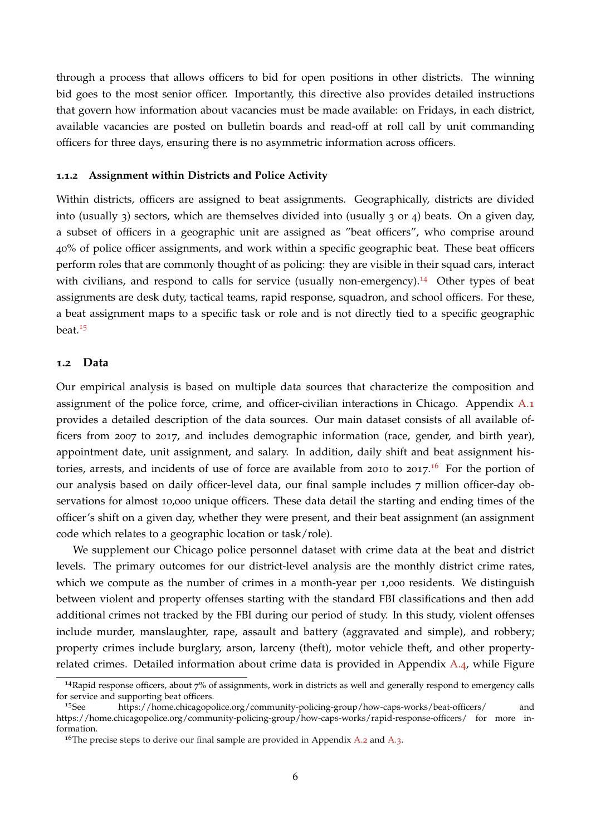through a process that allows officers to bid for open positions in other districts. The winning bid goes to the most senior officer. Importantly, this directive also provides detailed instructions that govern how information about vacancies must be made available: on Fridays, in each district, available vacancies are posted on bulletin boards and read-off at roll call by unit commanding officers for three days, ensuring there is no asymmetric information across officers.

#### **1.1.2 Assignment within Districts and Police Activity**

Within districts, officers are assigned to beat assignments. Geographically, districts are divided into (usually 3) sectors, which are themselves divided into (usually 3 or 4) beats. On a given day, a subset of officers in a geographic unit are assigned as "beat officers", who comprise around 40% of police officer assignments, and work within a specific geographic beat. These beat officers perform roles that are commonly thought of as policing: they are visible in their squad cars, interact with civilians, and respond to calls for service (usually non-emergency).<sup>[14](#page--1-0)</sup> Other types of beat assignments are desk duty, tactical teams, rapid response, squadron, and school officers. For these, a beat assignment maps to a specific task or role and is not directly tied to a specific geographic beat.[15](#page--1-0)

#### **1.2 Data**

Our empirical analysis is based on multiple data sources that characterize the composition and assignment of the police force, crime, and officer-civilian interactions in Chicago. Appendix [A.](#page-38-0)1 provides a detailed description of the data sources. Our main dataset consists of all available officers from 2007 to 2017, and includes demographic information (race, gender, and birth year), appointment date, unit assignment, and salary. In addition, daily shift and beat assignment his-tories, arrests, and incidents of use of force are available from 2010 to 2017.<sup>[16](#page--1-0)</sup> For the portion of our analysis based on daily officer-level data, our final sample includes 7 million officer-day observations for almost 10,000 unique officers. These data detail the starting and ending times of the officer's shift on a given day, whether they were present, and their beat assignment (an assignment code which relates to a geographic location or task/role).

We supplement our Chicago police personnel dataset with crime data at the beat and district levels. The primary outcomes for our district-level analysis are the monthly district crime rates, which we compute as the number of crimes in a month-year per 1,000 residents. We distinguish between violent and property offenses starting with the standard FBI classifications and then add additional crimes not tracked by the FBI during our period of study. In this study, violent offenses include murder, manslaughter, rape, assault and battery (aggravated and simple), and robbery; property crimes include burglary, arson, larceny (theft), motor vehicle theft, and other propertyrelated crimes. Detailed information about crime data is provided in Appendix [A.](#page-39-0)4, while Figure

<sup>14</sup>Rapid response officers, about 7% of assignments, work in districts as well and generally respond to emergency calls for service and supporting beat officers.

<sup>15</sup>See https://home.chicagopolice.org/community-policing-group/how-caps-works/beat-officers/ and https://home.chicagopolice.org/community-policing-group/how-caps-works/rapid-response-officers/ for more information.

<sup>&</sup>lt;sup>16</sup>The precise steps to derive our final sample are provided in Appendix [A.](#page-38-2)2 and A.3.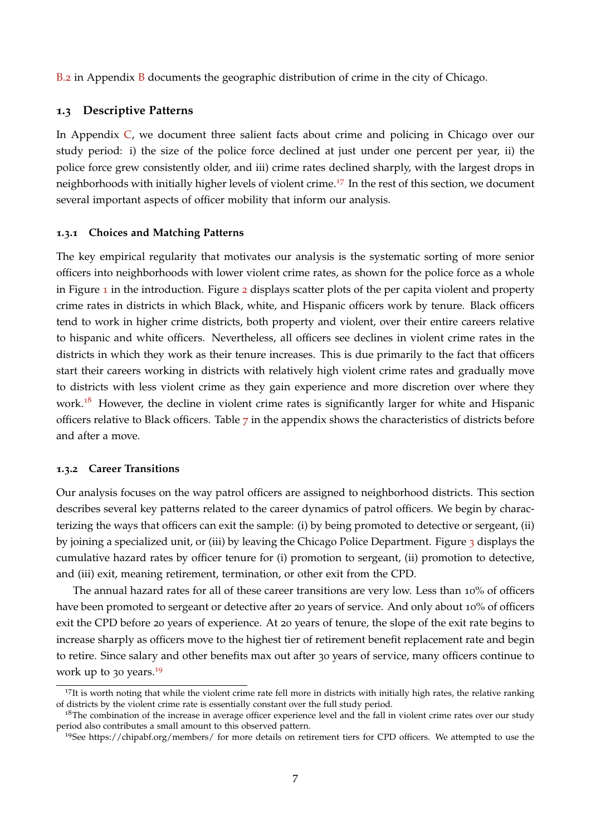[B.](#page-42-0)2 in Appendix [B](#page-41-1) documents the geographic distribution of crime in the city of Chicago.

#### **1.3 Descriptive Patterns**

In Appendix [C,](#page-43-0) we document three salient facts about crime and policing in Chicago over our study period: i) the size of the police force declined at just under one percent per year, ii) the police force grew consistently older, and iii) crime rates declined sharply, with the largest drops in neighborhoods with initially higher levels of violent crime.<sup>[17](#page--1-0)</sup> In the rest of this section, we document several important aspects of officer mobility that inform our analysis.

#### **1.3.1 Choices and Matching Patterns**

The key empirical regularity that motivates our analysis is the systematic sorting of more senior officers into neighborhoods with lower violent crime rates, as shown for the police force as a whole in Figure [1](#page-3-0) in the introduction. Figure [2](#page-9-0) displays scatter plots of the per capita violent and property crime rates in districts in which Black, white, and Hispanic officers work by tenure. Black officers tend to work in higher crime districts, both property and violent, over their entire careers relative to hispanic and white officers. Nevertheless, all officers see declines in violent crime rates in the districts in which they work as their tenure increases. This is due primarily to the fact that officers start their careers working in districts with relatively high violent crime rates and gradually move to districts with less violent crime as they gain experience and more discretion over where they work.<sup>[18](#page--1-0)</sup> However, the decline in violent crime rates is significantly larger for white and Hispanic officers relative to Black officers. Table [7](#page-45-0) in the appendix shows the characteristics of districts before and after a move.

#### **1.3.2 Career Transitions**

Our analysis focuses on the way patrol officers are assigned to neighborhood districts. This section describes several key patterns related to the career dynamics of patrol officers. We begin by characterizing the ways that officers can exit the sample: (i) by being promoted to detective or sergeant, (ii) by joining a specialized unit, or (iii) by leaving the Chicago Police Department. Figure [3](#page-9-1) displays the cumulative hazard rates by officer tenure for (i) promotion to sergeant, (ii) promotion to detective, and (iii) exit, meaning retirement, termination, or other exit from the CPD.

The annual hazard rates for all of these career transitions are very low. Less than 10% of officers have been promoted to sergeant or detective after 20 years of service. And only about 10% of officers exit the CPD before 20 years of experience. At 20 years of tenure, the slope of the exit rate begins to increase sharply as officers move to the highest tier of retirement benefit replacement rate and begin to retire. Since salary and other benefits max out after 30 years of service, many officers continue to work up to 30 years.<sup>[19](#page--1-0)</sup>

<sup>&</sup>lt;sup>17</sup>It is worth noting that while the violent crime rate fell more in districts with initially high rates, the relative ranking of districts by the violent crime rate is essentially constant over the full study period.

<sup>&</sup>lt;sup>18</sup>The combination of the increase in average officer experience level and the fall in violent crime rates over our study period also contributes a small amount to this observed pattern.

<sup>19</sup>See https://chipabf.org/members/ for more details on retirement tiers for CPD officers. We attempted to use the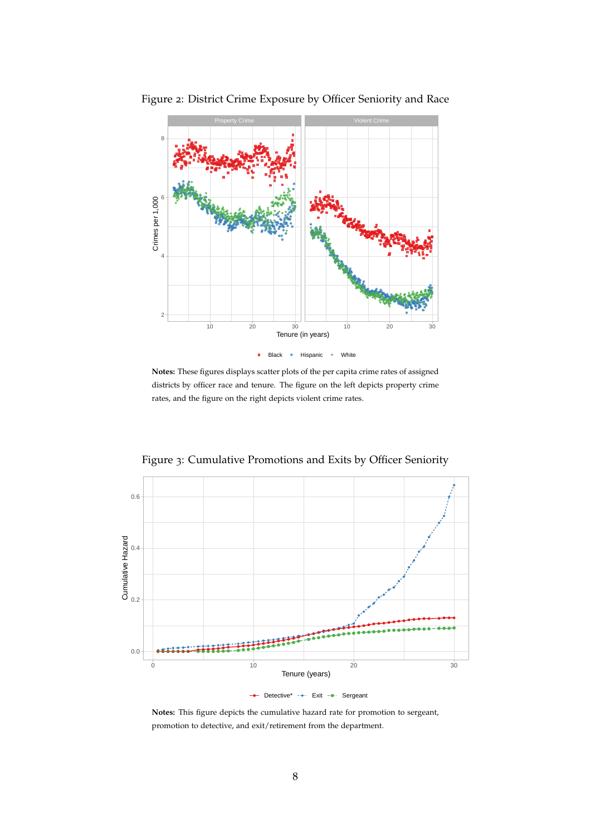<span id="page-9-0"></span>

Figure 2: District Crime Exposure by Officer Seniority and Race

**Notes:** These figures displays scatter plots of the per capita crime rates of assigned districts by officer race and tenure. The figure on the left depicts property crime rates, and the figure on the right depicts violent crime rates.



<span id="page-9-1"></span>Figure 3: Cumulative Promotions and Exits by Officer Seniority

 $\rightarrow$  Detective\*  $\rightarrow$  Exit  $\rightarrow$  Sergeant

**Notes:** This figure depicts the cumulative hazard rate for promotion to sergeant, promotion to detective, and exit/retirement from the department.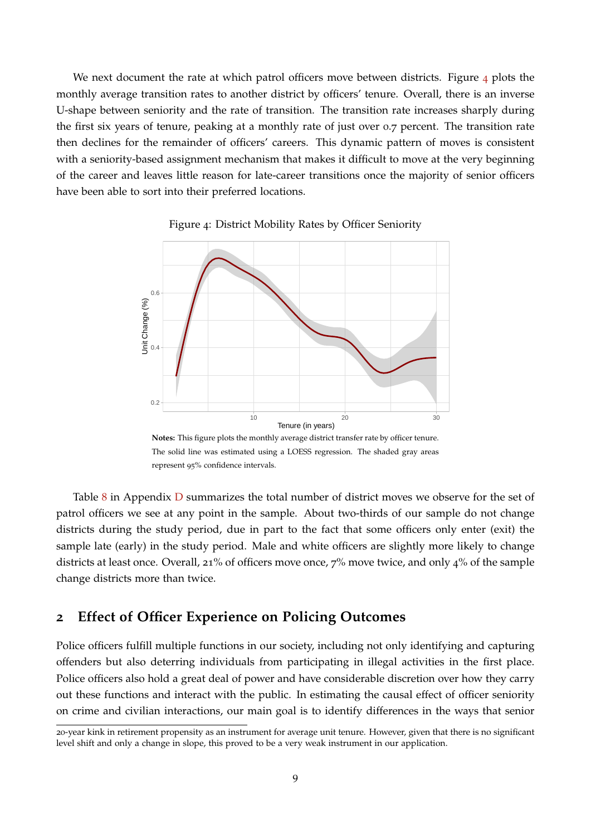We next document the rate at which patrol officers move between districts. Figure  $\frac{4}{7}$  $\frac{4}{7}$  $\frac{4}{7}$  plots the monthly average transition rates to another district by officers' tenure. Overall, there is an inverse U-shape between seniority and the rate of transition. The transition rate increases sharply during the first six years of tenure, peaking at a monthly rate of just over 0.7 percent. The transition rate then declines for the remainder of officers' careers. This dynamic pattern of moves is consistent with a seniority-based assignment mechanism that makes it difficult to move at the very beginning of the career and leaves little reason for late-career transitions once the majority of senior officers have been able to sort into their preferred locations.



<span id="page-10-1"></span>

Table  $8$  in Appendix  $D$  summarizes the total number of district moves we observe for the set of patrol officers we see at any point in the sample. About two-thirds of our sample do not change districts during the study period, due in part to the fact that some officers only enter (exit) the sample late (early) in the study period. Male and white officers are slightly more likely to change districts at least once. Overall, 21% of officers move once, 7% move twice, and only 4% of the sample change districts more than twice.

## <span id="page-10-0"></span>**2 Effect of Officer Experience on Policing Outcomes**

Police officers fulfill multiple functions in our society, including not only identifying and capturing offenders but also deterring individuals from participating in illegal activities in the first place. Police officers also hold a great deal of power and have considerable discretion over how they carry out these functions and interact with the public. In estimating the causal effect of officer seniority on crime and civilian interactions, our main goal is to identify differences in the ways that senior

<sup>20</sup>-year kink in retirement propensity as an instrument for average unit tenure. However, given that there is no significant level shift and only a change in slope, this proved to be a very weak instrument in our application.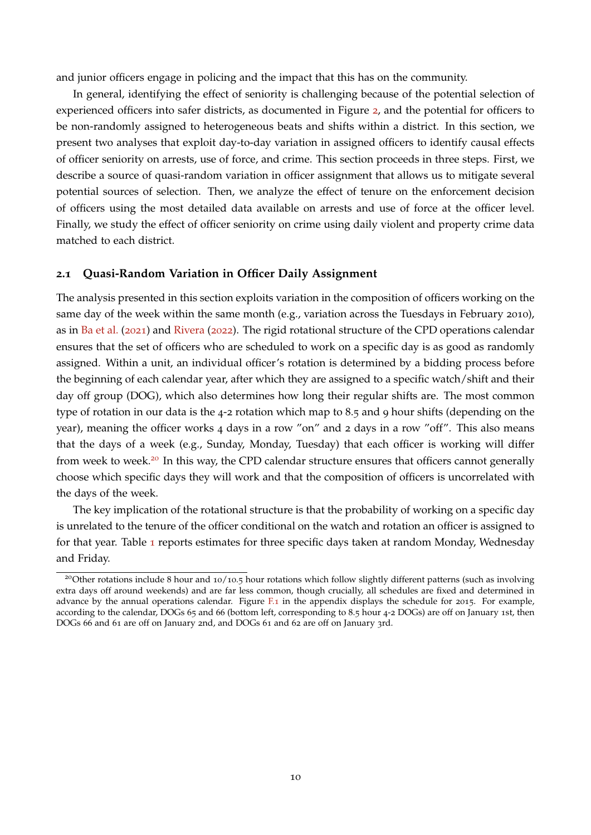and junior officers engage in policing and the impact that this has on the community.

In general, identifying the effect of seniority is challenging because of the potential selection of experienced officers into safer districts, as documented in Figure [2](#page-9-0), and the potential for officers to be non-randomly assigned to heterogeneous beats and shifts within a district. In this section, we present two analyses that exploit day-to-day variation in assigned officers to identify causal effects of officer seniority on arrests, use of force, and crime. This section proceeds in three steps. First, we describe a source of quasi-random variation in officer assignment that allows us to mitigate several potential sources of selection. Then, we analyze the effect of tenure on the enforcement decision of officers using the most detailed data available on arrests and use of force at the officer level. Finally, we study the effect of officer seniority on crime using daily violent and property crime data matched to each district.

#### **2.1 Quasi-Random Variation in Officer Daily Assignment**

The analysis presented in this section exploits variation in the composition of officers working on the same day of the week within the same month (e.g., variation across the Tuesdays in February 2010), as in [Ba et al.](#page-35-1) ([2021](#page-35-1)) and [Rivera](#page-37-6) ([2022](#page-37-6)). The rigid rotational structure of the CPD operations calendar ensures that the set of officers who are scheduled to work on a specific day is as good as randomly assigned. Within a unit, an individual officer's rotation is determined by a bidding process before the beginning of each calendar year, after which they are assigned to a specific watch/shift and their day off group (DOG), which also determines how long their regular shifts are. The most common type of rotation in our data is the 4-2 rotation which map to 8.5 and 9 hour shifts (depending on the year), meaning the officer works 4 days in a row "on" and 2 days in a row "off". This also means that the days of a week (e.g., Sunday, Monday, Tuesday) that each officer is working will differ from week to week.<sup>[20](#page--1-0)</sup> In this way, the CPD calendar structure ensures that officers cannot generally choose which specific days they will work and that the composition of officers is uncorrelated with the days of the week.

The key implication of the rotational structure is that the probability of working on a specific day is unrelated to the tenure of the officer conditional on the watch and rotation an officer is assigned to for that year. Table [1](#page-12-0) reports estimates for three specific days taken at random Monday, Wednesday and Friday.

<sup>&</sup>lt;sup>20</sup>Other rotations include 8 hour and 10/10.5 hour rotations which follow slightly different patterns (such as involving extra days off around weekends) and are far less common, though crucially, all schedules are fixed and determined in advance by the annual operations calendar. Figure [F.](#page-51-0)1 in the appendix displays the schedule for 2015. For example, according to the calendar, DOGs 65 and 66 (bottom left, corresponding to 8.5 hour 4-2 DOGs) are off on January 1st, then DOGs 66 and 61 are off on January 2nd, and DOGs 61 and 62 are off on January 3rd.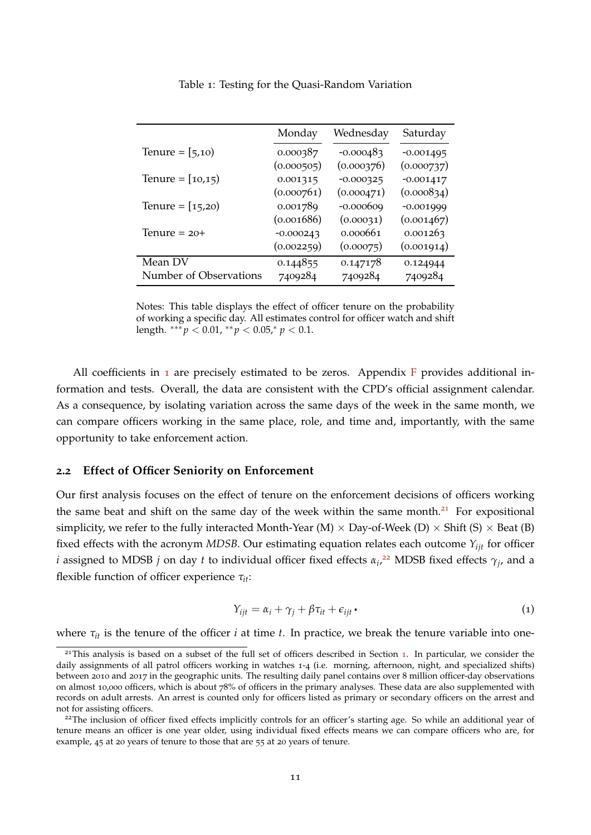|                        | Monday      | Wednesday   | Saturday    |
|------------------------|-------------|-------------|-------------|
| Tenure = $[5,10)$      | 0.000387    | $-0.000483$ | $-0.001495$ |
|                        | (0.000505)  | (0.000376)  | (0.000737)  |
| Tenure = $[10,15)$     | 0.001315    | $-0.000325$ | $-0.001417$ |
|                        | (0.000761)  | (0.000471)  | (0.000834)  |
| Tenure = $[15,20)$     | 0.001789    | $-0.000609$ | $-0.001999$ |
|                        | (0.001686)  | (0.00031)   | (0.001467)  |
| Tenure $= 20+$         | $-0.000243$ | 0.000661    | 0.001263    |
|                        | (0.002259)  | (0.00075)   | (0.001914)  |
| Mean DV                | 0.144855    | 0.147178    | 0.124944    |
| Number of Observations | 7409284     | 7409284     | 7409284     |

<span id="page-12-0"></span>Table 1: Testing for the Quasi-Random Variation

Notes: This table displays the effect of officer tenure on the probability of working a specific day. All estimates control for officer watch and shift length.  $***\,p$  < 0.01,  $**\,p$  < 0.05,\*  $p$  < 0.1.

All coefficients in  $\bf{1}$  $\bf{1}$  $\bf{1}$  are precisely estimated to be zeros. Appendix [F](#page-49-0) provides additional information and tests. Overall, the data are consistent with the CPD's official assignment calendar. As a consequence, by isolating variation across the same days of the week in the same month, we can compare officers working in the same place, role, and time and, importantly, with the same opportunity to take enforcement action.

#### **2.2 Effect of Officer Seniority on Enforcement**

Our first analysis focuses on the effect of tenure on the enforcement decisions of officers working the same beat and shift on the same day of the week within the same month.<sup>[21](#page--1-0)</sup> For expositional simplicity, we refer to the fully interacted Month-Year (M)  $\times$  Day-of-Week (D)  $\times$  Shift (S)  $\times$  Beat (B) fixed effects with the acronym *MDSB*. Our estimating equation relates each outcome *Yijt* for officer *i* assigned to MDSB *j* on day *t* to individual officer fixed effects  $\alpha_i$ ,<sup>[22](#page--1-0)</sup> MDSB fixed effects  $\gamma_j$ , and a flexible function of officer experience *τit*:

$$
Y_{ijt} = \alpha_i + \gamma_j + \beta \tau_{it} + \epsilon_{ijt} \tag{1}
$$

where  $\tau_{it}$  is the tenure of the officer *i* at time *t*. In practice, we break the tenure variable into one-

<sup>&</sup>lt;sup>2[1](#page-6-0)</sup>This analysis is based on a subset of the full set of officers described in Section 1. In particular, we consider the daily assignments of all patrol officers working in watches 1-4 (i.e. morning, afternoon, night, and specialized shifts) between 2010 and 2017 in the geographic units. The resulting daily panel contains over 8 million officer-day observations on almost 10,000 officers, which is about 78% of officers in the primary analyses. These data are also supplemented with records on adult arrests. An arrest is counted only for officers listed as primary or secondary officers on the arrest and not for assisting officers.

<sup>&</sup>lt;sup>22</sup>The inclusion of officer fixed effects implicitly controls for an officer's starting age. So while an additional year of tenure means an officer is one year older, using individual fixed effects means we can compare officers who are, for example, 45 at 20 years of tenure to those that are 55 at 20 years of tenure.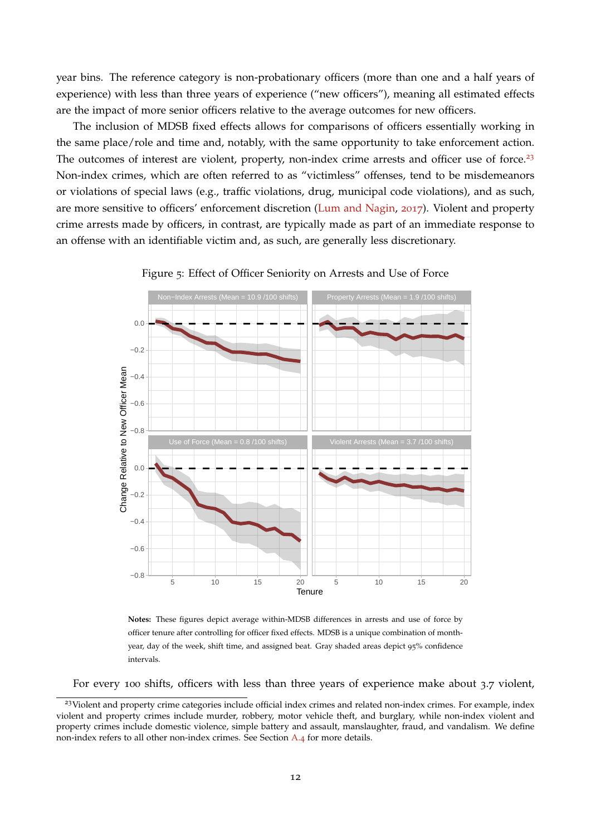year bins. The reference category is non-probationary officers (more than one and a half years of experience) with less than three years of experience ("new officers"), meaning all estimated effects are the impact of more senior officers relative to the average outcomes for new officers.

The inclusion of MDSB fixed effects allows for comparisons of officers essentially working in the same place/role and time and, notably, with the same opportunity to take enforcement action. The outcomes of interest are violent, property, non-index crime arrests and officer use of force.<sup>[23](#page--1-0)</sup> Non-index crimes, which are often referred to as "victimless" offenses, tend to be misdemeanors or violations of special laws (e.g., traffic violations, drug, municipal code violations), and as such, are more sensitive to officers' enforcement discretion [\(Lum and Nagin,](#page-36-13) [2017](#page-36-13)). Violent and property crime arrests made by officers, in contrast, are typically made as part of an immediate response to an offense with an identifiable victim and, as such, are generally less discretionary.



<span id="page-13-0"></span>Figure 5: Effect of Officer Seniority on Arrests and Use of Force

**Notes:** These figures depict average within-MDSB differences in arrests and use of force by officer tenure after controlling for officer fixed effects. MDSB is a unique combination of monthyear, day of the week, shift time, and assigned beat. Gray shaded areas depict 95% confidence intervals.

For every 100 shifts, officers with less than three years of experience make about 3.7 violent,

<sup>&</sup>lt;sup>23</sup>Violent and property crime categories include official index crimes and related non-index crimes. For example, index violent and property crimes include murder, robbery, motor vehicle theft, and burglary, while non-index violent and property crimes include domestic violence, simple battery and assault, manslaughter, fraud, and vandalism. We define non-index refers to all other non-index crimes. See Section [A.](#page-39-0)4 for more details.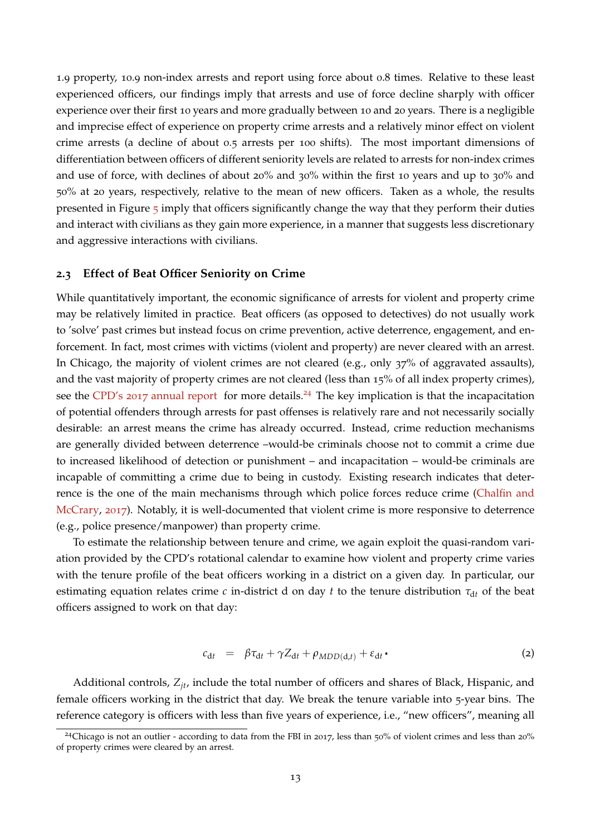1.9 property, 10.9 non-index arrests and report using force about 0.8 times. Relative to these least experienced officers, our findings imply that arrests and use of force decline sharply with officer experience over their first 10 years and more gradually between 10 and 20 years. There is a negligible and imprecise effect of experience on property crime arrests and a relatively minor effect on violent crime arrests (a decline of about 0.5 arrests per 100 shifts). The most important dimensions of differentiation between officers of different seniority levels are related to arrests for non-index crimes and use of force, with declines of about 20% and 30% within the first 10 years and up to 30% and 50% at 20 years, respectively, relative to the mean of new officers. Taken as a whole, the results presented in Figure  $\frac{1}{2}$  imply that officers significantly change the way that they perform their duties and interact with civilians as they gain more experience, in a manner that suggests less discretionary and aggressive interactions with civilians.

#### **2.3 Effect of Beat Officer Seniority on Crime**

While quantitatively important, the economic significance of arrests for violent and property crime may be relatively limited in practice. Beat officers (as opposed to detectives) do not usually work to 'solve' past crimes but instead focus on crime prevention, active deterrence, engagement, and enforcement. In fact, most crimes with victims (violent and property) are never cleared with an arrest. In Chicago, the majority of violent crimes are not cleared (e.g., only 37% of aggravated assaults), and the vast majority of property crimes are not cleared (less than 15% of all index property crimes), see the CPD's 2017 [annual report]( https://home.chicagopolice.org/wp-content/uploads/2019/03/Chicago-Police-Department-Annual-Report-2017.pdf) for more details.<sup>[24](#page--1-0)</sup> The key implication is that the incapacitation of potential offenders through arrests for past offenses is relatively rare and not necessarily socially desirable: an arrest means the crime has already occurred. Instead, crime reduction mechanisms are generally divided between deterrence –would-be criminals choose not to commit a crime due to increased likelihood of detection or punishment – and incapacitation – would-be criminals are incapable of committing a crime due to being in custody. Existing research indicates that deterrence is the one of the main mechanisms through which police forces reduce crime [\(Chalfin and](#page-35-8) [McCrary,](#page-35-8) [2017](#page-35-8)). Notably, it is well-documented that violent crime is more responsive to deterrence (e.g., police presence/manpower) than property crime.

To estimate the relationship between tenure and crime, we again exploit the quasi-random variation provided by the CPD's rotational calendar to examine how violent and property crime varies with the tenure profile of the beat officers working in a district on a given day. In particular, our estimating equation relates crime  $c$  in-district d on day  $t$  to the tenure distribution  $\tau_{dt}$  of the beat officers assigned to work on that day:

$$
c_{\mathrm{d}t} = \beta \tau_{\mathrm{d}t} + \gamma Z_{\mathrm{d}t} + \rho_{MDD(\mathrm{d},t)} + \varepsilon_{\mathrm{d}t} \,.
$$

Additional controls, *Zjt*, include the total number of officers and shares of Black, Hispanic, and female officers working in the district that day. We break the tenure variable into 5-year bins. The reference category is officers with less than five years of experience, i.e., "new officers", meaning all

<sup>&</sup>lt;sup>24</sup>Chicago is not an outlier - according to data from the FBI in 2017, less than 50% of violent crimes and less than 20% of property crimes were cleared by an arrest.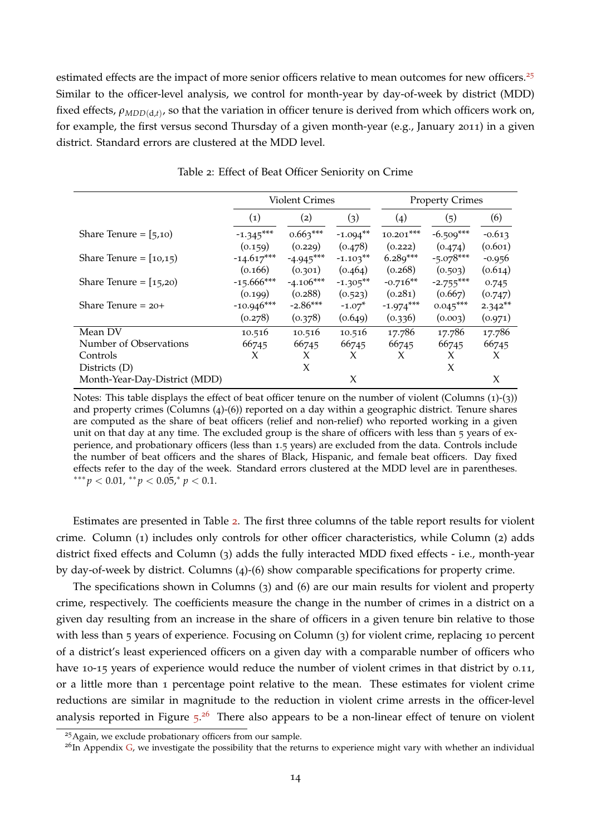estimated effects are the impact of more senior officers relative to mean outcomes for new officers.<sup>[25](#page--1-0)</sup> Similar to the officer-level analysis, we control for month-year by day-of-week by district (MDD) fixed effects,  $\rho_{MDD(d,t)}$ , so that the variation in officer tenure is derived from which officers work on, for example, the first versus second Thursday of a given month-year (e.g., January 2011) in a given district. Standard errors are clustered at the MDD level.

|                               |                   | <b>Violent Crimes</b>         |             |             | <b>Property Crimes</b>                                                                           |           |
|-------------------------------|-------------------|-------------------------------|-------------|-------------|--------------------------------------------------------------------------------------------------|-----------|
|                               | $\left( 1\right)$ | (2)                           | (3)         | (4)         | (5)                                                                                              | (6)       |
| Share Tenure = $[5,10)$       | $-1.345***$       | $0.663***$                    | $-1.094**$  | $10.201***$ | $-6.509***$                                                                                      | $-0.613$  |
|                               | (0.159)           | (0.229)                       | (0.478)     | (0.222)     | (0.474)                                                                                          | (0.601)   |
| Share Tenure = $(10,15)$      | $-14.617***$      | $-4.945***$                   | $-1.103**$  | $6.289***$  |                                                                                                  | $-0.956$  |
|                               | (0.166)           | (0.301)                       | (0.464)     | (0.268)     | (0.503)                                                                                          | (0.614)   |
| Share Tenure = $[15,20)$      | $-15.666***$      | $-4.106***$                   | $-1.305***$ | $-0.716**$  | $-5.078***$<br>$-2.755***$<br>(0.667)<br>$0.045***$<br>(0.003)<br>17.786<br>66745<br>X<br>X<br>X | 0.745     |
|                               | (0.199)           | (0.288)                       | (0.523)     | (0.281)     |                                                                                                  | (0.747)   |
| Share Tenure $= 20+$          | $-10.946***$      | $-2.86***$                    | $-1.07*$    | $-1.974***$ |                                                                                                  | $2.342**$ |
|                               | (0.278)           | (0.378)<br>(0.649)<br>(0.336) |             | (0.971)     |                                                                                                  |           |
| Mean DV                       | 10.516            | 10.516                        | 10.516      | 17.786      |                                                                                                  | 17.786    |
| Number of Observations        | 66745             | 66745                         | 66745       | 66745       |                                                                                                  | 66745     |
| Controls                      | X                 | X                             | X           |             |                                                                                                  | X         |
| Districts (D)                 |                   | $\chi$                        |             |             |                                                                                                  |           |
| Month-Year-Day-District (MDD) |                   |                               | X           |             |                                                                                                  | X         |

<span id="page-15-0"></span>Table 2: Effect of Beat Officer Seniority on Crime

Notes: This table displays the effect of beat officer tenure on the number of violent (Columns (1)-(3)) and property crimes (Columns  $(4)-(6)$ ) reported on a day within a geographic district. Tenure shares are computed as the share of beat officers (relief and non-relief) who reported working in a given unit on that day at any time. The excluded group is the share of officers with less than 5 years of experience, and probationary officers (less than 1.5 years) are excluded from the data. Controls include the number of beat officers and the shares of Black, Hispanic, and female beat officers. Day fixed effects refer to the day of the week. Standard errors clustered at the MDD level are in parentheses. ∗∗∗ *p* < 0.01, ∗∗ *p* < 0.05,<sup>∗</sup> *p* < 0.1.

Estimates are presented in Table [2](#page-15-0). The first three columns of the table report results for violent crime. Column (1) includes only controls for other officer characteristics, while Column (2) adds district fixed effects and Column (3) adds the fully interacted MDD fixed effects - i.e., month-year by day-of-week by district. Columns (4)-(6) show comparable specifications for property crime.

The specifications shown in Columns (3) and (6) are our main results for violent and property crime, respectively. The coefficients measure the change in the number of crimes in a district on a given day resulting from an increase in the share of officers in a given tenure bin relative to those with less than 5 years of experience. Focusing on Column (3) for violent crime, replacing 10 percent of a district's least experienced officers on a given day with a comparable number of officers who have 10-15 years of experience would reduce the number of violent crimes in that district by 0.11, or a little more than 1 percentage point relative to the mean. These estimates for violent crime reductions are similar in magnitude to the reduction in violent crime arrests in the officer-level analysis reported in Figure [5](#page-13-0).<sup>[26](#page--1-0)</sup> There also appears to be a non-linear effect of tenure on violent

<sup>&</sup>lt;sup>25</sup>Again, we exclude probationary officers from our sample.

 $26$ In Appendix [G,](#page-52-0) we investigate the possibility that the returns to experience might vary with whether an individual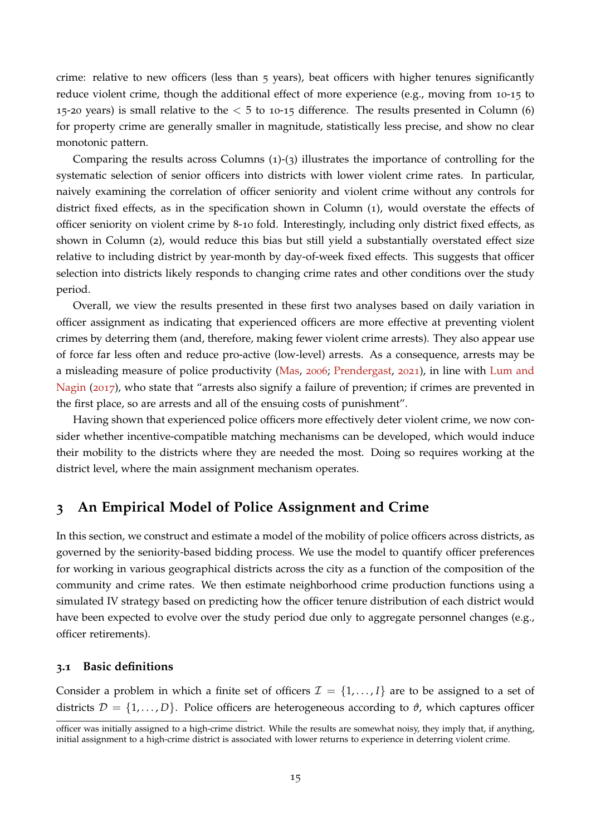crime: relative to new officers (less than 5 years), beat officers with higher tenures significantly reduce violent crime, though the additional effect of more experience (e.g., moving from 10-15 to 15-20 years) is small relative to the  $<$  5 to 10-15 difference. The results presented in Column (6) for property crime are generally smaller in magnitude, statistically less precise, and show no clear monotonic pattern.

Comparing the results across Columns (1)-(3) illustrates the importance of controlling for the systematic selection of senior officers into districts with lower violent crime rates. In particular, naively examining the correlation of officer seniority and violent crime without any controls for district fixed effects, as in the specification shown in Column (1), would overstate the effects of officer seniority on violent crime by 8-10 fold. Interestingly, including only district fixed effects, as shown in Column (2), would reduce this bias but still yield a substantially overstated effect size relative to including district by year-month by day-of-week fixed effects. This suggests that officer selection into districts likely responds to changing crime rates and other conditions over the study period.

Overall, we view the results presented in these first two analyses based on daily variation in officer assignment as indicating that experienced officers are more effective at preventing violent crimes by deterring them (and, therefore, making fewer violent crime arrests). They also appear use of force far less often and reduce pro-active (low-level) arrests. As a consequence, arrests may be a misleading measure of police productivity [\(Mas,](#page-36-14) [2006](#page-36-14); [Prendergast,](#page-37-7) [2021](#page-37-7)), in line with [Lum and](#page-36-13) [Nagin](#page-36-13) ([2017](#page-36-13)), who state that "arrests also signify a failure of prevention; if crimes are prevented in the first place, so are arrests and all of the ensuing costs of punishment".

Having shown that experienced police officers more effectively deter violent crime, we now consider whether incentive-compatible matching mechanisms can be developed, which would induce their mobility to the districts where they are needed the most. Doing so requires working at the district level, where the main assignment mechanism operates.

## <span id="page-16-0"></span>**3 An Empirical Model of Police Assignment and Crime**

In this section, we construct and estimate a model of the mobility of police officers across districts, as governed by the seniority-based bidding process. We use the model to quantify officer preferences for working in various geographical districts across the city as a function of the composition of the community and crime rates. We then estimate neighborhood crime production functions using a simulated IV strategy based on predicting how the officer tenure distribution of each district would have been expected to evolve over the study period due only to aggregate personnel changes (e.g., officer retirements).

#### **3.1 Basic definitions**

Consider a problem in which a finite set of officers  $\mathcal{I} = \{1, \ldots, I\}$  are to be assigned to a set of districts  $\mathcal{D} = \{1, \ldots, D\}$ . Police officers are heterogeneous according to  $\vartheta$ , which captures officer

officer was initially assigned to a high-crime district. While the results are somewhat noisy, they imply that, if anything, initial assignment to a high-crime district is associated with lower returns to experience in deterring violent crime.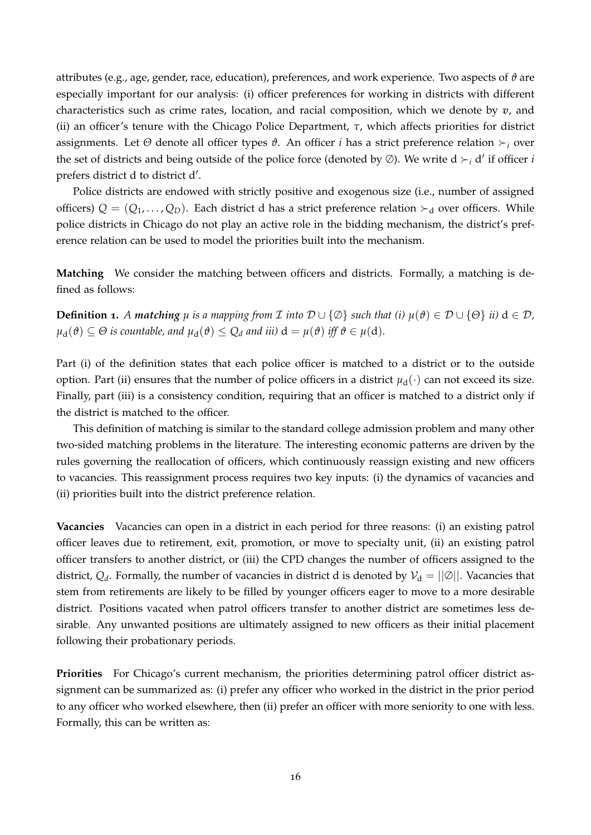attributes (e.g., age, gender, race, education), preferences, and work experience. Two aspects of *ϑ* are especially important for our analysis: (i) officer preferences for working in districts with different characteristics such as crime rates, location, and racial composition, which we denote by *v*, and (ii) an officer's tenure with the Chicago Police Department, *τ*, which affects priorities for district assignments. Let *Θ* denote all officer types *ϑ*. An officer *i* has a strict preference relation *<sup>i</sup>* over the set of districts and being outside of the police force (denoted by  $\varnothing$ ). We write d  $\succ_i$  d' if officer *i* prefers district d to district d'.

Police districts are endowed with strictly positive and exogenous size (i.e., number of assigned officers)  $Q = (Q_1, \ldots, Q_D)$ . Each district d has a strict preference relation  $\succ_d$  over officers. While police districts in Chicago do not play an active role in the bidding mechanism, the district's preference relation can be used to model the priorities built into the mechanism.

**Matching** We consider the matching between officers and districts. Formally, a matching is defined as follows:

**Definition 1.** A matching  $\mu$  is a mapping from  $\mathcal I$  into  $\mathcal D \cup \{\emptyset\}$  such that (i)  $\mu(\vartheta) \in \mathcal D \cup \{\Theta\}$  ii)  $d \in \mathcal D$ ,  $\mu_d(\theta) \subseteq \Theta$  *is countable, and*  $\mu_d(\theta) \leq Q_d$  *and iii*)  $d = \mu(\theta)$  *iff*  $\theta \in \mu(d)$ *.* 

Part (i) of the definition states that each police officer is matched to a district or to the outside option. Part (ii) ensures that the number of police officers in a district  $\mu_d(\cdot)$  can not exceed its size. Finally, part (iii) is a consistency condition, requiring that an officer is matched to a district only if the district is matched to the officer.

This definition of matching is similar to the standard college admission problem and many other two-sided matching problems in the literature. The interesting economic patterns are driven by the rules governing the reallocation of officers, which continuously reassign existing and new officers to vacancies. This reassignment process requires two key inputs: (i) the dynamics of vacancies and (ii) priorities built into the district preference relation.

**Vacancies** Vacancies can open in a district in each period for three reasons: (i) an existing patrol officer leaves due to retirement, exit, promotion, or move to specialty unit, (ii) an existing patrol officer transfers to another district, or (iii) the CPD changes the number of officers assigned to the district,  $Q_d$ . Formally, the number of vacancies in district d is denoted by  $\mathcal{V}_d = ||\emptyset||$ . Vacancies that stem from retirements are likely to be filled by younger officers eager to move to a more desirable district. Positions vacated when patrol officers transfer to another district are sometimes less desirable. Any unwanted positions are ultimately assigned to new officers as their initial placement following their probationary periods.

**Priorities** For Chicago's current mechanism, the priorities determining patrol officer district assignment can be summarized as: (i) prefer any officer who worked in the district in the prior period to any officer who worked elsewhere, then (ii) prefer an officer with more seniority to one with less. Formally, this can be written as: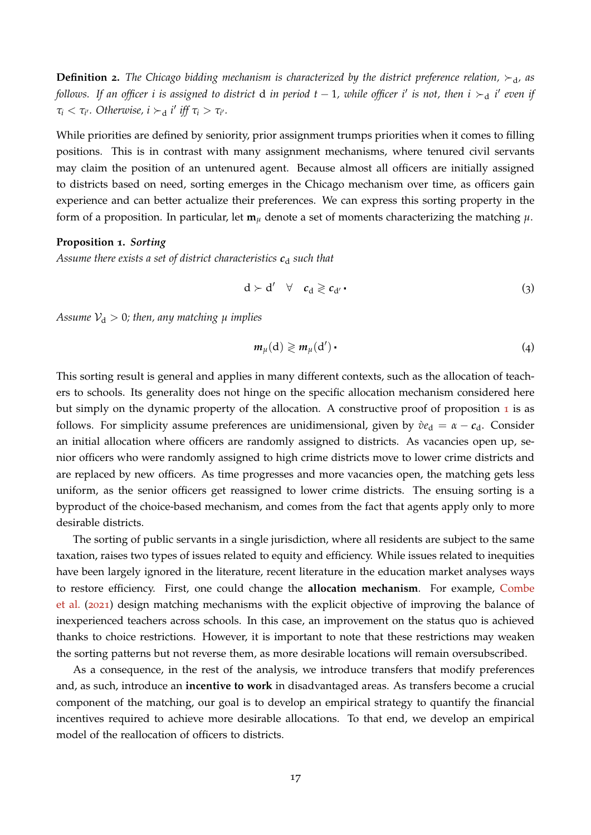**Definition 2.** The Chicago bidding mechanism is characterized by the district preference relation,  $\succ_d$ , as *follows. If an officer i is assigned to district*  $d$  *in period t − 1, while officer i' is not, then i*  $\succ_d$  *i' even if*  $\tau_i < \tau_{i'}$ . Otherwise,  $i \succ_d i'$  iff  $\tau_i > \tau_{i'}$ .

While priorities are defined by seniority, prior assignment trumps priorities when it comes to filling positions. This is in contrast with many assignment mechanisms, where tenured civil servants may claim the position of an untenured agent. Because almost all officers are initially assigned to districts based on need, sorting emerges in the Chicago mechanism over time, as officers gain experience and can better actualize their preferences. We can express this sorting property in the form of a proposition. In particular, let  $m<sub>\mu</sub>$  denote a set of moments characterizing the matching  $\mu$ .

#### <span id="page-18-0"></span>**Proposition 1.** *Sorting*

Assume there exists a set of district characteristics  $c_d$  such that

$$
d \succ d' \quad \forall \quad c_d \geqslant c_{d'} \qquad \qquad (3)
$$

*Assume*  $V_d > 0$ *; then, any matching*  $\mu$  *implies* 

$$
m_{\mu}(\mathbf{d}) \geqslant m_{\mu}(\mathbf{d}') \qquad (4)
$$

This sorting result is general and applies in many different contexts, such as the allocation of teachers to schools. Its generality does not hinge on the specific allocation mechanism considered here but simply on the dynamic property of the allocation. A constructive proof of proposition [1](#page-18-0) is as follows. For simplicity assume preferences are unidimensional, given by  $\dot{v}e_{d} = \alpha - c_{d}$ . Consider an initial allocation where officers are randomly assigned to districts. As vacancies open up, senior officers who were randomly assigned to high crime districts move to lower crime districts and are replaced by new officers. As time progresses and more vacancies open, the matching gets less uniform, as the senior officers get reassigned to lower crime districts. The ensuing sorting is a byproduct of the choice-based mechanism, and comes from the fact that agents apply only to more desirable districts.

The sorting of public servants in a single jurisdiction, where all residents are subject to the same taxation, raises two types of issues related to equity and efficiency. While issues related to inequities have been largely ignored in the literature, recent literature in the education market analyses ways to restore efficiency. First, one could change the **allocation mechanism**. For example, [Combe](#page-35-10) [et al.](#page-35-10) ([2021](#page-35-10)) design matching mechanisms with the explicit objective of improving the balance of inexperienced teachers across schools. In this case, an improvement on the status quo is achieved thanks to choice restrictions. However, it is important to note that these restrictions may weaken the sorting patterns but not reverse them, as more desirable locations will remain oversubscribed.

As a consequence, in the rest of the analysis, we introduce transfers that modify preferences and, as such, introduce an **incentive to work** in disadvantaged areas. As transfers become a crucial component of the matching, our goal is to develop an empirical strategy to quantify the financial incentives required to achieve more desirable allocations. To that end, we develop an empirical model of the reallocation of officers to districts.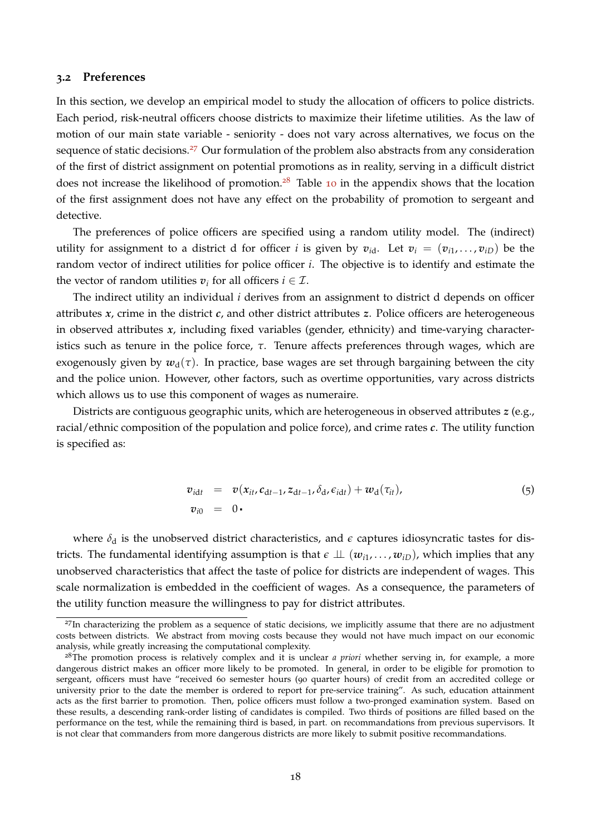#### **3.2 Preferences**

In this section, we develop an empirical model to study the allocation of officers to police districts. Each period, risk-neutral officers choose districts to maximize their lifetime utilities. As the law of motion of our main state variable - seniority - does not vary across alternatives, we focus on the sequence of static decisions.<sup>[27](#page--1-0)</sup> Our formulation of the problem also abstracts from any consideration of the first of district assignment on potential promotions as in reality, serving in a difficult district does not increase the likelihood of promotion.<sup>[28](#page--1-0)</sup> Table [10](#page-52-1) in the appendix shows that the location of the first assignment does not have any effect on the probability of promotion to sergeant and detective.

The preferences of police officers are specified using a random utility model. The (indirect) utility for assignment to a district d for officer *i* is given by  $v_{id}$ . Let  $v_i = (v_{i1}, \ldots, v_{iD})$  be the random vector of indirect utilities for police officer *i*. The objective is to identify and estimate the the vector of random utilities  $v_i$  for all officers  $i \in \mathcal{I}$ .

The indirect utility an individual *i* derives from an assignment to district d depends on officer attributes *x*, crime in the district *c*, and other district attributes *z*. Police officers are heterogeneous in observed attributes *x*, including fixed variables (gender, ethnicity) and time-varying characteristics such as tenure in the police force, *τ*. Tenure affects preferences through wages, which are exogenously given by  $w_d(\tau)$ . In practice, base wages are set through bargaining between the city and the police union. However, other factors, such as overtime opportunities, vary across districts which allows us to use this component of wages as numeraire.

Districts are contiguous geographic units, which are heterogeneous in observed attributes *z* (e.g., racial/ethnic composition of the population and police force), and crime rates *c*. The utility function is specified as:

$$
v_{idt} = v(x_{it}, c_{dt-1}, z_{dt-1}, \delta_d, \epsilon_{idt}) + w_d(\tau_{it}),
$$
  
\n
$$
v_{i0} = 0.
$$
 (5)

where  $\delta_d$  is the unobserved district characteristics, and  $\epsilon$  captures idiosyncratic tastes for districts. The fundamental identifying assumption is that  $\epsilon \perp \perp (w_{i1}, \ldots, w_{iD})$ , which implies that any unobserved characteristics that affect the taste of police for districts are independent of wages. This scale normalization is embedded in the coefficient of wages. As a consequence, the parameters of the utility function measure the willingness to pay for district attributes.

<sup>&</sup>lt;sup>27</sup>In characterizing the problem as a sequence of static decisions, we implicitly assume that there are no adjustment costs between districts. We abstract from moving costs because they would not have much impact on our economic analysis, while greatly increasing the computational complexity.

<sup>&</sup>lt;sup>28</sup>The promotion process is relatively complex and it is unclear *a priori* whether serving in, for example, a more dangerous district makes an officer more likely to be promoted. In general, in order to be eligible for promotion to sergeant, officers must have "received 60 semester hours (90 quarter hours) of credit from an accredited college or university prior to the date the member is ordered to report for pre-service training". As such, education attainment acts as the first barrier to promotion. Then, police officers must follow a two-pronged examination system. Based on these results, a descending rank-order listing of candidates is compiled. Two thirds of positions are filled based on the performance on the test, while the remaining third is based, in part. on recommandations from previous supervisors. It is not clear that commanders from more dangerous districts are more likely to submit positive recommandations.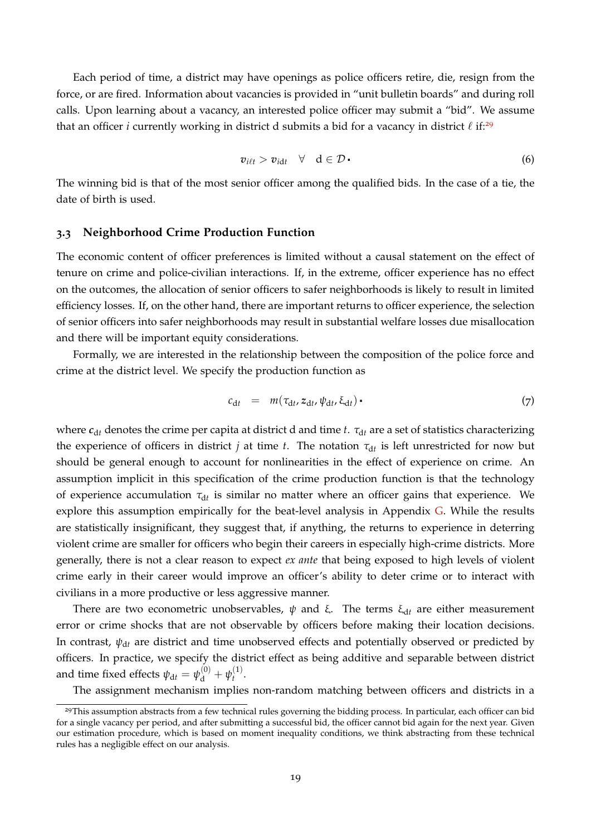Each period of time, a district may have openings as police officers retire, die, resign from the force, or are fired. Information about vacancies is provided in "unit bulletin boards" and during roll calls. Upon learning about a vacancy, an interested police officer may submit a "bid". We assume that an officer *i* currently working in district d submits a bid for a vacancy in district  $\ell$  if:<sup>[29](#page--1-0)</sup>

$$
v_{i\ell t} > v_{i\mathrm{d}t} \quad \forall \quad \mathrm{d} \in \mathcal{D} \tag{6}
$$

The winning bid is that of the most senior officer among the qualified bids. In the case of a tie, the date of birth is used.

#### **3.3 Neighborhood Crime Production Function**

The economic content of officer preferences is limited without a causal statement on the effect of tenure on crime and police-civilian interactions. If, in the extreme, officer experience has no effect on the outcomes, the allocation of senior officers to safer neighborhoods is likely to result in limited efficiency losses. If, on the other hand, there are important returns to officer experience, the selection of senior officers into safer neighborhoods may result in substantial welfare losses due misallocation and there will be important equity considerations.

Formally, we are interested in the relationship between the composition of the police force and crime at the district level. We specify the production function as

$$
c_{dt} = m(\tau_{dt}, z_{dt}, \psi_{dt}, \xi_{dt}) \tag{7}
$$

where *c*<sub>dt</sub> denotes the crime per capita at district d and time *t*. *τ*<sub>dt</sub> are a set of statistics characterizing the experience of officers in district  $j$  at time  $t$ . The notation  $\tau_{\mathrm{d}t}$  is left unrestricted for now but should be general enough to account for nonlinearities in the effect of experience on crime. An assumption implicit in this specification of the crime production function is that the technology of experience accumulation  $τ_{dt}$  is similar no matter where an officer gains that experience. We explore this assumption empirically for the beat-level analysis in Appendix [G.](#page-52-0) While the results are statistically insignificant, they suggest that, if anything, the returns to experience in deterring violent crime are smaller for officers who begin their careers in especially high-crime districts. More generally, there is not a clear reason to expect *ex ante* that being exposed to high levels of violent crime early in their career would improve an officer's ability to deter crime or to interact with civilians in a more productive or less aggressive manner.

There are two econometric unobservables,  $\psi$  and  $\xi$ . The terms  $\xi_{dt}$  are either measurement error or crime shocks that are not observable by officers before making their location decisions. In contrast,  $\psi_{dt}$  are district and time unobserved effects and potentially observed or predicted by officers. In practice, we specify the district effect as being additive and separable between district and time fixed effects  $\psi_{\mathrm{d}t} = \psi_{\mathrm{d}}^{(0)} + \psi_{t}^{(1)}$  $t^{(1)}$ .

The assignment mechanism implies non-random matching between officers and districts in a

<sup>&</sup>lt;sup>29</sup>This assumption abstracts from a few technical rules governing the bidding process. In particular, each officer can bid for a single vacancy per period, and after submitting a successful bid, the officer cannot bid again for the next year. Given our estimation procedure, which is based on moment inequality conditions, we think abstracting from these technical rules has a negligible effect on our analysis.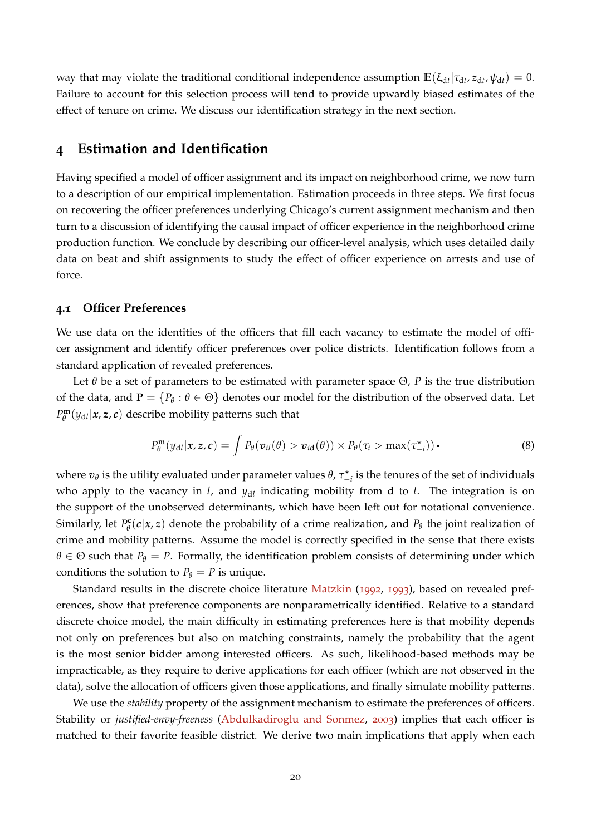way that may violate the traditional conditional independence assumption  $\mathbb{E}(\xi_{dt}|\tau_{dt}, z_{dt}, \psi_{dt}) = 0$ . Failure to account for this selection process will tend to provide upwardly biased estimates of the effect of tenure on crime. We discuss our identification strategy in the next section.

## <span id="page-21-0"></span>**4 Estimation and Identification**

Having specified a model of officer assignment and its impact on neighborhood crime, we now turn to a description of our empirical implementation. Estimation proceeds in three steps. We first focus on recovering the officer preferences underlying Chicago's current assignment mechanism and then turn to a discussion of identifying the causal impact of officer experience in the neighborhood crime production function. We conclude by describing our officer-level analysis, which uses detailed daily data on beat and shift assignments to study the effect of officer experience on arrests and use of force.

#### **4.1 Officer Preferences**

We use data on the identities of the officers that fill each vacancy to estimate the model of officer assignment and identify officer preferences over police districts. Identification follows from a standard application of revealed preferences.

Let  $\theta$  be a set of parameters to be estimated with parameter space  $\Theta$ , *P* is the true distribution of the data, and  $P = \{P_\theta : \theta \in \Theta\}$  denotes our model for the distribution of the observed data. Let  $P_{\theta}^{\mathbf{m}}$  $\theta^{\mathbf{m}}_{\theta}(y_{\mathrm{d}l}|\mathbf{x},\mathbf{z},\mathbf{c})$  describe mobility patterns such that

$$
P_{\theta}^{\mathbf{m}}(y_{\mathrm{d}l}|\mathbf{x},\mathbf{z},\mathbf{c})=\int P_{\theta}(v_{il}(\theta)>v_{i\mathrm{d}}(\theta))\times P_{\theta}(\tau_{i}>\max(\tau_{-i}^{\star}))\,\mathbf{.}
$$
\n(8)

where  $v_\theta$  is the utility evaluated under parameter values  $\theta$ ,  $\tau_{-i}^*$  is the tenures of the set of individuals who apply to the vacancy in *l*, and *y*d*<sup>l</sup>* indicating mobility from d to *l*. The integration is on the support of the unobserved determinants, which have been left out for notational convenience. Similarly, let *P* **c**  $P_{\theta}^{\mathbf{c}}(c|\mathbf{x}, \mathbf{z})$  denote the probability of a crime realization, and  $P_{\theta}$  the joint realization of crime and mobility patterns. Assume the model is correctly specified in the sense that there exists  $\theta \in \Theta$  such that  $P_{\theta} = P$ . Formally, the identification problem consists of determining under which conditions the solution to  $P_{\theta} = P$  is unique.

Standard results in the discrete choice literature [Matzkin](#page-37-8) ([1992](#page-37-8), [1993](#page-37-9)), based on revealed preferences, show that preference components are nonparametrically identified. Relative to a standard discrete choice model, the main difficulty in estimating preferences here is that mobility depends not only on preferences but also on matching constraints, namely the probability that the agent is the most senior bidder among interested officers. As such, likelihood-based methods may be impracticable, as they require to derive applications for each officer (which are not observed in the data), solve the allocation of officers given those applications, and finally simulate mobility patterns.

We use the *stability* property of the assignment mechanism to estimate the preferences of officers. Stability or *justified-envy-freeness* [\(Abdulkadiroglu and Sonmez,](#page-35-5) [2003](#page-35-5)) implies that each officer is matched to their favorite feasible district. We derive two main implications that apply when each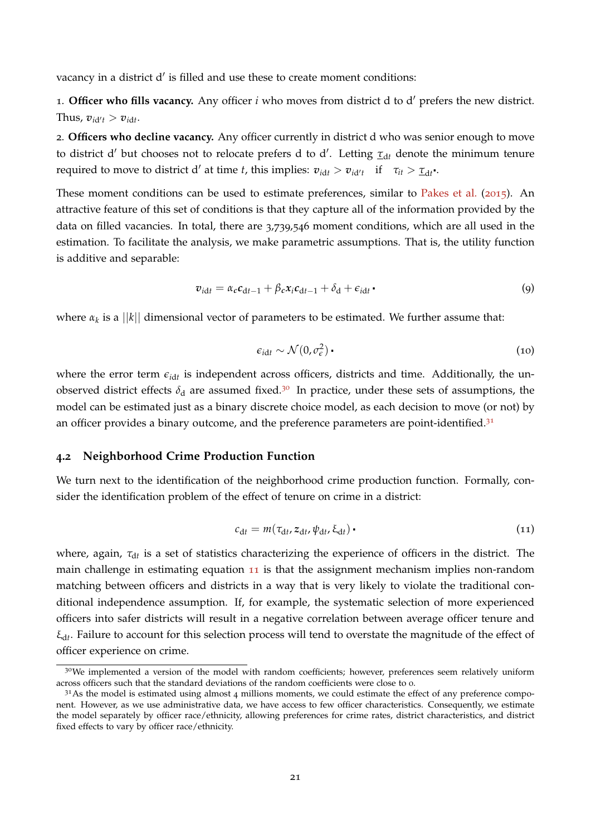vacancy in a district d' is filled and use these to create moment conditions:

1. Officer who fills vacancy. Any officer *i* who moves from district d to d' prefers the new district. Thus,  $v_{id't} > v_{idt}$ .

2. **Officers who decline vacancy.** Any officer currently in district d who was senior enough to move to district d' but chooses not to relocate prefers d to d'. Letting  $\tau_{dt}$  denote the minimum tenure required to move to district d' at time *t*, this implies:  $v_{idt} > v_{id't}$  if  $\tau_{it} > \tau_{dt}$ .

These moment conditions can be used to estimate preferences, similar to [Pakes et al.](#page-37-10) ([2015](#page-37-10)). An attractive feature of this set of conditions is that they capture all of the information provided by the data on filled vacancies. In total, there are 3,739,546 moment conditions, which are all used in the estimation. To facilitate the analysis, we make parametric assumptions. That is, the utility function is additive and separable:

<span id="page-22-1"></span>
$$
v_{\text{id}t} = \alpha_c c_{\text{d}t-1} + \beta_c x_i c_{\text{d}t-1} + \delta_{\text{d}} + \epsilon_{\text{id}t} \tag{9}
$$

where  $\alpha_k$  is a  $||k||$  dimensional vector of parameters to be estimated. We further assume that:

$$
\epsilon_{\rm idt} \sim \mathcal{N}(0, \sigma_{\epsilon}^2) \tag{10}
$$

where the error term  $\epsilon_{idt}$  is independent across officers, districts and time. Additionally, the unobserved district effects  $\delta_d$  are assumed fixed.<sup>[30](#page--1-0)</sup> In practice, under these sets of assumptions, the model can be estimated just as a binary discrete choice model, as each decision to move (or not) by an officer provides a binary outcome, and the preference parameters are point-identified.<sup>[31](#page--1-0)</sup>

#### **4.2 Neighborhood Crime Production Function**

We turn next to the identification of the neighborhood crime production function. Formally, consider the identification problem of the effect of tenure on crime in a district:

<span id="page-22-0"></span>
$$
c_{\mathrm{d}t} = m(\tau_{\mathrm{d}t}, z_{\mathrm{d}t}, \psi_{\mathrm{d}t}, \xi_{\mathrm{d}t}) \tag{11}
$$

where, again, τ<sub>dt</sub> is a set of statistics characterizing the experience of officers in the district. The main challenge in estimating equation [11](#page-22-0) is that the assignment mechanism implies non-random matching between officers and districts in a way that is very likely to violate the traditional conditional independence assumption. If, for example, the systematic selection of more experienced officers into safer districts will result in a negative correlation between average officer tenure and ξd*<sup>t</sup>* . Failure to account for this selection process will tend to overstate the magnitude of the effect of officer experience on crime.

<sup>&</sup>lt;sup>30</sup>We implemented a version of the model with random coefficients; however, preferences seem relatively uniform across officers such that the standard deviations of the random coefficients were close to 0.

 $31$ As the model is estimated using almost 4 millions moments, we could estimate the effect of any preference component. However, as we use administrative data, we have access to few officer characteristics. Consequently, we estimate the model separately by officer race/ethnicity, allowing preferences for crime rates, district characteristics, and district fixed effects to vary by officer race/ethnicity.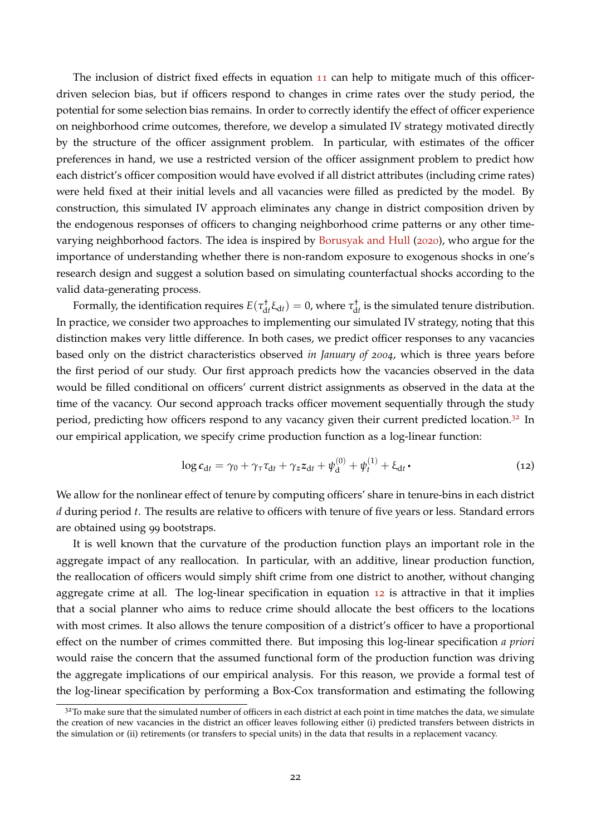The inclusion of district fixed effects in equation [11](#page-22-0) can help to mitigate much of this officerdriven selecion bias, but if officers respond to changes in crime rates over the study period, the potential for some selection bias remains. In order to correctly identify the effect of officer experience on neighborhood crime outcomes, therefore, we develop a simulated IV strategy motivated directly by the structure of the officer assignment problem. In particular, with estimates of the officer preferences in hand, we use a restricted version of the officer assignment problem to predict how each district's officer composition would have evolved if all district attributes (including crime rates) were held fixed at their initial levels and all vacancies were filled as predicted by the model. By construction, this simulated IV approach eliminates any change in district composition driven by the endogenous responses of officers to changing neighborhood crime patterns or any other timevarying neighborhood factors. The idea is inspired by [Borusyak and Hull](#page-35-11) ([2020](#page-35-11)), who argue for the importance of understanding whether there is non-random exposure to exogenous shocks in one's research design and suggest a solution based on simulating counterfactual shocks according to the valid data-generating process.

Formally, the identification requires  $E(\tau_{dt}^{\dagger} \xi_{dt}) = 0$ , where  $\tau_{dt}^{\dagger}$  is the simulated tenure distribution. In practice, we consider two approaches to implementing our simulated IV strategy, noting that this distinction makes very little difference. In both cases, we predict officer responses to any vacancies based only on the district characteristics observed *in January of 2004*, which is three years before the first period of our study. Our first approach predicts how the vacancies observed in the data would be filled conditional on officers' current district assignments as observed in the data at the time of the vacancy. Our second approach tracks officer movement sequentially through the study period, predicting how officers respond to any vacancy given their current predicted location.<sup>[32](#page--1-0)</sup> In our empirical application, we specify crime production function as a log-linear function:

<span id="page-23-0"></span>
$$
\log c_{\mathrm{d}t} = \gamma_0 + \gamma_\tau \tau_{\mathrm{d}t} + \gamma_z z_{\mathrm{d}t} + \psi_{\mathrm{d}}^{(0)} + \psi_t^{(1)} + \xi_{\mathrm{d}t} \,.
$$

We allow for the nonlinear effect of tenure by computing officers' share in tenure-bins in each district *d* during period *t*. The results are relative to officers with tenure of five years or less. Standard errors are obtained using 99 bootstraps.

It is well known that the curvature of the production function plays an important role in the aggregate impact of any reallocation. In particular, with an additive, linear production function, the reallocation of officers would simply shift crime from one district to another, without changing aggregate crime at all. The log-linear specification in equation [12](#page-23-0) is attractive in that it implies that a social planner who aims to reduce crime should allocate the best officers to the locations with most crimes. It also allows the tenure composition of a district's officer to have a proportional effect on the number of crimes committed there. But imposing this log-linear specification *a priori* would raise the concern that the assumed functional form of the production function was driving the aggregate implications of our empirical analysis. For this reason, we provide a formal test of the log-linear specification by performing a Box-Cox transformation and estimating the following

 $32$ To make sure that the simulated number of officers in each district at each point in time matches the data, we simulate the creation of new vacancies in the district an officer leaves following either (i) predicted transfers between districts in the simulation or (ii) retirements (or transfers to special units) in the data that results in a replacement vacancy.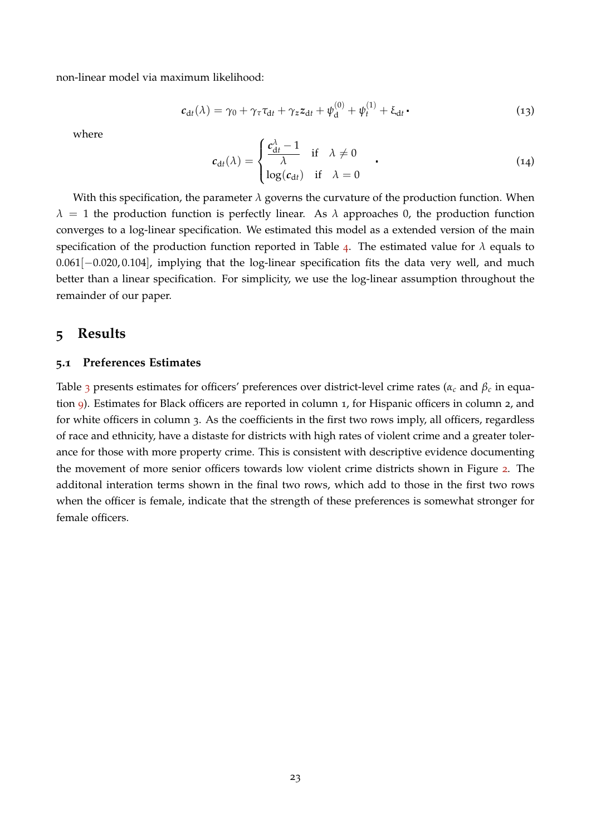non-linear model via maximum likelihood:

$$
c_{\mathrm{d}t}(\lambda) = \gamma_0 + \gamma_\tau \tau_{\mathrm{d}t} + \gamma_z z_{\mathrm{d}t} + \psi_{\mathrm{d}}^{(0)} + \psi_t^{(1)} + \xi_{\mathrm{d}t} \tag{13}
$$

where

$$
c_{dt}(\lambda) = \begin{cases} \frac{c_{dt}^{\lambda} - 1}{\lambda} & \text{if } \lambda \neq 0 \\ \log(c_{dt}) & \text{if } \lambda = 0 \end{cases}
$$
 (14)

With this specification, the parameter *λ* governs the curvature of the production function. When  $\lambda = 1$  the production function is perfectly linear. As  $\lambda$  approaches 0, the production function converges to a log-linear specification. We estimated this model as a extended version of the main specification of the production function reported in Table [4](#page-26-0). The estimated value for  $\lambda$  equals to 0.061[−0.020, 0.104], implying that the log-linear specification fits the data very well, and much better than a linear specification. For simplicity, we use the log-linear assumption throughout the remainder of our paper.

## <span id="page-24-0"></span>**5 Results**

#### **5.1 Preferences Estimates**

Table [3](#page-25-0) presents estimates for officers' preferences over district-level crime rates ( $\alpha_c$  and  $\beta_c$  in equation [9](#page-22-1)). Estimates for Black officers are reported in column 1, for Hispanic officers in column 2, and for white officers in column 3. As the coefficients in the first two rows imply, all officers, regardless of race and ethnicity, have a distaste for districts with high rates of violent crime and a greater tolerance for those with more property crime. This is consistent with descriptive evidence documenting the movement of more senior officers towards low violent crime districts shown in Figure [2](#page-9-0). The additonal interation terms shown in the final two rows, which add to those in the first two rows when the officer is female, indicate that the strength of these preferences is somewhat stronger for female officers.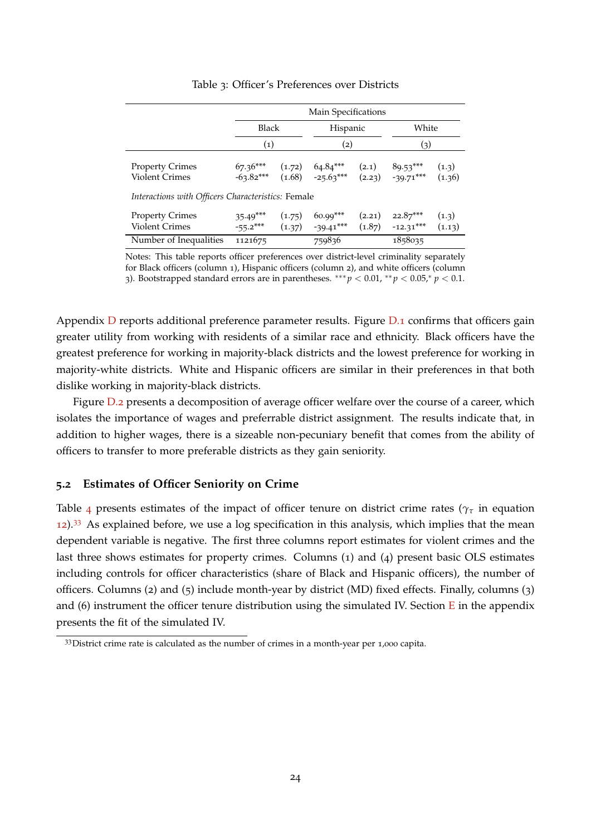|                                                                                                       |                           |                              | Main Specifications                         |                  |                           |                 |
|-------------------------------------------------------------------------------------------------------|---------------------------|------------------------------|---------------------------------------------|------------------|---------------------------|-----------------|
|                                                                                                       | Black                     |                              | Hispanic                                    |                  | White                     |                 |
|                                                                                                       | (1)                       |                              | (2)                                         |                  | (3)                       |                 |
| <b>Property Crimes</b><br><b>Violent Crimes</b><br>Interactions with Officers Characteristics: Female | $67.36***$<br>$-63.82***$ | (1.72)                       | $64.84***$<br>$(1.68)$ $-25.63***$ $(2.23)$ | (2.1)            | $89.53***$<br>$-39.71***$ | (1.3)<br>(1.36) |
| <b>Property Crimes</b><br><b>Violent Crimes</b>                                                       | $35.49***$<br>$-55.2***$  | (1.75)<br>$(1.37)$ -39.41*** |                                             | (2.21)<br>(1.87) | $22.87***$<br>$-12.31***$ | (1.3)<br>(1.13) |
| Number of Inequalities                                                                                | 1121675                   |                              | 759836                                      |                  | 1858035                   |                 |

<span id="page-25-0"></span>Table 3: Officer's Preferences over Districts

Notes: This table reports officer preferences over district-level criminality separately for Black officers (column 1), Hispanic officers (column 2), and white officers (column 3). Bootstrapped standard errors are in parentheses. ∗∗∗ *p* < 0.01, ∗∗ *p* < 0.05,<sup>∗</sup> *p* < 0.1.

Appendix [D](#page-46-1) reports additional preference parameter results. Figure [D.](#page-46-2)1 confirms that officers gain greater utility from working with residents of a similar race and ethnicity. Black officers have the greatest preference for working in majority-black districts and the lowest preference for working in majority-white districts. White and Hispanic officers are similar in their preferences in that both dislike working in majority-black districts.

Figure [D.](#page-47-0)2 presents a decomposition of average officer welfare over the course of a career, which isolates the importance of wages and preferrable district assignment. The results indicate that, in addition to higher wages, there is a sizeable non-pecuniary benefit that comes from the ability of officers to transfer to more preferable districts as they gain seniority.

#### **5.2 Estimates of Officer Seniority on Crime**

Table [4](#page-26-0) presents estimates of the impact of officer tenure on district crime rates ( $\gamma_{\tau}$  in equation [12](#page-23-0)).[33](#page--1-0) As explained before, we use a log specification in this analysis, which implies that the mean dependent variable is negative. The first three columns report estimates for violent crimes and the last three shows estimates for property crimes. Columns (1) and (4) present basic OLS estimates including controls for officer characteristics (share of Black and Hispanic officers), the number of officers. Columns (2) and (5) include month-year by district (MD) fixed effects. Finally, columns (3) and (6) instrument the officer tenure distribution using the simulated IV. Section  $E$  in the appendix presents the fit of the simulated IV.

<sup>&</sup>lt;sup>33</sup>District crime rate is calculated as the number of crimes in a month-year per 1,000 capita.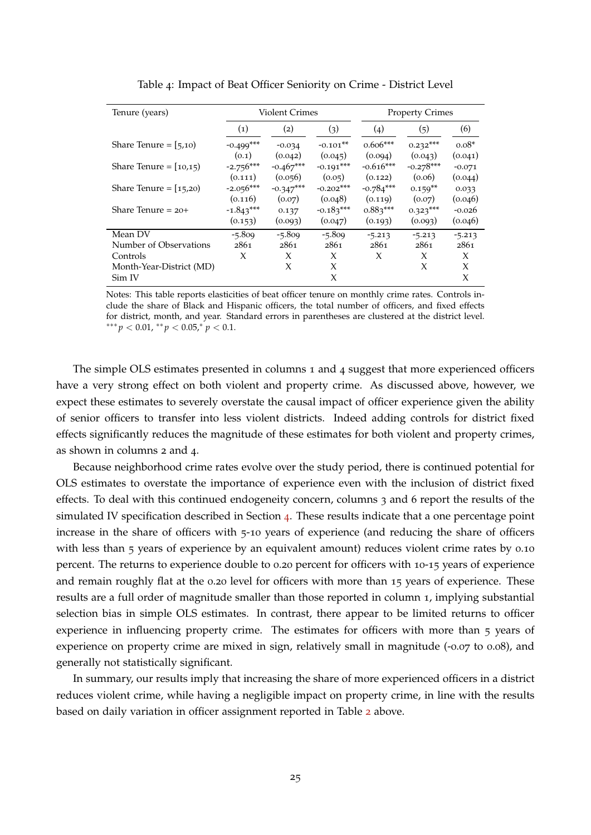| Tenure (years)           |                      | <b>Violent Crimes</b> |                       |                       |                                                                                                                                                                                                                                                          |         |
|--------------------------|----------------------|-----------------------|-----------------------|-----------------------|----------------------------------------------------------------------------------------------------------------------------------------------------------------------------------------------------------------------------------------------------------|---------|
|                          | $\left( 1\right)$    | (2)                   | (3)                   | (4)                   | (5)                                                                                                                                                                                                                                                      | (6)     |
| Share Tenure = $[5,10)$  | $-0.499***$<br>(0.1) | $-0.034$<br>(0.042)   | $-0.101**$<br>(0.045) | $0.606***$<br>(0.094) | $0.232***$                                                                                                                                                                                                                                               | $0.08*$ |
| Share Tenure = $[10,15]$ | $-2.756***$          | $-0.467***$           | $-0.191***$           | $-0.616***$           | <b>Property Crimes</b><br>(0.043)<br>(0.041)<br>$-0.278***$<br>$-0.071$<br>(0.06)<br>(0.044)<br>$0.159**$<br>0.033<br>(0.07)<br>(0.046)<br>$0.323***$<br>$-0.026$<br>(0.046)<br>(0.093)<br>$-5.213$<br>$-5.213$<br>2861<br>2861<br>X<br>X<br>X<br>X<br>X |         |
|                          | (0.111)              | (0.056)               | (0.05)                | (0.122)               |                                                                                                                                                                                                                                                          |         |
| Share Tenure = $[15,20]$ | $-2.056***$          | $-0.347***$           | $-0.202***$           | $-0.784***$           |                                                                                                                                                                                                                                                          |         |
|                          | (0.116)              | (0.07)                | (0.048)               | (0.119)               |                                                                                                                                                                                                                                                          |         |
| Share Tenure $= 20+$     | $-1.843***$          | 0.137                 | $-0.183***$           | $0.883***$            |                                                                                                                                                                                                                                                          |         |
|                          | (0.153)              | (0.093)               | (0.047)               | (0.193)               |                                                                                                                                                                                                                                                          |         |
| Mean DV                  | $-5.809$             | $-5.809$              | $-5.809$              | $-5.213$              |                                                                                                                                                                                                                                                          |         |
| Number of Observations   | 2861                 | 2861                  | 2861                  | 2861                  |                                                                                                                                                                                                                                                          |         |
| Controls                 | X                    | X                     | X                     | X                     |                                                                                                                                                                                                                                                          |         |
| Month-Year-District (MD) |                      | X                     | X                     |                       |                                                                                                                                                                                                                                                          |         |
| Sim IV                   |                      |                       | X                     |                       |                                                                                                                                                                                                                                                          |         |

<span id="page-26-0"></span>Table 4: Impact of Beat Officer Seniority on Crime - District Level

Notes: This table reports elasticities of beat officer tenure on monthly crime rates. Controls include the share of Black and Hispanic officers, the total number of officers, and fixed effects for district, month, and year. Standard errors in parentheses are clustered at the district level. ∗∗∗ *p* < 0.01, ∗∗ *p* < 0.05,<sup>∗</sup> *p* < 0.1.

The simple OLS estimates presented in columns 1 and 4 suggest that more experienced officers have a very strong effect on both violent and property crime. As discussed above, however, we expect these estimates to severely overstate the causal impact of officer experience given the ability of senior officers to transfer into less violent districts. Indeed adding controls for district fixed effects significantly reduces the magnitude of these estimates for both violent and property crimes, as shown in columns 2 and 4.

Because neighborhood crime rates evolve over the study period, there is continued potential for OLS estimates to overstate the importance of experience even with the inclusion of district fixed effects. To deal with this continued endogeneity concern, columns 3 and 6 report the results of the simulated IV specification described in Section [4](#page-21-0). These results indicate that a one percentage point increase in the share of officers with 5-10 years of experience (and reducing the share of officers with less than 5 years of experience by an equivalent amount) reduces violent crime rates by 0.10 percent. The returns to experience double to 0.20 percent for officers with 10-15 years of experience and remain roughly flat at the 0.20 level for officers with more than 15 years of experience. These results are a full order of magnitude smaller than those reported in column 1, implying substantial selection bias in simple OLS estimates. In contrast, there appear to be limited returns to officer experience in influencing property crime. The estimates for officers with more than 5 years of experience on property crime are mixed in sign, relatively small in magnitude (-0.07 to 0.08), and generally not statistically significant.

In summary, our results imply that increasing the share of more experienced officers in a district reduces violent crime, while having a negligible impact on property crime, in line with the results based on daily variation in officer assignment reported in Table [2](#page-15-0) above.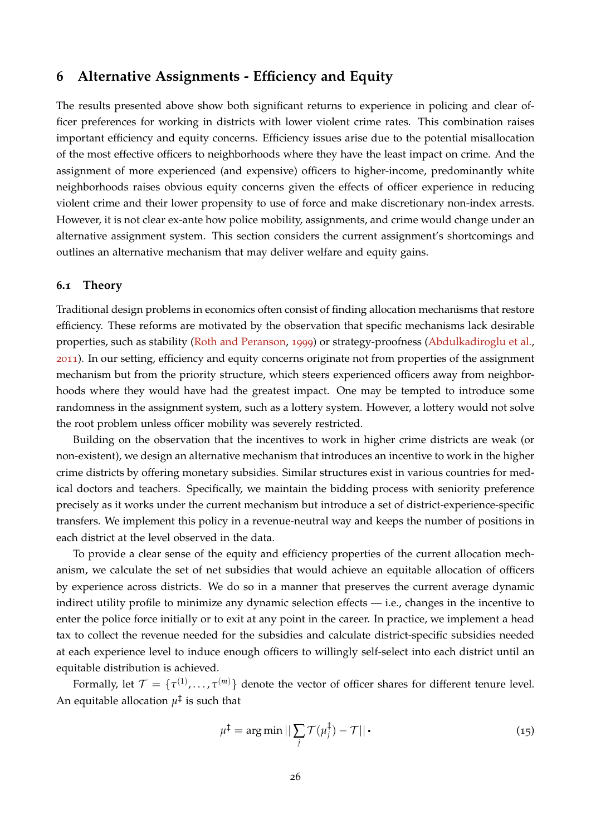## <span id="page-27-0"></span>**6 Alternative Assignments - Efficiency and Equity**

The results presented above show both significant returns to experience in policing and clear officer preferences for working in districts with lower violent crime rates. This combination raises important efficiency and equity concerns. Efficiency issues arise due to the potential misallocation of the most effective officers to neighborhoods where they have the least impact on crime. And the assignment of more experienced (and expensive) officers to higher-income, predominantly white neighborhoods raises obvious equity concerns given the effects of officer experience in reducing violent crime and their lower propensity to use of force and make discretionary non-index arrests. However, it is not clear ex-ante how police mobility, assignments, and crime would change under an alternative assignment system. This section considers the current assignment's shortcomings and outlines an alternative mechanism that may deliver welfare and equity gains.

#### **6.1 Theory**

Traditional design problems in economics often consist of finding allocation mechanisms that restore efficiency. These reforms are motivated by the observation that specific mechanisms lack desirable properties, such as stability [\(Roth and Peranson,](#page-37-11) [1999](#page-37-11)) or strategy-proofness [\(Abdulkadiroglu et al.,](#page-35-12) [2011](#page-35-12)). In our setting, efficiency and equity concerns originate not from properties of the assignment mechanism but from the priority structure, which steers experienced officers away from neighborhoods where they would have had the greatest impact. One may be tempted to introduce some randomness in the assignment system, such as a lottery system. However, a lottery would not solve the root problem unless officer mobility was severely restricted.

Building on the observation that the incentives to work in higher crime districts are weak (or non-existent), we design an alternative mechanism that introduces an incentive to work in the higher crime districts by offering monetary subsidies. Similar structures exist in various countries for medical doctors and teachers. Specifically, we maintain the bidding process with seniority preference precisely as it works under the current mechanism but introduce a set of district-experience-specific transfers. We implement this policy in a revenue-neutral way and keeps the number of positions in each district at the level observed in the data.

To provide a clear sense of the equity and efficiency properties of the current allocation mechanism, we calculate the set of net subsidies that would achieve an equitable allocation of officers by experience across districts. We do so in a manner that preserves the current average dynamic indirect utility profile to minimize any dynamic selection effects — i.e., changes in the incentive to enter the police force initially or to exit at any point in the career. In practice, we implement a head tax to collect the revenue needed for the subsidies and calculate district-specific subsidies needed at each experience level to induce enough officers to willingly self-select into each district until an equitable distribution is achieved.

Formally, let  $\mathcal{T} = \{\tau^{(1)}, \ldots, \tau^{(m)}\}$  denote the vector of officer shares for different tenure level. An equitable allocation  $\mu^\ddag$  is such that

$$
\mu^{\ddagger} = \arg\min ||\sum_{j} \mathcal{T}(\mu_j^{\ddagger}) - \mathcal{T}|| \tag{15}
$$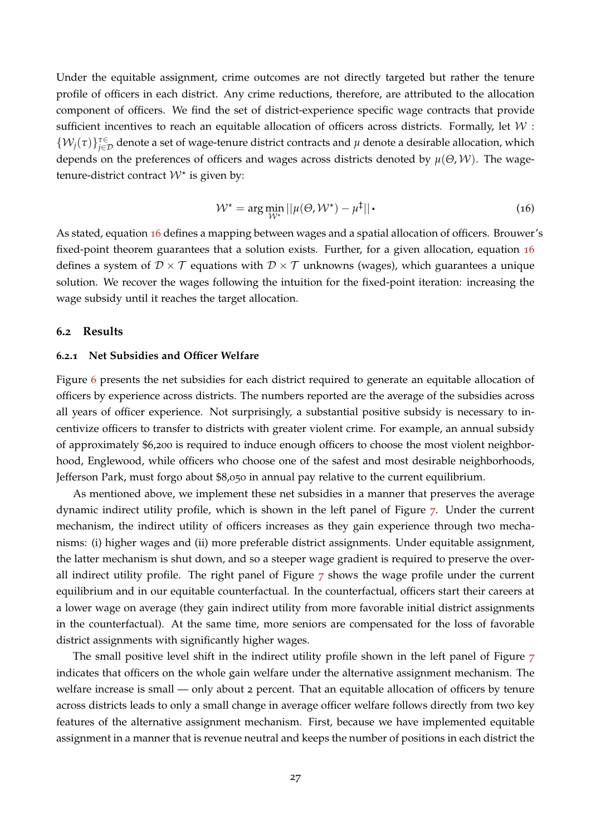Under the equitable assignment, crime outcomes are not directly targeted but rather the tenure profile of officers in each district. Any crime reductions, therefore, are attributed to the allocation component of officers. We find the set of district-experience specific wage contracts that provide sufficient incentives to reach an equitable allocation of officers across districts. Formally, let  $W$ :  $\{W_j(\tau)\}_{j\in\mathcal{D}}^{\tau\in}$  denote a set of wage-tenure district contracts and  $\mu$  denote a desirable allocation, which depends on the preferences of officers and wages across districts denoted by *µ*(*Θ*, W). The wagetenure-district contract  $W^*$  is given by:

<span id="page-28-0"></span>
$$
\mathcal{W}^{\star} = \arg \min_{\mathcal{W}^{\star}} ||\mu(\Theta, \mathcal{W}^{\star}) - \mu^{\ddagger}|| \tag{16}
$$

As stated, equation [16](#page-28-0) defines a mapping between wages and a spatial allocation of officers. Brouwer's fixed-point theorem guarantees that a solution exists. Further, for a given allocation, equation [16](#page-28-0) defines a system of  $\mathcal{D} \times \mathcal{T}$  equations with  $\mathcal{D} \times \mathcal{T}$  unknowns (wages), which guarantees a unique solution. We recover the wages following the intuition for the fixed-point iteration: increasing the wage subsidy until it reaches the target allocation.

#### **6.2 Results**

#### **6.2.1 Net Subsidies and Officer Welfare**

Figure [6](#page-29-0) presents the net subsidies for each district required to generate an equitable allocation of officers by experience across districts. The numbers reported are the average of the subsidies across all years of officer experience. Not surprisingly, a substantial positive subsidy is necessary to incentivize officers to transfer to districts with greater violent crime. For example, an annual subsidy of approximately \$6,200 is required to induce enough officers to choose the most violent neighborhood, Englewood, while officers who choose one of the safest and most desirable neighborhoods, Jefferson Park, must forgo about \$8,050 in annual pay relative to the current equilibrium.

As mentioned above, we implement these net subsidies in a manner that preserves the average dynamic indirect utility profile, which is shown in the left panel of Figure [7](#page-30-0). Under the current mechanism, the indirect utility of officers increases as they gain experience through two mechanisms: (i) higher wages and (ii) more preferable district assignments. Under equitable assignment, the latter mechanism is shut down, and so a steeper wage gradient is required to preserve the overall indirect utility profile. The right panel of Figure [7](#page-30-0) shows the wage profile under the current equilibrium and in our equitable counterfactual. In the counterfactual, officers start their careers at a lower wage on average (they gain indirect utility from more favorable initial district assignments in the counterfactual). At the same time, more seniors are compensated for the loss of favorable district assignments with significantly higher wages.

The small positive level shift in the indirect utility profile shown in the left panel of Figure [7](#page-30-0) indicates that officers on the whole gain welfare under the alternative assignment mechanism. The welfare increase is small — only about 2 percent. That an equitable allocation of officers by tenure across districts leads to only a small change in average officer welfare follows directly from two key features of the alternative assignment mechanism. First, because we have implemented equitable assignment in a manner that is revenue neutral and keeps the number of positions in each district the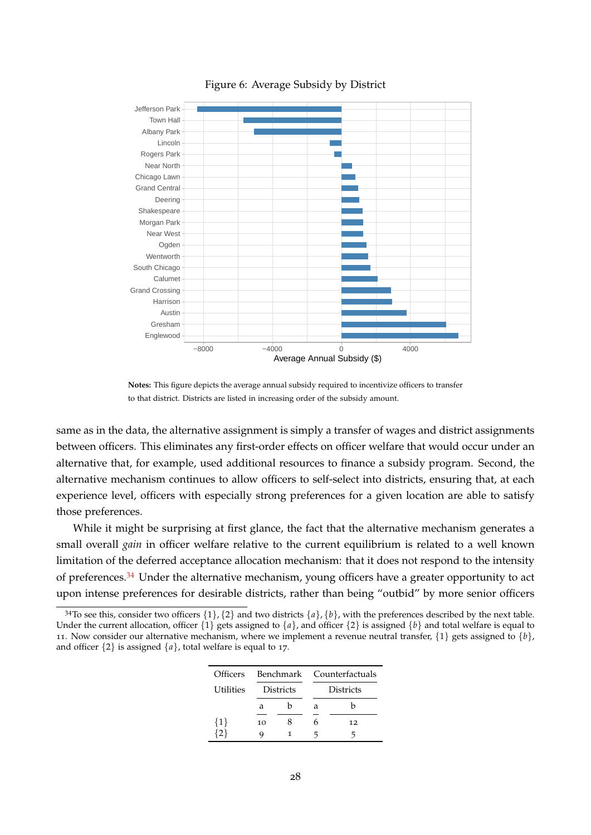

#### <span id="page-29-0"></span>Figure 6: Average Subsidy by District

**Notes:** This figure depicts the average annual subsidy required to incentivize officers to transfer to that district. Districts are listed in increasing order of the subsidy amount.

same as in the data, the alternative assignment is simply a transfer of wages and district assignments between officers. This eliminates any first-order effects on officer welfare that would occur under an alternative that, for example, used additional resources to finance a subsidy program. Second, the alternative mechanism continues to allow officers to self-select into districts, ensuring that, at each experience level, officers with especially strong preferences for a given location are able to satisfy those preferences.

While it might be surprising at first glance, the fact that the alternative mechanism generates a small overall *gain* in officer welfare relative to the current equilibrium is related to a well known limitation of the deferred acceptance allocation mechanism: that it does not respond to the intensity of preferences.<sup>[34](#page--1-0)</sup> Under the alternative mechanism, young officers have a greater opportunity to act upon intense preferences for desirable districts, rather than being "outbid" by more senior officers

<sup>&</sup>lt;sup>34</sup>To see this, consider two officers  $\{1\}$ ,  $\{2\}$  and two districts  $\{a\}$ ,  $\{b\}$ , with the preferences described by the next table. Under the current allocation, officer  $\{1\}$  gets assigned to  $\{a\}$ , and officer  $\{2\}$  is assigned  $\{b\}$  and total welfare is equal to 11. Now consider our alternative mechanism, where we implement a revenue neutral transfer,  $\{1\}$  gets assigned to  $\{b\}$ , and officer  $\{2\}$  is assigned  $\{a\}$ , total welfare is equal to 17.

| <b>Officers</b> |    |                  | Benchmark Counterfactuals |                  |  |  |  |
|-----------------|----|------------------|---------------------------|------------------|--|--|--|
| Utilities       |    | <b>Districts</b> |                           | <b>Districts</b> |  |  |  |
|                 | a  |                  | а                         | h                |  |  |  |
| $\{1\}$         | 10 |                  | h                         | 12               |  |  |  |
|                 | Q  |                  |                           |                  |  |  |  |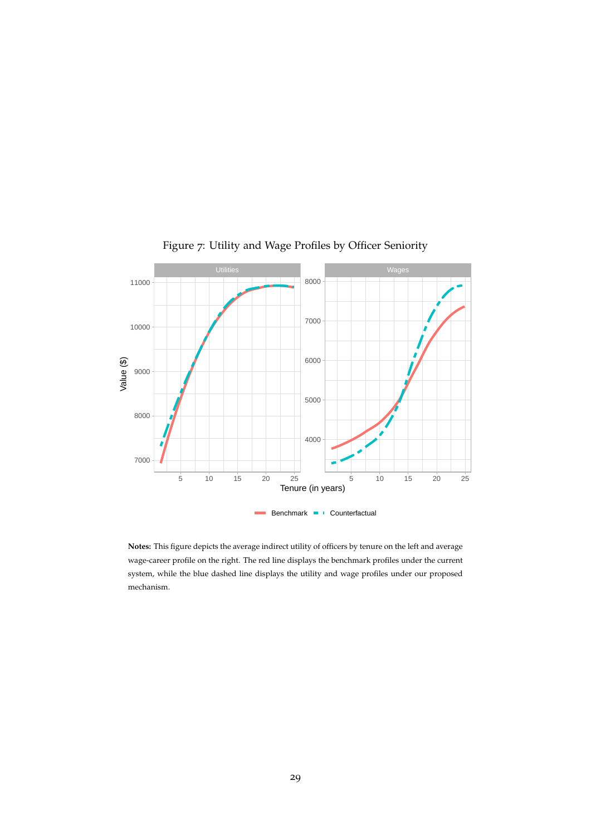

<span id="page-30-0"></span>Figure 7: Utility and Wage Profiles by Officer Seniority

**Notes:** This figure depicts the average indirect utility of officers by tenure on the left and average wage-career profile on the right. The red line displays the benchmark profiles under the current system, while the blue dashed line displays the utility and wage profiles under our proposed mechanism.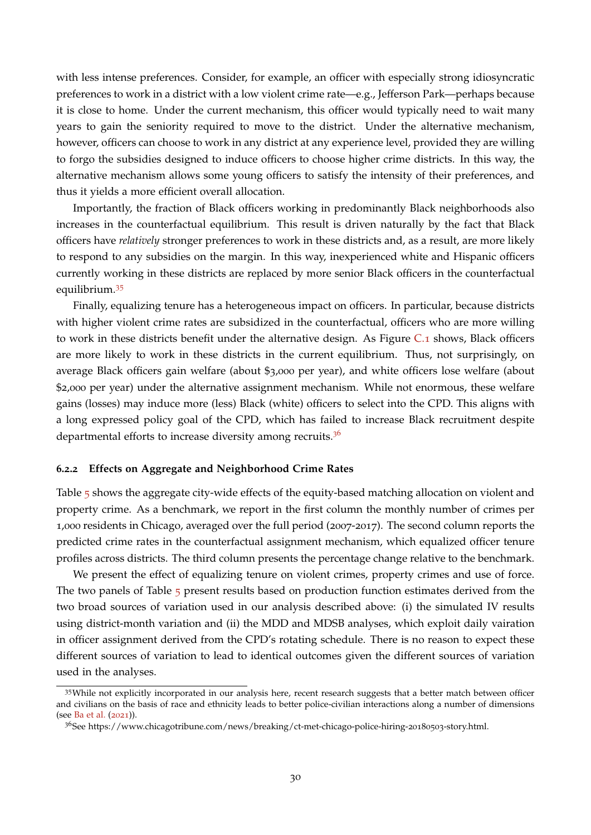with less intense preferences. Consider, for example, an officer with especially strong idiosyncratic preferences to work in a district with a low violent crime rate—e.g., Jefferson Park—perhaps because it is close to home. Under the current mechanism, this officer would typically need to wait many years to gain the seniority required to move to the district. Under the alternative mechanism, however, officers can choose to work in any district at any experience level, provided they are willing to forgo the subsidies designed to induce officers to choose higher crime districts. In this way, the alternative mechanism allows some young officers to satisfy the intensity of their preferences, and thus it yields a more efficient overall allocation.

Importantly, the fraction of Black officers working in predominantly Black neighborhoods also increases in the counterfactual equilibrium. This result is driven naturally by the fact that Black officers have *relatively* stronger preferences to work in these districts and, as a result, are more likely to respond to any subsidies on the margin. In this way, inexperienced white and Hispanic officers currently working in these districts are replaced by more senior Black officers in the counterfactual equilibrium.[35](#page--1-0)

Finally, equalizing tenure has a heterogeneous impact on officers. In particular, because districts with higher violent crime rates are subsidized in the counterfactual, officers who are more willing to work in these districts benefit under the alternative design. As Figure [C.](#page-44-0)1 shows, Black officers are more likely to work in these districts in the current equilibrium. Thus, not surprisingly, on average Black officers gain welfare (about \$3,000 per year), and white officers lose welfare (about \$2,000 per year) under the alternative assignment mechanism. While not enormous, these welfare gains (losses) may induce more (less) Black (white) officers to select into the CPD. This aligns with a long expressed policy goal of the CPD, which has failed to increase Black recruitment despite departmental efforts to increase diversity among recruits. $3<sup>6</sup>$ 

#### **6.2.2 Effects on Aggregate and Neighborhood Crime Rates**

Table [5](#page-32-0) shows the aggregate city-wide effects of the equity-based matching allocation on violent and property crime. As a benchmark, we report in the first column the monthly number of crimes per 1,000 residents in Chicago, averaged over the full period (2007-2017). The second column reports the predicted crime rates in the counterfactual assignment mechanism, which equalized officer tenure profiles across districts. The third column presents the percentage change relative to the benchmark.

We present the effect of equalizing tenure on violent crimes, property crimes and use of force. The two panels of Table [5](#page-32-0) present results based on production function estimates derived from the two broad sources of variation used in our analysis described above: (i) the simulated IV results using district-month variation and (ii) the MDD and MDSB analyses, which exploit daily vairation in officer assignment derived from the CPD's rotating schedule. There is no reason to expect these different sources of variation to lead to identical outcomes given the different sources of variation used in the analyses.

<sup>35</sup>While not explicitly incorporated in our analysis here, recent research suggests that a better match between officer and civilians on the basis of race and ethnicity leads to better police-civilian interactions along a number of dimensions (see [Ba et al.](#page-35-1) ([2021](#page-35-1))).

<sup>36</sup>See https://www.chicagotribune.com/news/breaking/ct-met-chicago-police-hiring-20180503-story.html.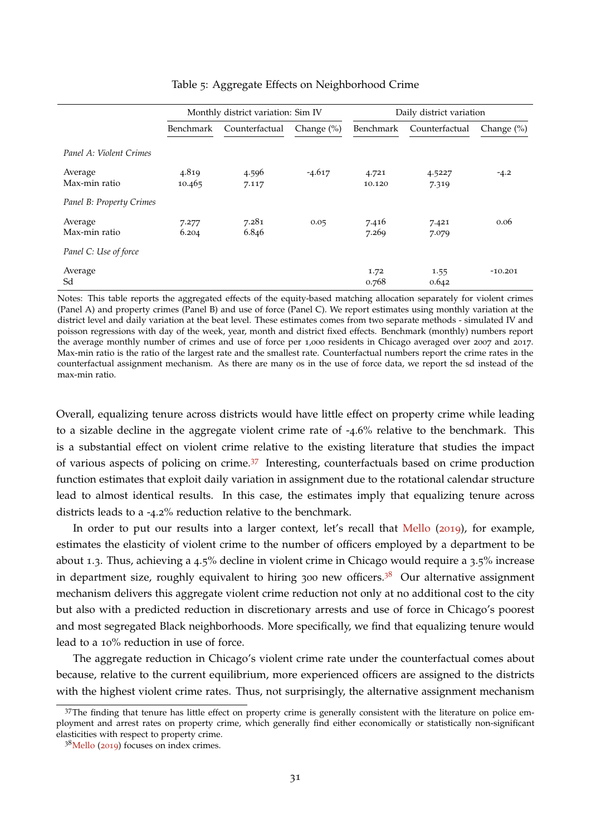|                          |                 | Monthly district variation: Sim IV |                |                 | Daily district variation |                |
|--------------------------|-----------------|------------------------------------|----------------|-----------------|--------------------------|----------------|
|                          | Benchmark       | Counterfactual                     | Change $(\% )$ | Benchmark       | Counterfactual           | Change $(\% )$ |
| Panel A: Violent Crimes  |                 |                                    |                |                 |                          |                |
| Average<br>Max-min ratio | 4.819<br>10.465 | 4.596<br>7.117                     | $-4.617$       | 4.721<br>10.120 | 4.5227<br>7.319          | $-4.2$         |
| Panel B: Property Crimes |                 |                                    |                |                 |                          |                |
| Average<br>Max-min ratio | 7.277<br>6.204  | 7.281<br>6.846                     | 0.05           | 7.416<br>7.269  | 7.421<br>7.079           | 0.06           |
| Panel C: Use of force    |                 |                                    |                |                 |                          |                |
| Average<br>Sd            |                 |                                    |                | 1.72<br>0.768   | 1.55<br>0.642            | $-10.201$      |

<span id="page-32-0"></span>Table 5: Aggregate Effects on Neighborhood Crime

Notes: This table reports the aggregated effects of the equity-based matching allocation separately for violent crimes (Panel A) and property crimes (Panel B) and use of force (Panel C). We report estimates using monthly variation at the district level and daily variation at the beat level. These estimates comes from two separate methods - simulated IV and poisson regressions with day of the week, year, month and district fixed effects. Benchmark (monthly) numbers report the average monthly number of crimes and use of force per 1,000 residents in Chicago averaged over 2007 and 2017. Max-min ratio is the ratio of the largest rate and the smallest rate. Counterfactual numbers report the crime rates in the counterfactual assignment mechanism. As there are many 0s in the use of force data, we report the sd instead of the max-min ratio.

Overall, equalizing tenure across districts would have little effect on property crime while leading to a sizable decline in the aggregate violent crime rate of -4.6% relative to the benchmark. This is a substantial effect on violent crime relative to the existing literature that studies the impact of various aspects of policing on crime.[37](#page--1-0) Interesting, counterfactuals based on crime production function estimates that exploit daily variation in assignment due to the rotational calendar structure lead to almost identical results. In this case, the estimates imply that equalizing tenure across districts leads to a -4.2% reduction relative to the benchmark.

In order to put our results into a larger context, let's recall that [Mello](#page-37-1) ([2019](#page-37-1)), for example, estimates the elasticity of violent crime to the number of officers employed by a department to be about 1.3. Thus, achieving a 4.5% decline in violent crime in Chicago would require a 3.5% increase in department size, roughly equivalent to hiring 300 new officers.<sup>[38](#page--1-0)</sup> Our alternative assignment mechanism delivers this aggregate violent crime reduction not only at no additional cost to the city but also with a predicted reduction in discretionary arrests and use of force in Chicago's poorest and most segregated Black neighborhoods. More specifically, we find that equalizing tenure would lead to a 10% reduction in use of force.

The aggregate reduction in Chicago's violent crime rate under the counterfactual comes about because, relative to the current equilibrium, more experienced officers are assigned to the districts with the highest violent crime rates. Thus, not surprisingly, the alternative assignment mechanism

<sup>&</sup>lt;sup>37</sup>The finding that tenure has little effect on property crime is generally consistent with the literature on police employment and arrest rates on property crime, which generally find either economically or statistically non-significant elasticities with respect to property crime.

 $38$ [Mello](#page-37-1) ([2019](#page-37-1)) focuses on index crimes.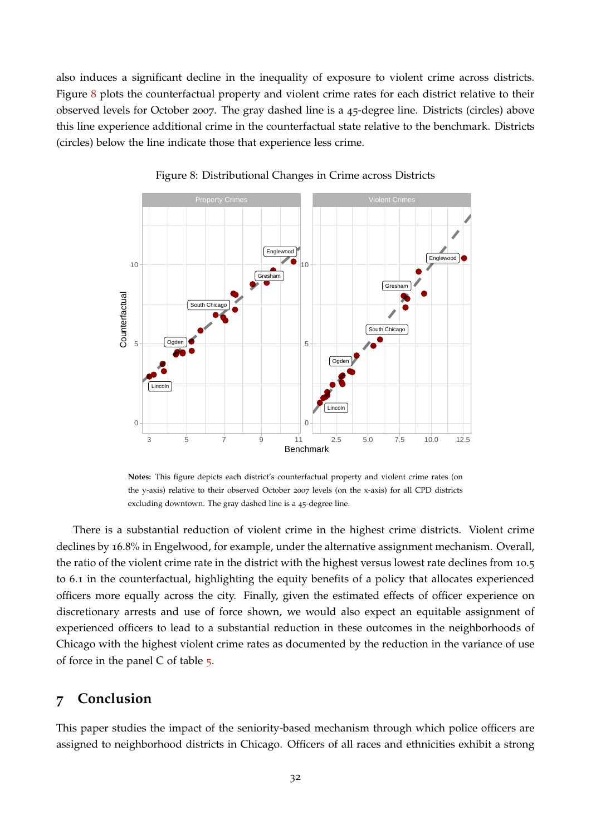also induces a significant decline in the inequality of exposure to violent crime across districts. Figure [8](#page-33-1) plots the counterfactual property and violent crime rates for each district relative to their observed levels for October 2007. The gray dashed line is a 45-degree line. Districts (circles) above this line experience additional crime in the counterfactual state relative to the benchmark. Districts (circles) below the line indicate those that experience less crime.



<span id="page-33-1"></span>Figure 8: Distributional Changes in Crime across Districts

**Notes:** This figure depicts each district's counterfactual property and violent crime rates (on the y-axis) relative to their observed October 2007 levels (on the x-axis) for all CPD districts excluding downtown. The gray dashed line is a 45-degree line.

There is a substantial reduction of violent crime in the highest crime districts. Violent crime declines by 16.8% in Engelwood, for example, under the alternative assignment mechanism. Overall, the ratio of the violent crime rate in the district with the highest versus lowest rate declines from 10.5 to 6.1 in the counterfactual, highlighting the equity benefits of a policy that allocates experienced officers more equally across the city. Finally, given the estimated effects of officer experience on discretionary arrests and use of force shown, we would also expect an equitable assignment of experienced officers to lead to a substantial reduction in these outcomes in the neighborhoods of Chicago with the highest violent crime rates as documented by the reduction in the variance of use of force in the panel C of table [5](#page-32-0).

## <span id="page-33-0"></span>**7 Conclusion**

This paper studies the impact of the seniority-based mechanism through which police officers are assigned to neighborhood districts in Chicago. Officers of all races and ethnicities exhibit a strong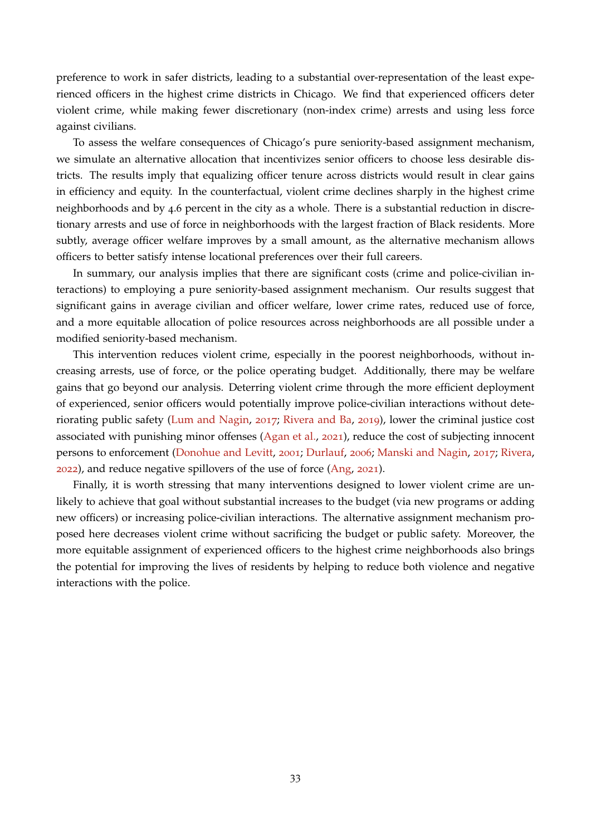preference to work in safer districts, leading to a substantial over-representation of the least experienced officers in the highest crime districts in Chicago. We find that experienced officers deter violent crime, while making fewer discretionary (non-index crime) arrests and using less force against civilians.

To assess the welfare consequences of Chicago's pure seniority-based assignment mechanism, we simulate an alternative allocation that incentivizes senior officers to choose less desirable districts. The results imply that equalizing officer tenure across districts would result in clear gains in efficiency and equity. In the counterfactual, violent crime declines sharply in the highest crime neighborhoods and by 4.6 percent in the city as a whole. There is a substantial reduction in discretionary arrests and use of force in neighborhoods with the largest fraction of Black residents. More subtly, average officer welfare improves by a small amount, as the alternative mechanism allows officers to better satisfy intense locational preferences over their full careers.

In summary, our analysis implies that there are significant costs (crime and police-civilian interactions) to employing a pure seniority-based assignment mechanism. Our results suggest that significant gains in average civilian and officer welfare, lower crime rates, reduced use of force, and a more equitable allocation of police resources across neighborhoods are all possible under a modified seniority-based mechanism.

This intervention reduces violent crime, especially in the poorest neighborhoods, without increasing arrests, use of force, or the police operating budget. Additionally, there may be welfare gains that go beyond our analysis. Deterring violent crime through the more efficient deployment of experienced, senior officers would potentially improve police-civilian interactions without deteriorating public safety [\(Lum and Nagin,](#page-36-13) [2017](#page-36-13); [Rivera and Ba,](#page-37-12) [2019](#page-37-12)), lower the criminal justice cost associated with punishing minor offenses [\(Agan et al.,](#page-35-13) [2021](#page-35-13)), reduce the cost of subjecting innocent persons to enforcement [\(Donohue and Levitt,](#page-36-11) [2001](#page-36-11); [Durlauf,](#page-36-15) [2006](#page-36-15); [Manski and Nagin,](#page-36-16) [2017](#page-36-16); [Rivera,](#page-37-6) [2022](#page-37-6)), and reduce negative spillovers of the use of force [\(Ang,](#page-35-14) [2021](#page-35-14)).

Finally, it is worth stressing that many interventions designed to lower violent crime are unlikely to achieve that goal without substantial increases to the budget (via new programs or adding new officers) or increasing police-civilian interactions. The alternative assignment mechanism proposed here decreases violent crime without sacrificing the budget or public safety. Moreover, the more equitable assignment of experienced officers to the highest crime neighborhoods also brings the potential for improving the lives of residents by helping to reduce both violence and negative interactions with the police.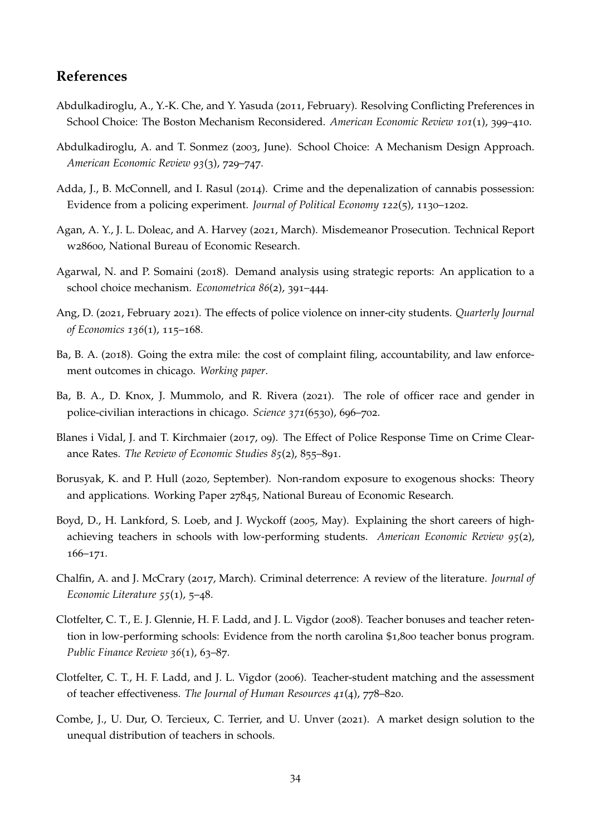## **References**

- <span id="page-35-12"></span>Abdulkadiroglu, A., Y.-K. Che, and Y. Yasuda (2011, February). Resolving Conflicting Preferences in School Choice: The Boston Mechanism Reconsidered. *American Economic Review 101*(1), 399–410.
- <span id="page-35-5"></span>Abdulkadiroglu, A. and T. Sonmez (2003, June). School Choice: A Mechanism Design Approach. *American Economic Review 93*(3), 729–747.
- <span id="page-35-7"></span>Adda, J., B. McConnell, and I. Rasul (2014). Crime and the depenalization of cannabis possession: Evidence from a policing experiment. *Journal of Political Economy 122*(5), 1130–1202.
- <span id="page-35-13"></span>Agan, A. Y., J. L. Doleac, and A. Harvey (2021, March). Misdemeanor Prosecution. Technical Report w28600, National Bureau of Economic Research.
- <span id="page-35-6"></span>Agarwal, N. and P. Somaini (2018). Demand analysis using strategic reports: An application to a school choice mechanism. *Econometrica 86*(2), 391–444.
- <span id="page-35-14"></span>Ang, D. (2021, February 2021). The effects of police violence on inner-city students. *Quarterly Journal of Economics 136*(1), 115–168.
- <span id="page-35-0"></span>Ba, B. A. (2018). Going the extra mile: the cost of complaint filing, accountability, and law enforcement outcomes in chicago. *Working paper*.
- <span id="page-35-1"></span>Ba, B. A., D. Knox, J. Mummolo, and R. Rivera (2021). The role of officer race and gender in police-civilian interactions in chicago. *Science 371*(6530), 696–702.
- <span id="page-35-9"></span>Blanes i Vidal, J. and T. Kirchmaier (2017, 09). The Effect of Police Response Time on Crime Clearance Rates. *The Review of Economic Studies 85*(2), 855–891.
- <span id="page-35-11"></span>Borusyak, K. and P. Hull (2020, September). Non-random exposure to exogenous shocks: Theory and applications. Working Paper 27845, National Bureau of Economic Research.
- <span id="page-35-2"></span>Boyd, D., H. Lankford, S. Loeb, and J. Wyckoff (2005, May). Explaining the short careers of highachieving teachers in schools with low-performing students. *American Economic Review 95*(2), 166–171.
- <span id="page-35-8"></span>Chalfin, A. and J. McCrary (2017, March). Criminal deterrence: A review of the literature. *Journal of Economic Literature 55*(1), 5–48.
- <span id="page-35-4"></span>Clotfelter, C. T., E. J. Glennie, H. F. Ladd, and J. L. Vigdor (2008). Teacher bonuses and teacher retention in low-performing schools: Evidence from the north carolina \$1,800 teacher bonus program. *Public Finance Review 36*(1), 63–87.
- <span id="page-35-3"></span>Clotfelter, C. T., H. F. Ladd, and J. L. Vigdor (2006). Teacher-student matching and the assessment of teacher effectiveness. *The Journal of Human Resources 41*(4), 778–820.
- <span id="page-35-10"></span>Combe, J., U. Dur, O. Tercieux, C. Terrier, and U. Unver (2021). A market design solution to the unequal distribution of teachers in schools.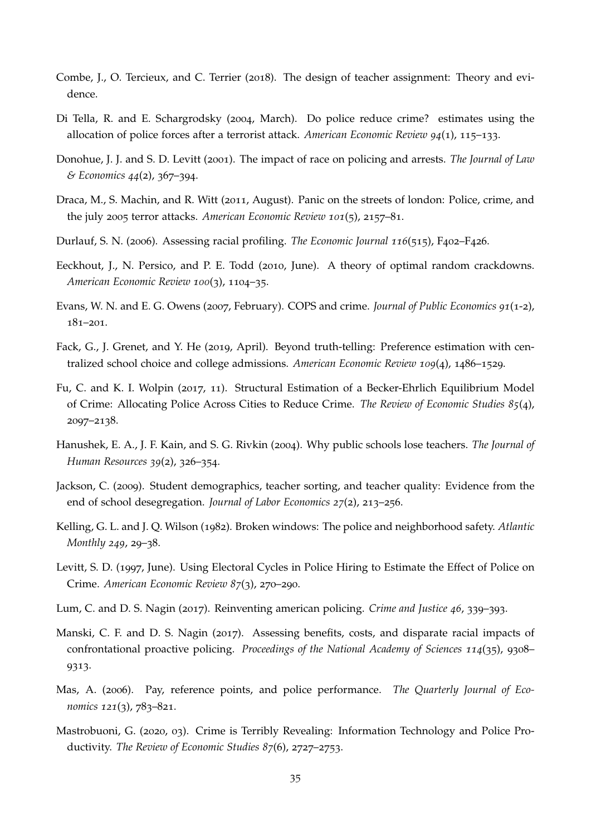- <span id="page-36-2"></span>Combe, J., O. Tercieux, and C. Terrier (2018). The design of teacher assignment: Theory and evidence.
- <span id="page-36-5"></span>Di Tella, R. and E. Schargrodsky (2004, March). Do police reduce crime? estimates using the allocation of police forces after a terrorist attack. *American Economic Review 94*(1), 115–133.
- <span id="page-36-11"></span>Donohue, J. J. and S. D. Levitt (2001). The impact of race on policing and arrests. *The Journal of Law & Economics 44*(2), 367–394.
- <span id="page-36-10"></span>Draca, M., S. Machin, and R. Witt (2011, August). Panic on the streets of london: Police, crime, and the july 2005 terror attacks. *American Economic Review 101*(5), 2157–81.
- <span id="page-36-15"></span>Durlauf, S. N. (2006). Assessing racial profiling. *The Economic Journal 116*(515), F402–F426.
- <span id="page-36-8"></span>Eeckhout, J., N. Persico, and P. E. Todd (2010, June). A theory of optimal random crackdowns. *American Economic Review 100*(3), 1104–35.
- <span id="page-36-6"></span>Evans, W. N. and E. G. Owens (2007, February). COPS and crime. *Journal of Public Economics 91*(1-2), 181–201.
- <span id="page-36-3"></span>Fack, G., J. Grenet, and Y. He (2019, April). Beyond truth-telling: Preference estimation with centralized school choice and college admissions. *American Economic Review 109*(4), 1486–1529.
- <span id="page-36-7"></span>Fu, C. and K. I. Wolpin (2017, 11). Structural Estimation of a Becker-Ehrlich Equilibrium Model of Crime: Allocating Police Across Cities to Reduce Crime. *The Review of Economic Studies 85*(4), 2097–2138.
- <span id="page-36-0"></span>Hanushek, E. A., J. F. Kain, and S. G. Rivkin (2004). Why public schools lose teachers. *The Journal of Human Resources 39*(2), 326–354.
- <span id="page-36-1"></span>Jackson, C. (2009). Student demographics, teacher sorting, and teacher quality: Evidence from the end of school desegregation. *Journal of Labor Economics 27*(2), 213–256.
- <span id="page-36-12"></span>Kelling, G. L. and J. Q. Wilson (1982). Broken windows: The police and neighborhood safety. *Atlantic Monthly 249*, 29–38.
- <span id="page-36-4"></span>Levitt, S. D. (1997, June). Using Electoral Cycles in Police Hiring to Estimate the Effect of Police on Crime. *American Economic Review 87*(3), 270–290.
- <span id="page-36-13"></span>Lum, C. and D. S. Nagin (2017). Reinventing american policing. *Crime and Justice 46*, 339–393.
- <span id="page-36-16"></span>Manski, C. F. and D. S. Nagin (2017). Assessing benefits, costs, and disparate racial impacts of confrontational proactive policing. *Proceedings of the National Academy of Sciences 114*(35), 9308– 9313.
- <span id="page-36-14"></span>Mas, A. (2006). Pay, reference points, and police performance. *The Quarterly Journal of Economics 121*(3), 783–821.
- <span id="page-36-9"></span>Mastrobuoni, G. (2020, 03). Crime is Terribly Revealing: Information Technology and Police Productivity. *The Review of Economic Studies 87*(6), 2727–2753.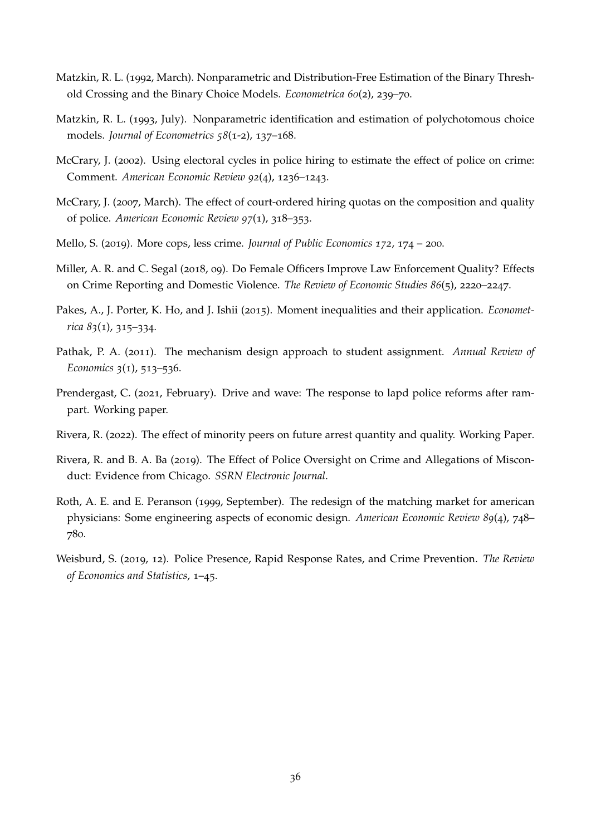- <span id="page-37-8"></span>Matzkin, R. L. (1992, March). Nonparametric and Distribution-Free Estimation of the Binary Threshold Crossing and the Binary Choice Models. *Econometrica 60*(2), 239–70.
- <span id="page-37-9"></span>Matzkin, R. L. (1993, July). Nonparametric identification and estimation of polychotomous choice models. *Journal of Econometrics 58*(1-2), 137–168.
- <span id="page-37-0"></span>McCrary, J. (2002). Using electoral cycles in police hiring to estimate the effect of police on crime: Comment. *American Economic Review 92*(4), 1236–1243.
- <span id="page-37-4"></span>McCrary, J. (2007, March). The effect of court-ordered hiring quotas on the composition and quality of police. *American Economic Review 97*(1), 318–353.
- <span id="page-37-1"></span>Mello, S. (2019). More cops, less crime. *Journal of Public Economics 172*, 174 – 200.
- <span id="page-37-5"></span>Miller, A. R. and C. Segal (2018, 09). Do Female Officers Improve Law Enforcement Quality? Effects on Crime Reporting and Domestic Violence. *The Review of Economic Studies 86*(5), 2220–2247.
- <span id="page-37-10"></span>Pakes, A., J. Porter, K. Ho, and J. Ishii (2015). Moment inequalities and their application. *Econometrica 83*(1), 315–334.
- <span id="page-37-2"></span>Pathak, P. A. (2011). The mechanism design approach to student assignment. *Annual Review of Economics 3*(1), 513–536.
- <span id="page-37-7"></span>Prendergast, C. (2021, February). Drive and wave: The response to lapd police reforms after rampart. Working paper.
- <span id="page-37-6"></span>Rivera, R. (2022). The effect of minority peers on future arrest quantity and quality. Working Paper.
- <span id="page-37-12"></span>Rivera, R. and B. A. Ba (2019). The Effect of Police Oversight on Crime and Allegations of Misconduct: Evidence from Chicago. *SSRN Electronic Journal*.
- <span id="page-37-11"></span>Roth, A. E. and E. Peranson (1999, September). The redesign of the matching market for american physicians: Some engineering aspects of economic design. *American Economic Review 89*(4), 748– 780.
- <span id="page-37-3"></span>Weisburd, S. (2019, 12). Police Presence, Rapid Response Rates, and Crime Prevention. *The Review of Economics and Statistics*, 1–45.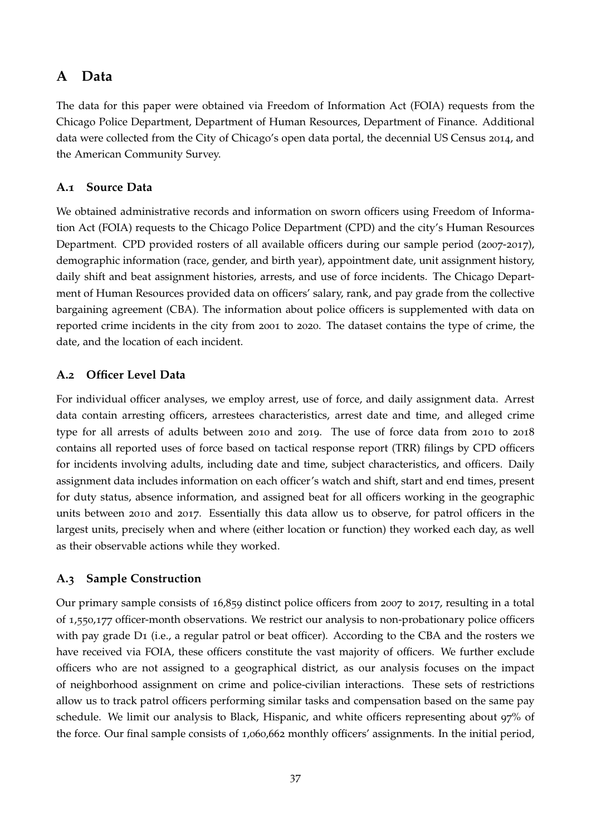## **A Data**

The data for this paper were obtained via Freedom of Information Act (FOIA) requests from the Chicago Police Department, Department of Human Resources, Department of Finance. Additional data were collected from the City of Chicago's open data portal, the decennial US Census 2014, and the American Community Survey.

## <span id="page-38-0"></span>**A.1 Source Data**

We obtained administrative records and information on sworn officers using Freedom of Information Act (FOIA) requests to the Chicago Police Department (CPD) and the city's Human Resources Department. CPD provided rosters of all available officers during our sample period (2007-2017), demographic information (race, gender, and birth year), appointment date, unit assignment history, daily shift and beat assignment histories, arrests, and use of force incidents. The Chicago Department of Human Resources provided data on officers' salary, rank, and pay grade from the collective bargaining agreement (CBA). The information about police officers is supplemented with data on reported crime incidents in the city from 2001 to 2020. The dataset contains the type of crime, the date, and the location of each incident.

## <span id="page-38-1"></span>**A.2 Officer Level Data**

For individual officer analyses, we employ arrest, use of force, and daily assignment data. Arrest data contain arresting officers, arrestees characteristics, arrest date and time, and alleged crime type for all arrests of adults between 2010 and 2019. The use of force data from 2010 to 2018 contains all reported uses of force based on tactical response report (TRR) filings by CPD officers for incidents involving adults, including date and time, subject characteristics, and officers. Daily assignment data includes information on each officer's watch and shift, start and end times, present for duty status, absence information, and assigned beat for all officers working in the geographic units between 2010 and 2017. Essentially this data allow us to observe, for patrol officers in the largest units, precisely when and where (either location or function) they worked each day, as well as their observable actions while they worked.

## <span id="page-38-2"></span>**A.3 Sample Construction**

Our primary sample consists of 16,859 distinct police officers from 2007 to 2017, resulting in a total of 1,550,177 officer-month observations. We restrict our analysis to non-probationary police officers with pay grade D<sub>1</sub> (i.e., a regular patrol or beat officer). According to the CBA and the rosters we have received via FOIA, these officers constitute the vast majority of officers. We further exclude officers who are not assigned to a geographical district, as our analysis focuses on the impact of neighborhood assignment on crime and police-civilian interactions. These sets of restrictions allow us to track patrol officers performing similar tasks and compensation based on the same pay schedule. We limit our analysis to Black, Hispanic, and white officers representing about 97% of the force. Our final sample consists of 1,060,662 monthly officers' assignments. In the initial period,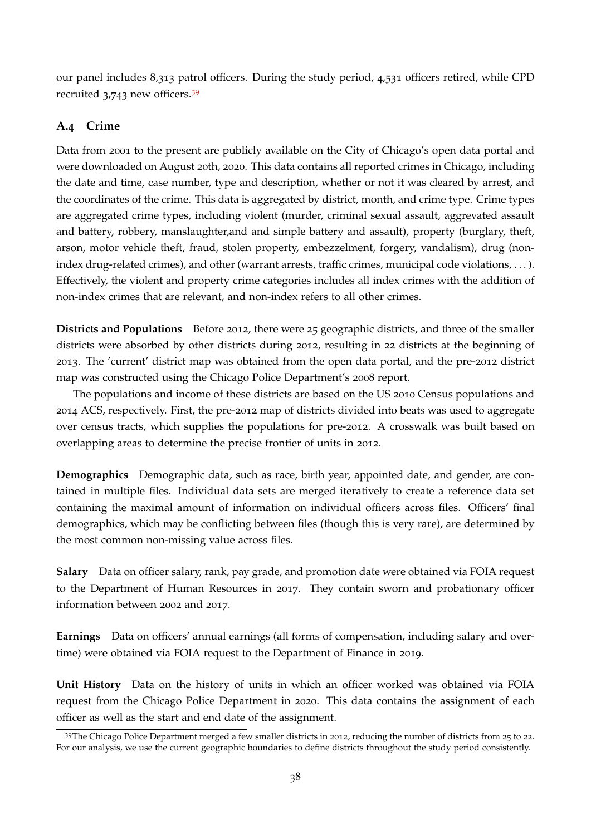our panel includes 8,313 patrol officers. During the study period, 4,531 officers retired, while CPD recruited 3,743 new officers.[39](#page--1-0)

## <span id="page-39-0"></span>**A.4 Crime**

Data from 2001 to the present are publicly available on the City of Chicago's open data portal and were downloaded on August 20th, 2020. This data contains all reported crimes in Chicago, including the date and time, case number, type and description, whether or not it was cleared by arrest, and the coordinates of the crime. This data is aggregated by district, month, and crime type. Crime types are aggregated crime types, including violent (murder, criminal sexual assault, aggrevated assault and battery, robbery, manslaughter,and and simple battery and assault), property (burglary, theft, arson, motor vehicle theft, fraud, stolen property, embezzelment, forgery, vandalism), drug (nonindex drug-related crimes), and other (warrant arrests, traffic crimes, municipal code violations, ...). Effectively, the violent and property crime categories includes all index crimes with the addition of non-index crimes that are relevant, and non-index refers to all other crimes.

**Districts and Populations** Before 2012, there were 25 geographic districts, and three of the smaller districts were absorbed by other districts during 2012, resulting in 22 districts at the beginning of 2013. The 'current' district map was obtained from the open data portal, and the pre-2012 district map was constructed using the Chicago Police Department's 2008 report.

The populations and income of these districts are based on the US 2010 Census populations and 2014 ACS, respectively. First, the pre-2012 map of districts divided into beats was used to aggregate over census tracts, which supplies the populations for pre-2012. A crosswalk was built based on overlapping areas to determine the precise frontier of units in 2012.

**Demographics** Demographic data, such as race, birth year, appointed date, and gender, are contained in multiple files. Individual data sets are merged iteratively to create a reference data set containing the maximal amount of information on individual officers across files. Officers' final demographics, which may be conflicting between files (though this is very rare), are determined by the most common non-missing value across files.

**Salary** Data on officer salary, rank, pay grade, and promotion date were obtained via FOIA request to the Department of Human Resources in 2017. They contain sworn and probationary officer information between 2002 and 2017.

**Earnings** Data on officers' annual earnings (all forms of compensation, including salary and overtime) were obtained via FOIA request to the Department of Finance in 2019.

**Unit History** Data on the history of units in which an officer worked was obtained via FOIA request from the Chicago Police Department in 2020. This data contains the assignment of each officer as well as the start and end date of the assignment.

<sup>&</sup>lt;sup>39</sup>The Chicago Police Department merged a few smaller districts in 2012, reducing the number of districts from 25 to 22. For our analysis, we use the current geographic boundaries to define districts throughout the study period consistently.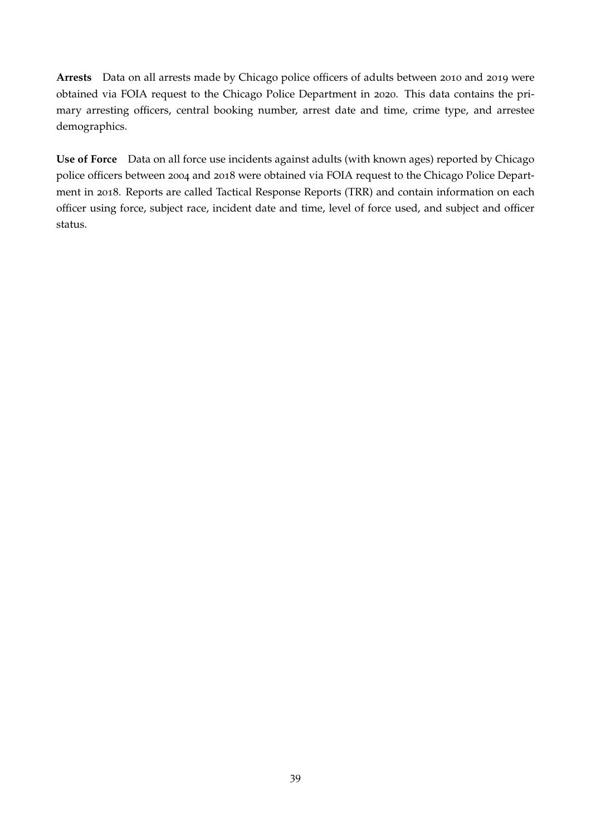**Arrests** Data on all arrests made by Chicago police officers of adults between 2010 and 2019 were obtained via FOIA request to the Chicago Police Department in 2020. This data contains the primary arresting officers, central booking number, arrest date and time, crime type, and arrestee demographics.

**Use of Force** Data on all force use incidents against adults (with known ages) reported by Chicago police officers between 2004 and 2018 were obtained via FOIA request to the Chicago Police Department in 2018. Reports are called Tactical Response Reports (TRR) and contain information on each officer using force, subject race, incident date and time, level of force used, and subject and officer status.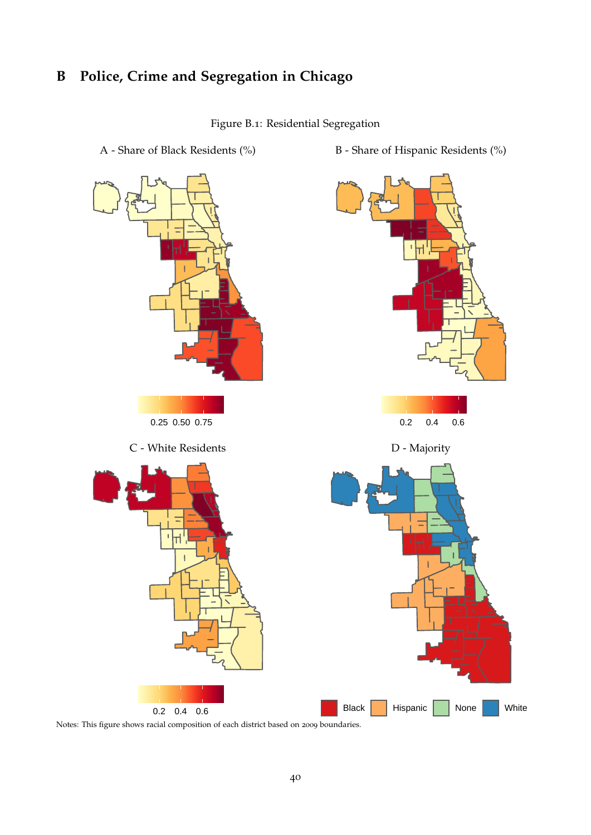# <span id="page-41-1"></span>**B Police, Crime and Segregation in Chicago**

<span id="page-41-0"></span>Figure B.1: Residential Segregation



Notes: This figure shows racial composition of each district based on 2009 boundaries.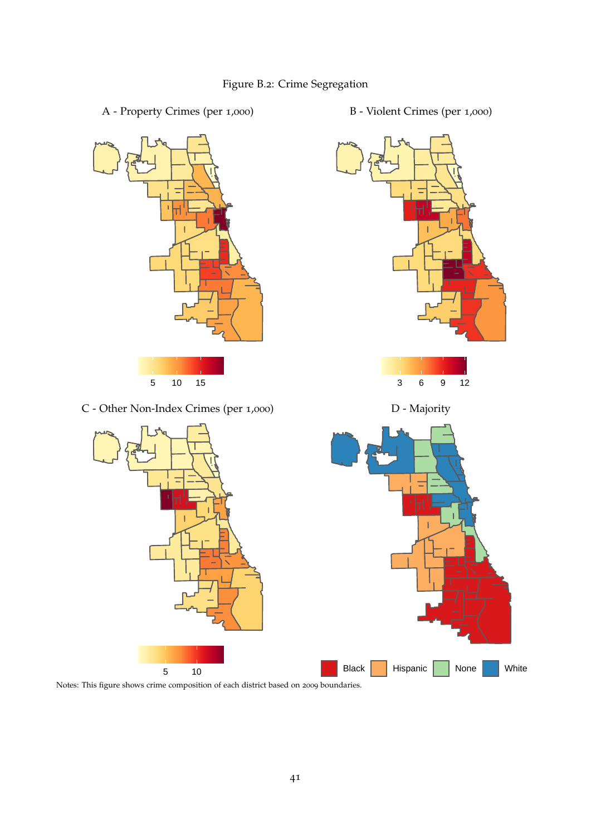## <span id="page-42-0"></span>Figure B.2: Crime Segregation

- A Property Crimes (per 1,000) B Violent Crimes (per 1,000)
- B Violent Crimes (per 1,000)



Notes: This figure shows crime composition of each district based on 2009 boundaries.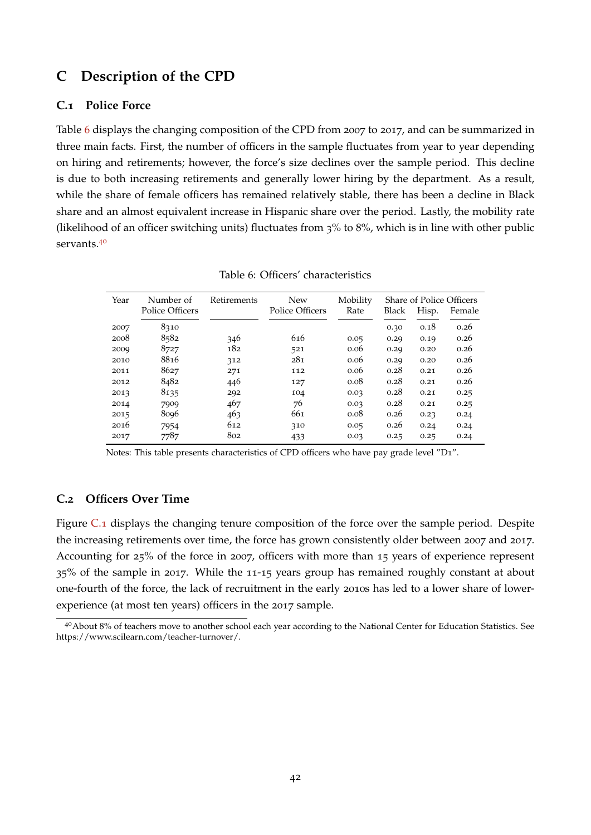## <span id="page-43-0"></span>**C Description of the CPD**

### **C.1 Police Force**

Table [6](#page-43-1) displays the changing composition of the CPD from 2007 to 2017, and can be summarized in three main facts. First, the number of officers in the sample fluctuates from year to year depending on hiring and retirements; however, the force's size declines over the sample period. This decline is due to both increasing retirements and generally lower hiring by the department. As a result, while the share of female officers has remained relatively stable, there has been a decline in Black share and an almost equivalent increase in Hispanic share over the period. Lastly, the mobility rate (likelihood of an officer switching units) fluctuates from 3% to 8%, which is in line with other public servants.[40](#page--1-0)

| Year | Number of       | Retirements | <b>New</b>      | Mobility |       |       | Share of Police Officers |
|------|-----------------|-------------|-----------------|----------|-------|-------|--------------------------|
|      | Police Officers |             | Police Officers | Rate     | Black | Hisp. | Female                   |
| 2007 | 8310            |             |                 |          | 0.30  | 0.18  | 0.26                     |
| 2008 | 8582            | 346         | 616             | 0.05     | 0.29  | 0.19  | 0.26                     |
| 2009 | 8727            | 182         | 521             | 0.06     | 0.29  | 0.20  | 0.26                     |
| 2010 | 8816            | 312         | 281             | 0.06     | 0.29  | 0.20  | 0.26                     |
| 2011 | 8627            | 271         | 112             | 0.06     | 0.28  | 0.21  | 0.26                     |
| 2012 | 8482            | 446         | 127             | 0.08     | 0.28  | 0.21  | 0.26                     |
| 2013 | 8135            | 292         | 104             | 0.03     | 0.28  | 0.21  | 0.25                     |
| 2014 | 7909            | 467         | 76              | 0.03     | 0.28  | 0.21  | 0.25                     |
| 2015 | 8096            | 463         | 661             | 0.08     | 0.26  | 0.23  | 0.24                     |
| 2016 | 7954            | 612         | 310             | 0.05     | 0.26  | 0.24  | 0.24                     |
| 2017 | 7787            | 802         | 433             | 0.03     | 0.25  | 0.25  | 0.24                     |

<span id="page-43-1"></span>

|  | Table 6: Officers' characteristics |
|--|------------------------------------|
|  |                                    |

Notes: This table presents characteristics of CPD officers who have pay grade level "D1".

### **C.2 Officers Over Time**

Figure [C.](#page-44-0)1 displays the changing tenure composition of the force over the sample period. Despite the increasing retirements over time, the force has grown consistently older between 2007 and 2017. Accounting for 25% of the force in 2007, officers with more than 15 years of experience represent 35% of the sample in 2017. While the 11-15 years group has remained roughly constant at about one-fourth of the force, the lack of recruitment in the early 2010s has led to a lower share of lowerexperience (at most ten years) officers in the 2017 sample.

<sup>40</sup>About 8% of teachers move to another school each year according to the National Center for Education Statistics. See https://www.scilearn.com/teacher-turnover/.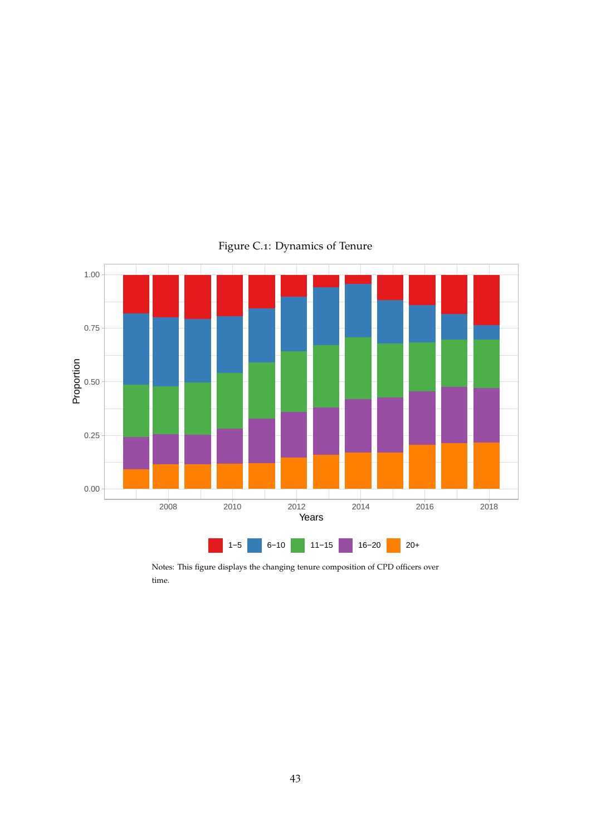

<span id="page-44-0"></span>Figure C.1: Dynamics of Tenure

Notes: This figure displays the changing tenure composition of CPD officers over time.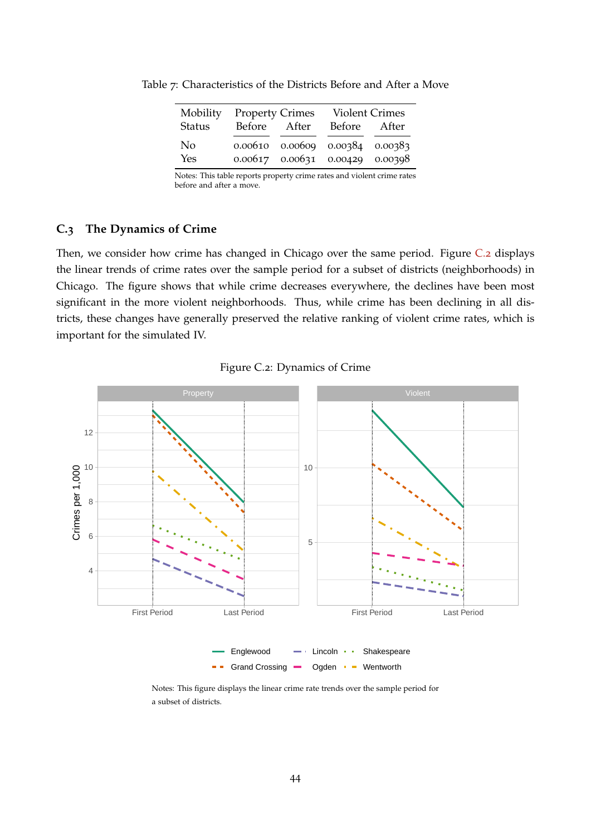<span id="page-45-0"></span>

| Mobility              | <b>Property Crimes</b> | <b>Violent Crimes</b>                                                              |  |
|-----------------------|------------------------|------------------------------------------------------------------------------------|--|
| Status                | Before After           | Before After                                                                       |  |
| N <sub>o</sub><br>Yes |                        | $0.00610$ $0.00609$ $0.00384$ $0.00383$<br>$0.00617$ $0.00631$ $0.00429$ $0.00398$ |  |

Table 7: Characteristics of the Districts Before and After a Move

Notes: This table reports property crime rates and violent crime rates before and after a move.

## **C.3 The Dynamics of Crime**

Then, we consider how crime has changed in Chicago over the same period. Figure [C.](#page-45-1)2 displays the linear trends of crime rates over the sample period for a subset of districts (neighborhoods) in Chicago. The figure shows that while crime decreases everywhere, the declines have been most significant in the more violent neighborhoods. Thus, while crime has been declining in all districts, these changes have generally preserved the relative ranking of violent crime rates, which is important for the simulated IV.

<span id="page-45-1"></span>



 $\sim$   $\sim$ Grand Crossing -Ogden - Wentworth

Notes: This figure displays the linear crime rate trends over the sample period for a subset of districts.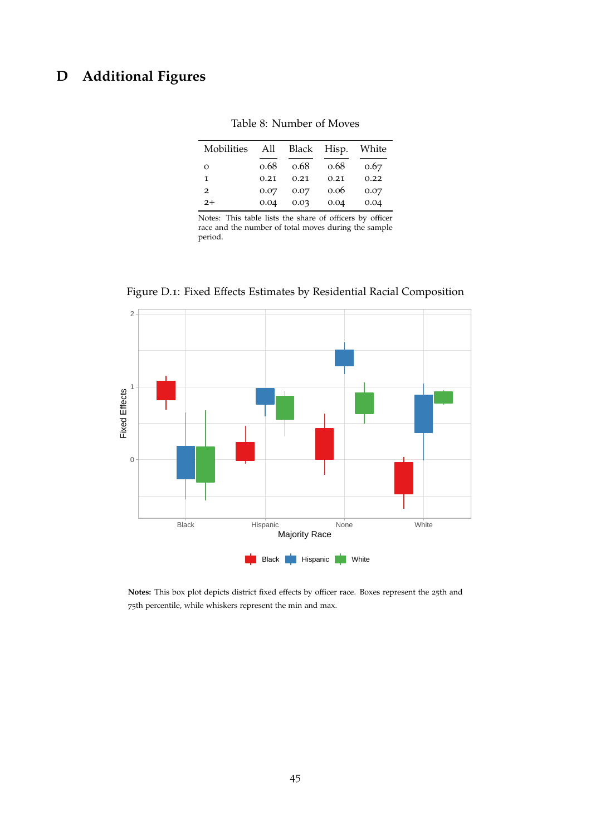# <span id="page-46-1"></span>**D Additional Figures**

| Mobilities | All  |      | Black Hisp. | White |
|------------|------|------|-------------|-------|
| $\Omega$   | 0.68 | 0.68 | 0.68        | 0.67  |
| 1          | 0.21 | 0.21 | 0.21        | 0.22  |
| 2          | 0.07 | 0.07 | 0.06        | 0.07  |
| $2+$       | 0.04 | 0.03 | 0.04        | 0.04  |

<span id="page-46-0"></span>Table 8: Number of Moves

Notes: This table lists the share of officers by officer race and the number of total moves during the sample period.



<span id="page-46-2"></span>Figure D.1: Fixed Effects Estimates by Residential Racial Composition

**Notes:** This box plot depicts district fixed effects by officer race. Boxes represent the 25th and 75th percentile, while whiskers represent the min and max.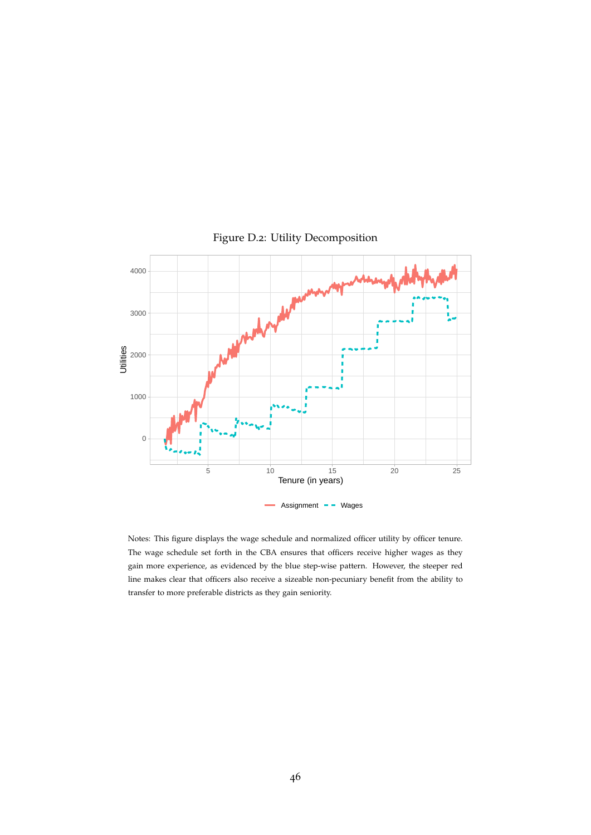

<span id="page-47-0"></span>Figure D.2: Utility Decomposition

Notes: This figure displays the wage schedule and normalized officer utility by officer tenure. The wage schedule set forth in the CBA ensures that officers receive higher wages as they gain more experience, as evidenced by the blue step-wise pattern. However, the steeper red line makes clear that officers also receive a sizeable non-pecuniary benefit from the ability to transfer to more preferable districts as they gain seniority.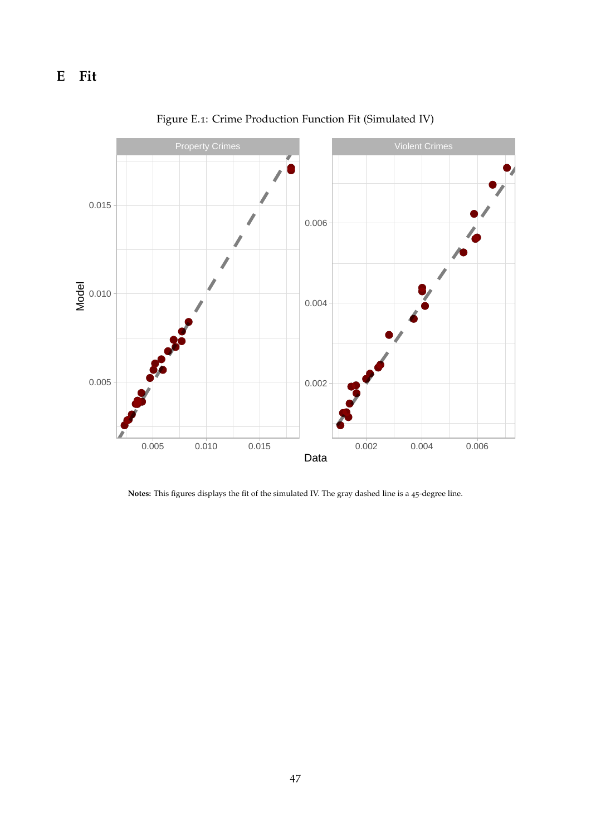<span id="page-48-0"></span>

Figure E.1: Crime Production Function Fit (Simulated IV)

**Notes:** This figures displays the fit of the simulated IV. The gray dashed line is a 45-degree line.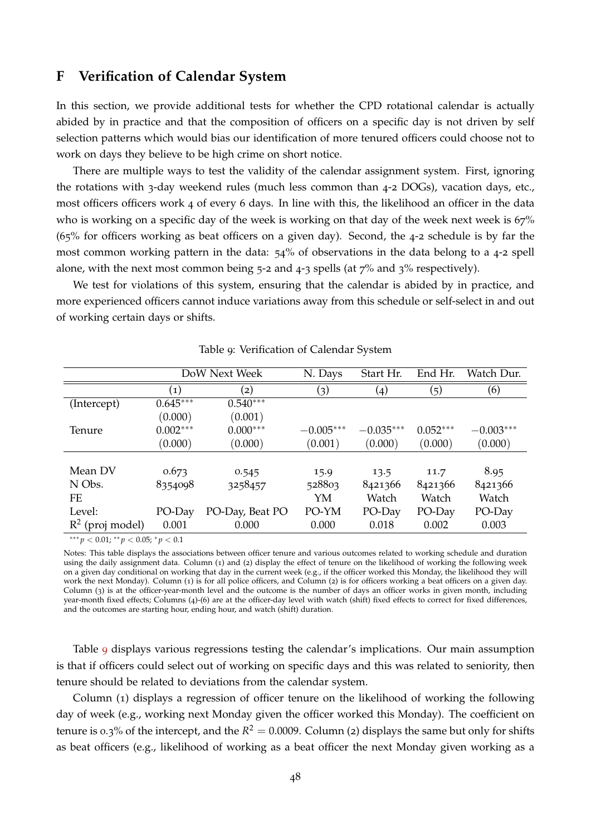## <span id="page-49-0"></span>**F Verification of Calendar System**

In this section, we provide additional tests for whether the CPD rotational calendar is actually abided by in practice and that the composition of officers on a specific day is not driven by self selection patterns which would bias our identification of more tenured officers could choose not to work on days they believe to be high crime on short notice.

There are multiple ways to test the validity of the calendar assignment system. First, ignoring the rotations with 3-day weekend rules (much less common than 4-2 DOGs), vacation days, etc., most officers officers work 4 of every 6 days. In line with this, the likelihood an officer in the data who is working on a specific day of the week is working on that day of the week next week is 67% (65% for officers working as beat officers on a given day). Second, the 4-2 schedule is by far the most common working pattern in the data: 54% of observations in the data belong to a 4-2 spell alone, with the next most common being  $5-2$  and  $4-3$  spells (at  $7\%$  and  $3\%$  respectively).

We test for violations of this system, ensuring that the calendar is abided by in practice, and more experienced officers cannot induce variations away from this schedule or self-select in and out of working certain days or shifts.

|                    |                   | DoW Next Week     | N. Days                 | Start Hr.   | End Hr.<br>Watch Dur.<br>(6)<br>(5)<br>$\left( 4\right)$<br>$0.052***$<br>$-0.003***$<br>(0.000)<br>(0.000)<br>8.95<br>13.5<br>11.7<br>8421366<br>8421366<br>Watch<br>Watch<br>PO-Day<br>PO-Day |  |
|--------------------|-------------------|-------------------|-------------------------|-------------|-------------------------------------------------------------------------------------------------------------------------------------------------------------------------------------------------|--|
|                    | $\left( 1\right)$ | $\left( 2\right)$ | $\left( 3\right)$       |             |                                                                                                                                                                                                 |  |
| (Intercept)        | $0.645***$        | $0.540***$        |                         |             |                                                                                                                                                                                                 |  |
|                    | (0.000)           | (0.001)           |                         |             |                                                                                                                                                                                                 |  |
| Tenure             | $0.002***$        | $0.000***$        | $-0.005***$             | $-0.035***$ |                                                                                                                                                                                                 |  |
|                    | (0.000)           | (0.000)           | (0.001)                 | (0.000)     |                                                                                                                                                                                                 |  |
|                    |                   |                   |                         |             |                                                                                                                                                                                                 |  |
| Mean DV            | 0.673             | 0.545             | 15.9                    |             |                                                                                                                                                                                                 |  |
| N Obs.             | 8354098           | 3258457           | 528803                  | 8421366     |                                                                                                                                                                                                 |  |
| FE                 |                   |                   | YM                      | Watch       |                                                                                                                                                                                                 |  |
| Level:             | PO-Day            | PO-Day, Beat PO   | PO-YM                   | PO-Day      |                                                                                                                                                                                                 |  |
| $R^2$ (proj model) | 0.001             | 0.000             | 0.018<br>0.002<br>0.000 | 0.003       |                                                                                                                                                                                                 |  |

#### <span id="page-49-1"></span>Table 9: Verification of Calendar System

∗∗∗ *p* < 0.01; ∗∗ *p* < 0.05; <sup>∗</sup> *p* < 0.1

Notes: This table displays the associations between officer tenure and various outcomes related to working schedule and duration using the daily assignment data. Column (1) and (2) display the effect of tenure on the likelihood of working the following week on a given day conditional on working that day in the current week (e.g., if the officer worked this Monday, the likelihood they will work the next Monday). Column (1) is for all police officers, and Column (2) is for officers working a beat officers on a given day. Column (3) is at the officer-year-month level and the outcome is the number of days an officer works in given month, including year-month fixed effects; Columns (4)-(6) are at the officer-day level with watch (shift) fixed effects to correct for fixed differences, and the outcomes are starting hour, ending hour, and watch (shift) duration.

Table [9](#page-49-1) displays various regressions testing the calendar's implications. Our main assumption is that if officers could select out of working on specific days and this was related to seniority, then tenure should be related to deviations from the calendar system.

Column (1) displays a regression of officer tenure on the likelihood of working the following day of week (e.g., working next Monday given the officer worked this Monday). The coefficient on tenure is 0.3% of the intercept, and the  $R^2 = 0.0009$ . Column (2) displays the same but only for shifts as beat officers (e.g., likelihood of working as a beat officer the next Monday given working as a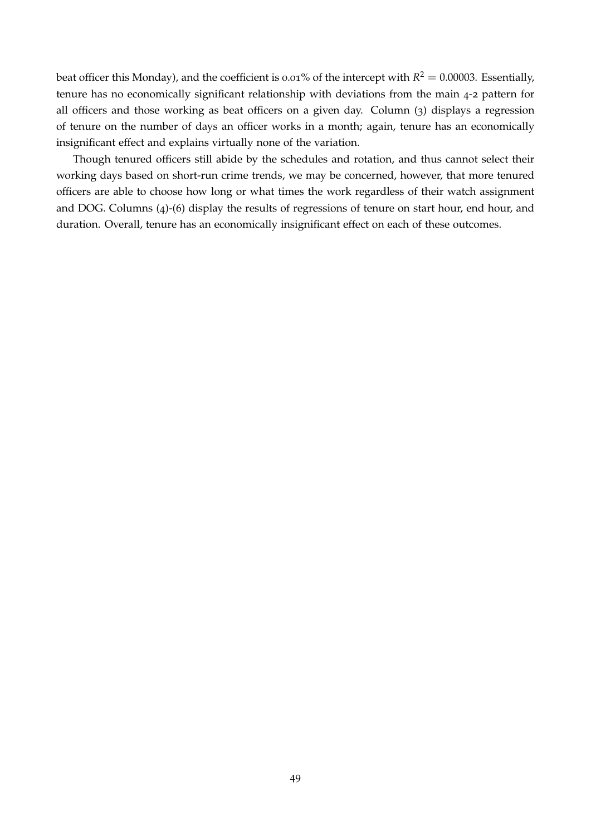beat officer this Monday), and the coefficient is 0.01% of the intercept with  $R^2 = 0.00003$ . Essentially, tenure has no economically significant relationship with deviations from the main 4-2 pattern for all officers and those working as beat officers on a given day. Column (3) displays a regression of tenure on the number of days an officer works in a month; again, tenure has an economically insignificant effect and explains virtually none of the variation.

Though tenured officers still abide by the schedules and rotation, and thus cannot select their working days based on short-run crime trends, we may be concerned, however, that more tenured officers are able to choose how long or what times the work regardless of their watch assignment and DOG. Columns (4)-(6) display the results of regressions of tenure on start hour, end hour, and duration. Overall, tenure has an economically insignificant effect on each of these outcomes.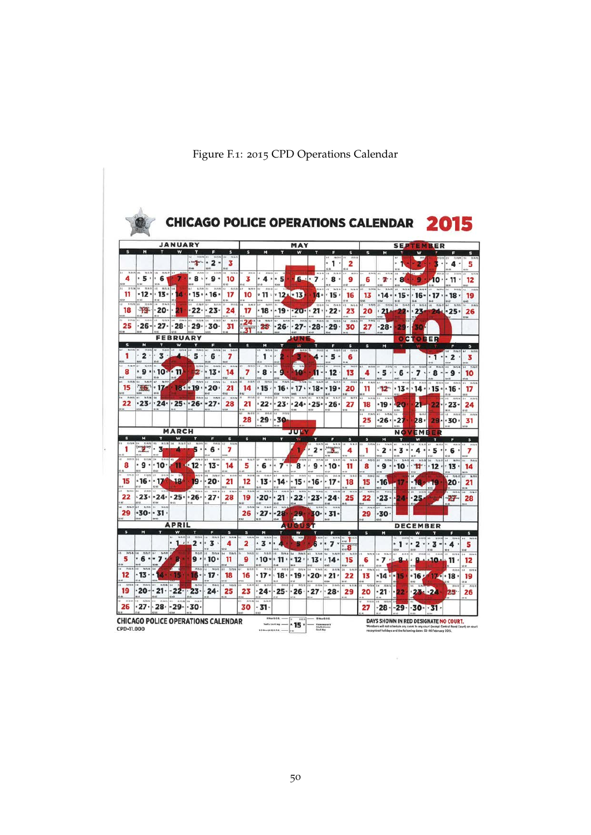|                   |                              |                              | <b><i>JANUARY</i></b>                        |                        |                              |                         | MAY               |                                                                   |                                                       |                      |                                                                            |                                 |                                |                             | <b>SEPTEMBER</b>                      |                      |                                       |                               |                        |                                   |
|-------------------|------------------------------|------------------------------|----------------------------------------------|------------------------|------------------------------|-------------------------|-------------------|-------------------------------------------------------------------|-------------------------------------------------------|----------------------|----------------------------------------------------------------------------|---------------------------------|--------------------------------|-----------------------------|---------------------------------------|----------------------|---------------------------------------|-------------------------------|------------------------|-----------------------------------|
| <b>s</b>          | м                            | п                            | w                                            | п                      | Е                            | s                       | s                 | Ħ                                                                 | т                                                     | w                    |                                                                            | 86-75-8                         | s<br>$H$ <sup>B</sup>          | s                           | м                                     |                      | W                                     |                               | Е                      |                                   |
|                   |                              |                              |                                              | magnesis               | $\overline{\mathbf{z}}$<br>× | 3                       |                   |                                                                   |                                                       |                      |                                                                            | .<br>6.86                       | 2<br><b>HL</b> 60              |                             |                                       | 1212                 |                                       | $\bullet$                     | 4                      | 5                                 |
|                   | . 5 .                        | 6                            |                                              | 8 .                    | 8.13-21<br>۰ و               | 12.12.<br>10            | H.A.B<br>3        | 870 H                                                             | $4 \cdot 5$                                           |                      | <b>MANISE</b><br>$6 - 7$                                                   | 5, 56, 78<br>.8.                | kT<br>8.711<br>9               | <b>16 N.Y.</b><br>6         | $\overline{11}$<br>$N \wedge N$<br>7. | 14<br>* 8            | 9                                     | 16.01<br>10٠                  | 8.884<br>$-11$         | 12                                |
| n n<br>11         | -12 -                        | .13                          | $RBA$ 54<br>z                                | $15 -$                 | $\cdot$ 16 $\cdot$           | N'di<br>17              | 36,737<br>10      | <b>R88</b><br>.11.                                                |                                                       | $.12 - 13$           | 15.04.25                                                                   | 34.76.61<br>$14 \cdot 15$       | 16.16<br>16                    | 16.24.86<br>13              | $-14$                                 |                      | $\cdot$   • 15 $\cdot$   • 16 $\cdot$ | 36,25.6<br>.17.               | $-18$                  | 19                                |
| 18                | 44.43                        | 45.46<br>20.                 |                                              | 61 82<br>作用子<br>$22 -$ | \$3.85<br>$86-293$<br>23.    | 83 4H<br>\$9.00.0<br>24 | $36.00 - 2$<br>17 | 63.64<br>76.25.5<br>.18.                                          |                                                       |                      | 8825.06<br>$\cdot$ 19 $\cdot$ 20 $\cdot$ 21 $\cdot$ 22 $\cdot$             | BmB                             | 61.48<br><b>NO</b><br>65<br>23 | 5.0.15<br>20                | <b>ISAA</b><br>24<br>$-21$            | mass se manier       | <b>WISSIM</b><br>$22 \cdot 23$        | 653                           | 5.15<br>24.25          | 48<br>26                          |
| ×<br>10K<br>25    | 26-                          | 12.85.9<br>.27.              | 54<br>$28 -$                                 | \$4.75.26<br>29.       | 14 8 8 8 8<br>30-            | 18.61<br>31             |                   | $24$ $\frac{11}{2}$ $\frac{13}{2}$<br>$25^{\circ}$                | 10.00<br>.26                                          | n n n! n             | $.27 - 28 - 29$                                                            | $2.56$ 31<br><b>TRAIN</b>       | 144<br>K4<br>76.38<br>30       | 27                          | .28.                                  | $29 -$               | 504                                   |                               |                        | 66                                |
|                   |                              |                              | <b>FEBRUARY</b>                              |                        |                              |                         | 31"               |                                                                   |                                                       | <b>UNI</b>           |                                                                            |                                 |                                |                             |                                       |                      | <b>OCTOBER</b>                        |                               |                        |                                   |
| s                 | M                            | T                            | W                                            | τ                      | F                            | s                       | s                 | M<br>14-75-19                                                     |                                                       | W.                   | T.<br>soals eas a son a sa                                                 | п                               | 'S                             | $\mathbf{s}$                | M                                     | $\pi$                |                                       |                               | F                      | $\sf s$                           |
| 1                 | 2.                           | 3 <sup>o</sup>               |                                              | 5<br>7575.00           | 6<br>$n \times n$<br>54.7    | 7<br>64 14763           | 79.75.5           | 1.1<br>$n \approx n$<br>$5 - 4$                                   | $^{4.5}$                                              | $\overline{n}$       |                                                                            | 4 - - 5 -                       | 6<br>$\overline{1}$            |                             |                                       | 51/3                 |                                       | $\cdot$ 1<br>$\star$          | $\cdot$ 2              | з                                 |
| 8                 | ٠ و                          | .10 <sub>°</sub><br>65.64    | - 11                                         | œ.                     | $13 -$                       | 14                      | 7                 | 8.                                                                |                                                       |                      |                                                                            | . 12                            | 13                             | 4                           |                                       | $.5 - 6 -$           | .7.                                   | 8                             | - 9                    | 10<br>44.0                        |
| 300<br>15         | <b>A</b> Co.                 | .17<br>ie ca                 |                                              | n(n)<br>18.019.20      | $-100A$<br>$-0.4$            | B.M<br>21<br>۰ü         | 14                | 1225.3<br>.15.<br>241                                             | 14<br><sup>1</sup> 16<br>63.64                        | .17.                 | <b>D/MT</b><br>· 18 ·                                                      | 5607<br> • 19                   | n <sub>n</sub><br>20<br>i ai   | <b>KNT</b><br>11            | 36.23.75<br>$\overline{a}$            | 79.8.22<br>$12 - 13$ | 8.01<br>.14.                          | B(2)<br>.15.                  | .16<br>8.14            | 17<br>48                          |
| 7.843<br>22       |                              | 54                           | $-23 - 24 - 25 - 26$                         | 2526.8                 | <b>AGS</b><br>$-27-$         | <b>19 (1753)</b><br>28  | 21                | 144                                                               | $22 \cdot 23 \cdot 24 \cdot 25 \cdot 26$              |                      |                                                                            |                                 | $\overline{1}$<br>27           | 18                          | .19.<br>o a                           | -20<br>4544          | 21                                    | 24                            | $-23-$<br>66.41        | 24                                |
|                   |                              |                              |                                              |                        |                              |                         | 28                |                                                                   | $.29 - 30$                                            |                      |                                                                            |                                 |                                | n <sub>n</sub><br>25        | 5.58<br>$-26$                         | - 21                 | $\overline{1}$<br>28,                 | 29.                           | $-30$                  | $\overline{a}$<br>31              |
|                   |                              |                              | <b>MARCH</b>                                 |                        |                              |                         |                   | i di l<br>65.66<br><b>JULY</b>                                    |                                                       |                      |                                                                            |                                 |                                | EMB<br><b>NOV</b><br>l al m |                                       |                      |                                       |                               | u u                    |                                   |
| $\mathbf{s}$      | M                            | Ŧ                            | w                                            |                        | F                            | s<br>81.22              | $\mathbf{s}$      | M<br>$\overline{\mathbf{s}}$<br>т<br>w<br>F<br><b>NYSIL</b><br>58 |                                                       |                      |                                                                            |                                 |                                | w<br>s<br>м<br>T<br>×<br>Е  |                                       |                      |                                       |                               | <b>s</b>               |                                   |
| 1<br>8.19 8       | $\mathbf{r}$<br><b>1315W</b> | з<br>$1576/75$ 85            |                                              | <b>KNIF</b>            | $-6$<br><b>NOR</b>           | 7<br>M.E. E             | $n \leq n$        | 39,74,25<br>k.r                                                   |                                                       |                      | 2<br>18.05                                                                 | -3<br>79.74.                    | 4<br><b>With</b>               | 1                           | $\overline{\mathbf{z}}$               | - 3<br>٠<br>73.14    | 4<br>٠                                | 5                             | 6                      | 7                                 |
| 8                 |                              | $9 \cdot 10$                 | m                                            | $4.12 -$               | $-13-$                       | 14                      | 5                 | .6.1                                                              | $+7+$                                                 | $B$ <sup>*</sup>     | ۹                                                                          | $-10$                           | 11                             | 8                           | ۰9<br>15-68                           | 10۰                  | Ħ                                     | 12                            | $13 -$                 | 14<br>u es                        |
| <b>WAIR</b><br>15 | $.16 - 17$                   | <b>60810 00810 0</b>         | 18                                           | 14.75-76<br>19.        | 79.06M<br>.20                | <b>JR 277</b><br>21     | 14.75.00<br>12    | 14<br><b>WARN</b> EAST                                            | B/IB<br>$-13 - 14$                                    | MAI.                 | .15.016.<br>\$5.64                                                         | .17.<br>68.65                   | 19.36<br>18<br>166             | 0.61<br>15                  | <b>'16</b><br>me:                     |                      | 6145                                  | 19<br><b>BM</b>               | 20<br>An.              | $\overline{u}$<br>21<br><b>MA</b> |
| 38.52.5<br>22     |                              | 43.64                        | $23 \cdot 24 \cdot 25 \cdot 26$              | tian                   | 34.81.8<br>.27.              | n n<br>14<br>28         | 75.19.29<br>19    | 44 NAM 14<br>۵۵۰-                                                 | n.m<br>$\cdot$ 21 $\cdot$                             | $45 - 8.016$<br>.22. | natz is<br>$\overline{M}$<br>$23 -$                                        | 3.518<br>$-24$                  | n <sub>0</sub><br>$38 -$<br>25 | $\overline{nn}$<br>22       | $\overline{11}$<br>$-23-$             | $-24$                | .25                                   |                               | $27-$                  | $34 - 88$<br>28                   |
| <b>ANN</b><br>29  | <b>N.H.H.I.I.</b>            | <b>Walker</b><br>$-30 - -31$ |                                              |                        |                              |                         | 39.75.3<br>26     | <b>10.04.05</b><br>$-27-$                                         | $-28$                                                 | 29                   |                                                                            | ti-68<br>30 · · 31 ·            | a ti                           | 29                          | ir sa<br>$-30$                        |                      |                                       |                               |                        | 48.63                             |
|                   |                              |                              | <b>APRIL</b>                                 |                        |                              |                         |                   |                                                                   |                                                       | <b>AUGUS</b>         | гτ                                                                         |                                 |                                |                             | ä40                                   |                      | <b>DECEMBER</b>                       |                               |                        |                                   |
| $\mathbf{s}$      | м                            |                              | W                                            |                        | F                            | s                       | $\mathbf{s}$      | м                                                                 |                                                       | w                    | π                                                                          | л                               | $\mathbf{s}$<br>T              | s                           | M                                     |                      | w                                     |                               |                        | s<br>$\overline{\phantom{a}}$     |
| 35.8              | <b>NAME</b>                  |                              |                                              | $1 - 2 - 3$<br>nan     | <b>15.75.M</b>               | 75.54.7                 | 2                 | $3 \cdot \cdot$<br><b>A.IS.P</b>                                  |                                                       |                      | 6                                                                          | 7.                              | 8                              |                             |                                       | $\cdot$ 1 $\cdot$    | 2.                                    | $.3 -$                        | $\cdot$ 4              | 5                                 |
| 5                 | $.6 - 7$<br>$\overline{u}$   |                              |                                              |                        | $9 \cdot 10 \cdot$           | 11                      | 9                 |                                                                   | ∗ 10 ∗ 11 ≀                                           | $75-16$<br>$-12.$    |                                                                            | $75 - 76 - 71$<br>$13 \cdot 14$ | 76-731<br>15<br>0.44           | 3675.76<br>6                | 14 71/41<br>$-7.$                     | 4.8<br>J6 73 7       | MTN00                                 | 22.<br><b>B-REFE</b><br>ىلىھە | 31<br>727576<br>11     | 14 TLN<br>12<br>uu                |
| nan<br>12         | 56,548<br>.13.               |                              |                                              | $-882$<br>16 -         | n <sub>1</sub><br>.17.       | 18                      | 16                | $\overline{\mathbf{m}}$<br>.17.<br><b>15 OF</b>                   | <b>KRR</b><br>$\cdot$ 18 $\cdot$                      | B/2A                 | 0.344<br>$\cdot$ 19 $\cdot$ $\cdot$ 20 $\cdot$ $\cdot$ 21 $\cdot$<br>62.83 | (0, 0.3)<br>63.64               | $14 - 7576$<br>22<br>se es     | 73.54.75<br>13              | 48<br>$-14 - 15$<br>te us             |                      | $\mathbf{H}$<br>$^{\circ}16:$         |                               | $17 \cdot 18 \cdot$    | W.<br>19                          |
| 19                | 20                           |                              | 65.43                                        | F.,<br>$23 -$          | max<br>$24 -$                | 16/06/0<br>25           | 23                | 4.01                                                              | 841<br>$24 \cdot 25 \cdot 26 \cdot 27 \cdot 28 \cdot$ | 8.01                 | 72.25.34                                                                   | 14 13767                        | 11. 8.51<br>29                 | 82.79.3<br>20               | 19.04.2<br>14<br>.21.                 |                      | $23 - 24$                             |                               | a es<br>35.88.3<br>25. | 13.61<br>5.2<br>26                |
| 0.01<br>26        | 12797<br>27۰                 |                              | $\cdot$ 28 $\cdot$ - 29 $\cdot$ - 30 $\cdot$ |                        |                              |                         | n ko<br>n n<br>30 | ua.<br>14 AMM<br>$-31.$                                           | <b>WEE</b>                                            |                      |                                                                            |                                 |                                | 27                          | $-28 -$                               | $-29-$               |                                       | $.30 \cdot .31$               |                        |                                   |

<span id="page-51-0"></span>Figure F.1: 2015 CPD Operations Calendar

 $\omega$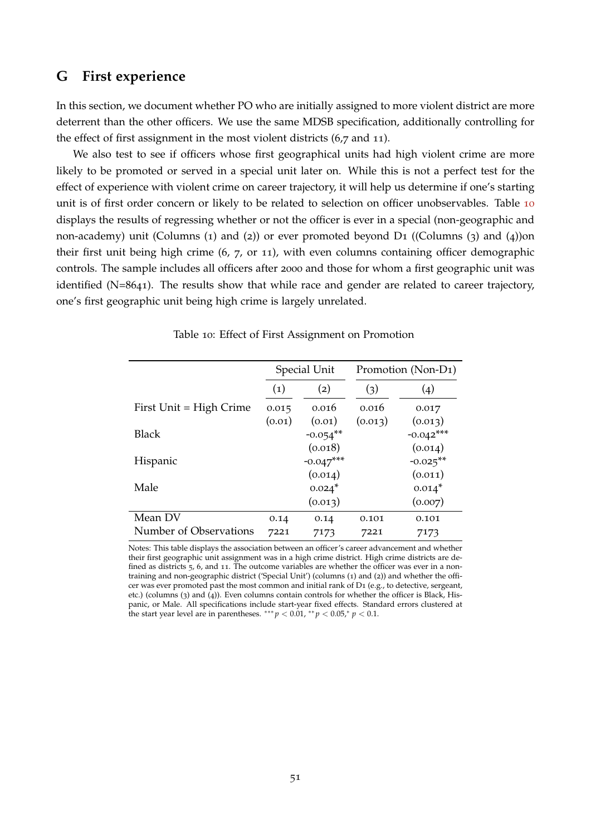## <span id="page-52-0"></span>**G First experience**

In this section, we document whether PO who are initially assigned to more violent district are more deterrent than the other officers. We use the same MDSB specification, additionally controlling for the effect of first assignment in the most violent districts (6,7 and 11).

We also test to see if officers whose first geographical units had high violent crime are more likely to be promoted or served in a special unit later on. While this is not a perfect test for the effect of experience with violent crime on career trajectory, it will help us determine if one's starting unit is of first order concern or likely to be related to selection on officer unobservables. Table [10](#page-52-1) displays the results of regressing whether or not the officer is ever in a special (non-geographic and non-academy) unit (Columns (1) and (2)) or ever promoted beyond D1 ((Columns (3) and (4))on their first unit being high crime (6, 7, or 11), with even columns containing officer demographic controls. The sample includes all officers after 2000 and those for whom a first geographic unit was identified (N=8641). The results show that while race and gender are related to career trajectory, one's first geographic unit being high crime is largely unrelated.

|                         |                   | Special Unit | Promotion (Non-D <sub>1</sub> ) |                    |  |
|-------------------------|-------------------|--------------|---------------------------------|--------------------|--|
|                         | $\left( 1\right)$ | (2)          | (3)                             | $\left( 4 \right)$ |  |
| First Unit = High Crime | 0.015             | 0.016        | 0.016                           | 0.017              |  |
|                         | (0.01)            | (0.01)       | (0.013)                         | (0.013)            |  |
| <b>Black</b>            |                   | $-0.054$ **  |                                 | $-0.042***$        |  |
|                         |                   | (0.018)      |                                 | (0.014)            |  |
| Hispanic                |                   | $-0.047***$  |                                 | $-0.025**$         |  |
|                         |                   | (0.014)      |                                 | (0.011)            |  |
| Male                    |                   | $0.024*$     |                                 | $0.014*$           |  |
|                         |                   | (0.013)      |                                 | (0.007)            |  |
| Mean DV                 | 0.14              | 0.14         | 0.101                           | 0.101              |  |
| Number of Observations  | 7221              | 7173         | 7221                            | 7173               |  |

<span id="page-52-1"></span>Table 10: Effect of First Assignment on Promotion

Notes: This table displays the association between an officer's career advancement and whether their first geographic unit assignment was in a high crime district. High crime districts are defined as districts 5, 6, and 11. The outcome variables are whether the officer was ever in a nontraining and non-geographic district ('Special Unit') (columns (1) and (2)) and whether the officer was ever promoted past the most common and initial rank of D1 (e.g., to detective, sergeant, etc.) (columns (3) and (4)). Even columns contain controls for whether the officer is Black, Hispanic, or Male. All specifications include start-year fixed effects. Standard errors clustered at the start year level are in parentheses.  $*** p < 0.01, ** p < 0.05, * p < 0.1$ .